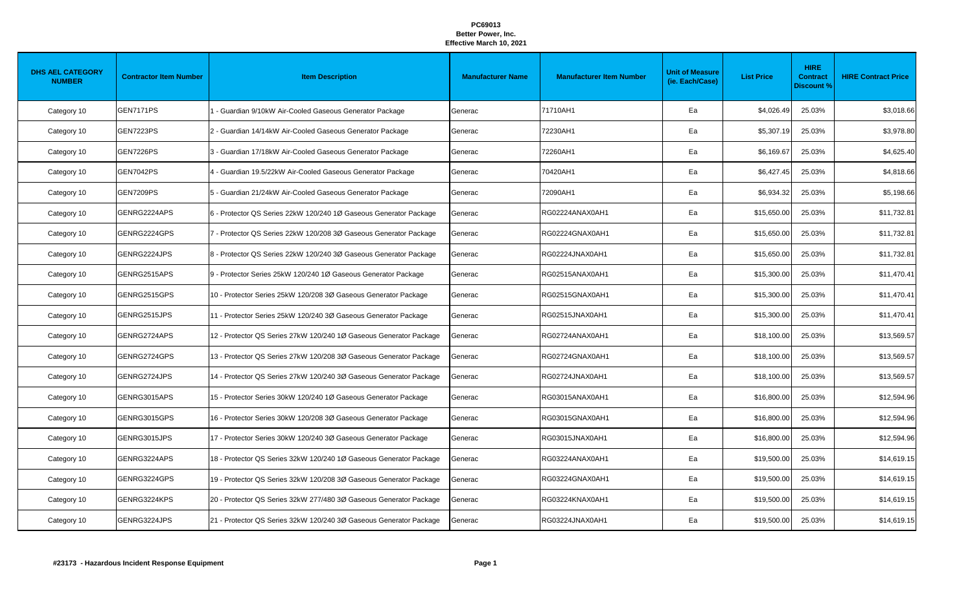| <b>DHS AEL CATEGORY</b><br><b>NUMBER</b> | <b>Contractor Item Number</b> | <b>Item Description</b>                                            | <b>Manufacturer Name</b> | <b>Manufacturer Item Number</b> | <b>Unit of Measure</b><br>(ie. Each/Case) | <b>List Price</b> | <b>HIRE</b><br><b>Contract</b><br><b>Discount %</b> | <b>HIRE Contract Price</b> |
|------------------------------------------|-------------------------------|--------------------------------------------------------------------|--------------------------|---------------------------------|-------------------------------------------|-------------------|-----------------------------------------------------|----------------------------|
| Category 10                              | <b>GEN7171PS</b>              | 1 - Guardian 9/10kW Air-Cooled Gaseous Generator Package           | Generac                  | 71710AH1                        | Ea                                        | \$4,026.49        | 25.03%                                              | \$3,018.66                 |
| Category 10                              | <b>GEN7223PS</b>              | 2 - Guardian 14/14kW Air-Cooled Gaseous Generator Package          | Generac                  | 72230AH1                        | Ea                                        | \$5,307.19        | 25.03%                                              | \$3,978.80                 |
| Category 10                              | GEN7226PS                     | 3 - Guardian 17/18kW Air-Cooled Gaseous Generator Package          | Generac                  | 72260AH1                        | Ea                                        | \$6,169.67        | 25.03%                                              | \$4,625.40                 |
| Category 10                              | <b>GEN7042PS</b>              | 4 - Guardian 19.5/22kW Air-Cooled Gaseous Generator Package        | Generac                  | 70420AH1                        | Ea                                        | \$6,427.45        | 25.03%                                              | \$4,818.66                 |
| Category 10                              | GEN7209PS                     | 5 - Guardian 21/24kW Air-Cooled Gaseous Generator Package          | Generac                  | 72090AH1                        | Ea                                        | \$6,934.32        | 25.03%                                              | \$5,198.66                 |
| Category 10                              | GENRG2224APS                  | 6 - Protector QS Series 22kW 120/240 1Ø Gaseous Generator Package  | Generac                  | RG02224ANAX0AH1                 | Ea                                        | \$15,650.00       | 25.03%                                              | \$11,732.81                |
| Category 10                              | GENRG2224GPS                  | 7 - Protector QS Series 22kW 120/208 3Ø Gaseous Generator Package  | Generac                  | RG02224GNAX0AH1                 | Ea                                        | \$15,650.00       | 25.03%                                              | \$11,732.81                |
| Category 10                              | GENRG2224JPS                  | 8 - Protector QS Series 22kW 120/240 3Ø Gaseous Generator Package  | Generac                  | RG02224JNAX0AH1                 | Ea                                        | \$15,650.00       | 25.03%                                              | \$11,732.81                |
| Category 10                              | GENRG2515APS                  | 9 - Protector Series 25kW 120/240 1Ø Gaseous Generator Package     | Generac                  | RG02515ANAX0AH1                 | Ea                                        | \$15,300.00       | 25.03%                                              | \$11,470.41                |
| Category 10                              | GENRG2515GPS                  | 10 - Protector Series 25kW 120/208 3Ø Gaseous Generator Package    | Generac                  | RG02515GNAX0AH1                 | Ea                                        | \$15,300.00       | 25.03%                                              | \$11,470.41                |
| Category 10                              | GENRG2515JPS                  | 11 - Protector Series 25kW 120/240 3Ø Gaseous Generator Package    | Generac                  | RG02515JNAX0AH1                 | Ea                                        | \$15,300.00       | 25.03%                                              | \$11,470.41                |
| Category 10                              | GENRG2724APS                  | 12 - Protector QS Series 27kW 120/240 1Ø Gaseous Generator Package | Generac                  | RG02724ANAX0AH1                 | Ea                                        | \$18,100.00       | 25.03%                                              | \$13,569.57                |
| Category 10                              | GENRG2724GPS                  | 13 - Protector QS Series 27kW 120/208 3Ø Gaseous Generator Package | Generac                  | RG02724GNAX0AH1                 | Ea                                        | \$18,100.00       | 25.03%                                              | \$13,569.57                |
| Category 10                              | GENRG2724JPS                  | 14 - Protector QS Series 27kW 120/240 3Ø Gaseous Generator Package | Generac                  | RG02724JNAX0AH1                 | Ea                                        | \$18,100.00       | 25.03%                                              | \$13,569.57                |
| Category 10                              | GENRG3015APS                  | 15 - Protector Series 30kW 120/240 1Ø Gaseous Generator Package    | Generac                  | RG03015ANAX0AH1                 | Ea                                        | \$16,800.00       | 25.03%                                              | \$12,594.96                |
| Category 10                              | GENRG3015GPS                  | 16 - Protector Series 30kW 120/208 3Ø Gaseous Generator Package    | Generac                  | RG03015GNAX0AH1                 | Ea                                        | \$16,800.00       | 25.03%                                              | \$12,594.96                |
| Category 10                              | GENRG3015JPS                  | 17 - Protector Series 30kW 120/240 3Ø Gaseous Generator Package    | Generac                  | RG03015JNAX0AH1                 | Ea                                        | \$16,800.00       | 25.03%                                              | \$12,594.96                |
| Category 10                              | GENRG3224APS                  | 18 - Protector QS Series 32kW 120/240 1Ø Gaseous Generator Package | Generac                  | RG03224ANAX0AH1                 | Ea                                        | \$19,500.00       | 25.03%                                              | \$14,619.15                |
| Category 10                              | GENRG3224GPS                  | 19 - Protector QS Series 32kW 120/208 3Ø Gaseous Generator Package | Generac                  | RG03224GNAX0AH1                 | Ea                                        | \$19,500.00       | 25.03%                                              | \$14,619.15                |
| Category 10                              | GENRG3224KPS                  | 20 - Protector QS Series 32kW 277/480 3Ø Gaseous Generator Package | Generac                  | RG03224KNAX0AH1                 | Ea                                        | \$19,500.00       | 25.03%                                              | \$14,619.15                |
| Category 10                              | GENRG3224JPS                  | 21 - Protector QS Series 32kW 120/240 3Ø Gaseous Generator Package | Generac                  | RG03224JNAX0AH1                 | Ea                                        | \$19,500.00       | 25.03%                                              | \$14,619.15                |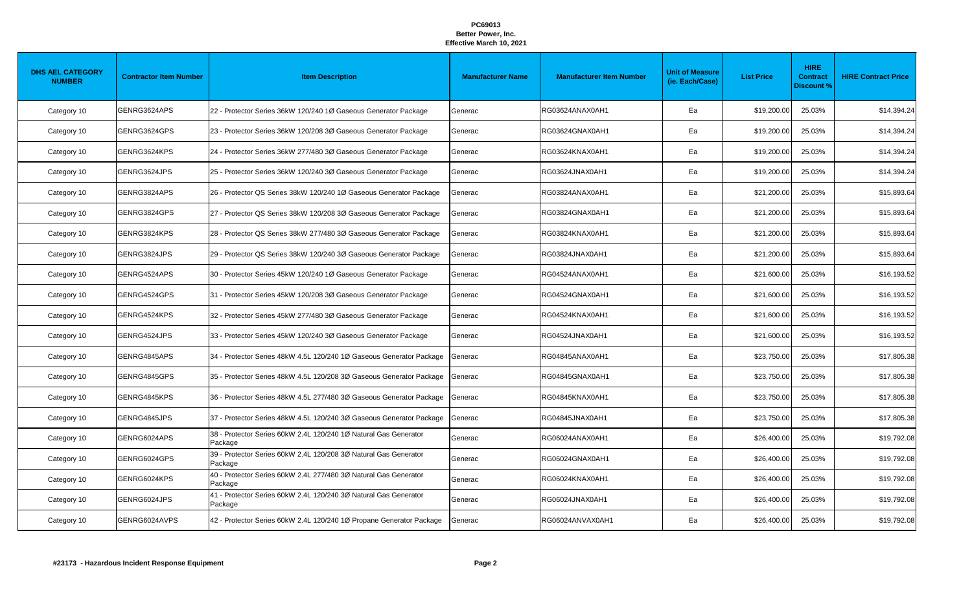| <b>DHS AEL CATEGORY</b><br><b>NUMBER</b> | <b>Contractor Item Number</b> | <b>Item Description</b>                                                     | <b>Manufacturer Name</b> | <b>Manufacturer Item Number</b> | <b>Unit of Measure</b><br>(ie. Each/Case) | <b>List Price</b> | <b>HIRE</b><br><b>Contract</b><br><b>Discount %</b> | <b>HIRE Contract Price</b> |
|------------------------------------------|-------------------------------|-----------------------------------------------------------------------------|--------------------------|---------------------------------|-------------------------------------------|-------------------|-----------------------------------------------------|----------------------------|
| Category 10                              | GENRG3624APS                  | 22 - Protector Series 36kW 120/240 1Ø Gaseous Generator Package             | Generac                  | RG03624ANAX0AH1                 | Ea                                        | \$19,200.00       | 25.03%                                              | \$14,394.24                |
| Category 10                              | GENRG3624GPS                  | 23 - Protector Series 36kW 120/208 3Ø Gaseous Generator Package             | Generac                  | RG03624GNAX0AH1                 | Ea                                        | \$19,200.00       | 25.03%                                              | \$14,394.24                |
| Category 10                              | GENRG3624KPS                  | 24 - Protector Series 36kW 277/480 3Ø Gaseous Generator Package             | Generac                  | RG03624KNAX0AH1                 | Ea                                        | \$19,200.00       | 25.03%                                              | \$14,394.24                |
| Category 10                              | GENRG3624JPS                  | 25 - Protector Series 36kW 120/240 3Ø Gaseous Generator Package             | Generac                  | RG03624JNAX0AH1                 | Ea                                        | \$19,200.00       | 25.03%                                              | \$14,394.24                |
| Category 10                              | GENRG3824APS                  | 26 - Protector QS Series 38kW 120/240 1Ø Gaseous Generator Package          | Generac                  | RG03824ANAX0AH1                 | Ea                                        | \$21,200.00       | 25.03%                                              | \$15,893.64                |
| Category 10                              | GENRG3824GPS                  | 27 - Protector QS Series 38kW 120/208 3Ø Gaseous Generator Package          | Generac                  | RG03824GNAX0AH1                 | Ea                                        | \$21,200.00       | 25.03%                                              | \$15,893.64                |
| Category 10                              | GENRG3824KPS                  | 28 - Protector QS Series 38kW 277/480 3Ø Gaseous Generator Package          | Generac                  | RG03824KNAX0AH1                 | Ea                                        | \$21,200.00       | 25.03%                                              | \$15,893.64                |
| Category 10                              | GENRG3824JPS                  | 29 - Protector QS Series 38kW 120/240 3Ø Gaseous Generator Package          | Generac                  | RG03824JNAX0AH1                 | Ea                                        | \$21,200.00       | 25.03%                                              | \$15,893.64                |
| Category 10                              | GENRG4524APS                  | 30 - Protector Series 45kW 120/240 1Ø Gaseous Generator Package             | Generac                  | RG04524ANAX0AH1                 | Ea                                        | \$21,600.00       | 25.03%                                              | \$16,193.52                |
| Category 10                              | GENRG4524GPS                  | 31 - Protector Series 45kW 120/208 3Ø Gaseous Generator Package             | Generac                  | RG04524GNAX0AH1                 | Ea                                        | \$21,600.00       | 25.03%                                              | \$16,193.52                |
| Category 10                              | GENRG4524KPS                  | 32 - Protector Series 45kW 277/480 3Ø Gaseous Generator Package             | Generac                  | RG04524KNAX0AH1                 | Ea                                        | \$21,600.00       | 25.03%                                              | \$16,193.52                |
| Category 10                              | GENRG4524JPS                  | 33 - Protector Series 45kW 120/240 3Ø Gaseous Generator Package             | Generac                  | RG04524JNAX0AH1                 | Ea                                        | \$21,600.00       | 25.03%                                              | \$16,193.52                |
| Category 10                              | GENRG4845APS                  | 34 - Protector Series 48kW 4.5L 120/240 1Ø Gaseous Generator Package        | Generac                  | RG04845ANAX0AH1                 | Ea                                        | \$23,750.00       | 25.03%                                              | \$17,805.38                |
| Category 10                              | GENRG4845GPS                  | 35 - Protector Series 48kW 4.5L 120/208 3Ø Gaseous Generator Package        | Generac                  | RG04845GNAX0AH1                 | Ea                                        | \$23,750.00       | 25.03%                                              | \$17,805.38                |
| Category 10                              | GENRG4845KPS                  | 36 - Protector Series 48kW 4.5L 277/480 3Ø Gaseous Generator Package        | Generac                  | RG04845KNAX0AH1                 | Ea                                        | \$23,750.00       | 25.03%                                              | \$17,805.38                |
| Category 10                              | GENRG4845JPS                  | 37 - Protector Series 48kW 4.5L 120/240 3Ø Gaseous Generator Package        | Generac                  | RG04845JNAX0AH1                 | Ea                                        | \$23,750.00       | 25.03%                                              | \$17,805.38                |
| Category 10                              | GENRG6024APS                  | 38 - Protector Series 60kW 2.4L 120/240 1Ø Natural Gas Generator<br>Package | Generac                  | RG06024ANAX0AH1                 | Ea                                        | \$26,400.00       | 25.03%                                              | \$19,792.08                |
| Category 10                              | GENRG6024GPS                  | 39 - Protector Series 60kW 2.4L 120/208 3Ø Natural Gas Generator<br>Package | Generac                  | RG06024GNAX0AH1                 | Ea                                        | \$26,400.00       | 25.03%                                              | \$19,792.08                |
| Category 10                              | GENRG6024KPS                  | 40 - Protector Series 60kW 2.4L 277/480 3Ø Natural Gas Generator<br>Package | Generac                  | RG06024KNAX0AH1                 | Ea                                        | \$26,400.00       | 25.03%                                              | \$19,792.08                |
| Category 10                              | GENRG6024JPS                  | 41 - Protector Series 60kW 2.4L 120/240 3Ø Natural Gas Generator<br>Package | Generac                  | RG06024JNAX0AH1                 | Ea                                        | \$26,400.00       | 25.03%                                              | \$19,792.08                |
| Category 10                              | GENRG6024AVPS                 | 42 - Protector Series 60kW 2.4L 120/240 1Ø Propane Generator Package        | Generac                  | RG06024ANVAX0AH1                | Ea                                        | \$26,400.00       | 25.03%                                              | \$19,792.08                |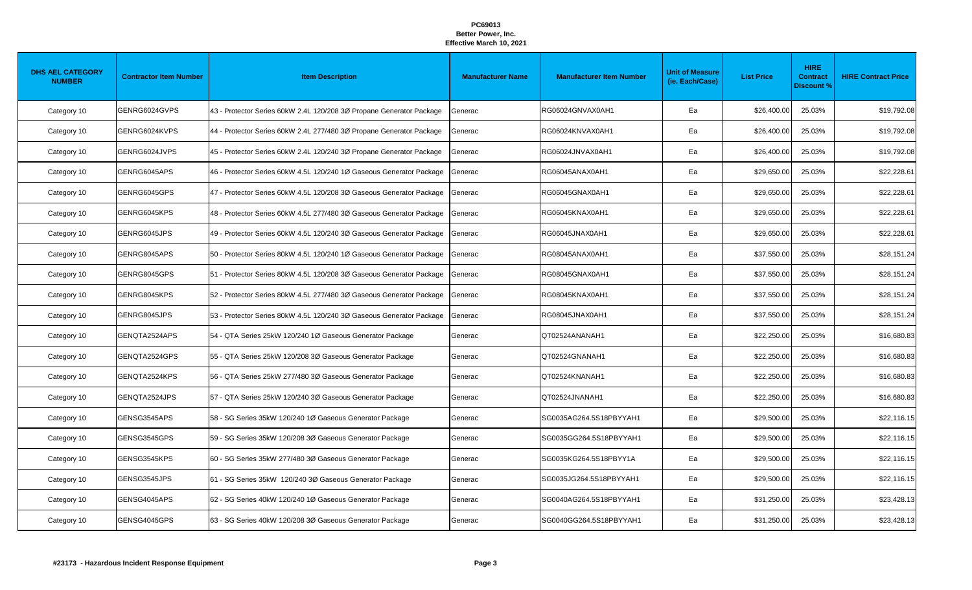| <b>DHS AEL CATEGORY</b><br><b>NUMBER</b> | <b>Contractor Item Number</b> | <b>Item Description</b>                                              | <b>Manufacturer Name</b> | <b>Manufacturer Item Number</b> | <b>Unit of Measure</b><br>(ie. Each/Case) | <b>List Price</b> | <b>HIRE</b><br><b>Contract</b><br><b>Discount %</b> | <b>HIRE Contract Price</b> |
|------------------------------------------|-------------------------------|----------------------------------------------------------------------|--------------------------|---------------------------------|-------------------------------------------|-------------------|-----------------------------------------------------|----------------------------|
| Category 10                              | GENRG6024GVPS                 | 43 - Protector Series 60kW 2.4L 120/208 3Ø Propane Generator Package | Generac                  | RG06024GNVAX0AH1                | Ea                                        | \$26,400.00       | 25.03%                                              | \$19,792.08                |
| Category 10                              | GENRG6024KVPS                 | 44 - Protector Series 60kW 2.4L 277/480 3Ø Propane Generator Package | Generac                  | RG06024KNVAX0AH1                | Ea                                        | \$26,400.00       | 25.03%                                              | \$19,792.08                |
| Category 10                              | GENRG6024JVPS                 | 45 - Protector Series 60kW 2.4L 120/240 3Ø Propane Generator Package | Generac                  | RG06024JNVAX0AH1                | Ea                                        | \$26,400.00       | 25.03%                                              | \$19,792.08                |
| Category 10                              | GENRG6045APS                  | 46 - Protector Series 60kW 4.5L 120/240 1Ø Gaseous Generator Package | Generac                  | RG06045ANAX0AH1                 | Ea                                        | \$29,650.00       | 25.03%                                              | \$22,228.61                |
| Category 10                              | GENRG6045GPS                  | 47 - Protector Series 60kW 4.5L 120/208 3Ø Gaseous Generator Package | Generac                  | RG06045GNAX0AH1                 | Ea                                        | \$29,650.00       | 25.03%                                              | \$22,228.61                |
| Category 10                              | GENRG6045KPS                  | 48 - Protector Series 60kW 4.5L 277/480 3Ø Gaseous Generator Package | Generac                  | RG06045KNAX0AH1                 | Ea                                        | \$29,650.00       | 25.03%                                              | \$22,228.61                |
| Category 10                              | GENRG6045JPS                  | 49 - Protector Series 60kW 4.5L 120/240 3Ø Gaseous Generator Package | Generac                  | RG06045JNAX0AH1                 | Ea                                        | \$29,650.00       | 25.03%                                              | \$22,228.6                 |
| Category 10                              | GENRG8045APS                  | 50 - Protector Series 80kW 4.5L 120/240 1Ø Gaseous Generator Package | Generac                  | RG08045ANAX0AH1                 | Ea                                        | \$37,550.00       | 25.03%                                              | \$28,151.24                |
| Category 10                              | GENRG8045GPS                  | 51 - Protector Series 80kW 4.5L 120/208 3Ø Gaseous Generator Package | Generac                  | RG08045GNAX0AH1                 | Ea                                        | \$37,550.00       | 25.03%                                              | \$28,151.24                |
| Category 10                              | GENRG8045KPS                  | 52 - Protector Series 80kW 4.5L 277/480 3Ø Gaseous Generator Package | Generac                  | RG08045KNAX0AH1                 | Ea                                        | \$37,550.00       | 25.03%                                              | \$28,151.24                |
| Category 10                              | GENRG8045JPS                  | 53 - Protector Series 80kW 4.5L 120/240 3Ø Gaseous Generator Package | Generac                  | RG08045JNAX0AH1                 | Ea                                        | \$37,550.00       | 25.03%                                              | \$28,151.24                |
| Category 10                              | GENQTA2524APS                 | 54 - QTA Series 25kW 120/240 1Ø Gaseous Generator Package            | Generac                  | QT02524ANANAH1                  | Ea                                        | \$22,250.00       | 25.03%                                              | \$16,680.83                |
| Category 10                              | GENQTA2524GPS                 | 55 - QTA Series 25kW 120/208 3Ø Gaseous Generator Package            | Generac                  | QT02524GNANAH1                  | Ea                                        | \$22,250.00       | 25.03%                                              | \$16,680.83                |
| Category 10                              | GENQTA2524KPS                 | 56 - QTA Series 25kW 277/480 3Ø Gaseous Generator Package            | Generac                  | QT02524KNANAH1                  | Ea                                        | \$22,250.00       | 25.03%                                              | \$16,680.83                |
| Category 10                              | GENQTA2524JPS                 | 57 - QTA Series 25kW 120/240 3Ø Gaseous Generator Package            | Generac                  | QT02524JNANAH1                  | Ea                                        | \$22,250.00       | 25.03%                                              | \$16,680.83                |
| Category 10                              | GENSG3545APS                  | 58 - SG Series 35kW 120/240 1Ø Gaseous Generator Package             | Generac                  | SG0035AG264.5S18PBYYAH1         | Ea                                        | \$29,500.00       | 25.03%                                              | \$22,116.15                |
| Category 10                              | GENSG3545GPS                  | 59 - SG Series 35kW 120/208 3Ø Gaseous Generator Package             | Generac                  | SG0035GG264.5S18PBYYAH1         | Ea                                        | \$29,500.00       | 25.03%                                              | \$22,116.15                |
| Category 10                              | GENSG3545KPS                  | 60 - SG Series 35kW 277/480 3Ø Gaseous Generator Package             | Generac                  | SG0035KG264.5S18PBYY1A          | Ea                                        | \$29,500.00       | 25.03%                                              | \$22,116.15                |
| Category 10                              | GENSG3545JPS                  | 61 - SG Series 35kW 120/240 3Ø Gaseous Generator Package             | Generac                  | SG0035JG264.5S18PBYYAH1         | Ea                                        | \$29,500.00       | 25.03%                                              | \$22,116.15                |
| Category 10                              | GENSG4045APS                  | 62 - SG Series 40kW 120/240 1Ø Gaseous Generator Package             | Generac                  | SG0040AG264.5S18PBYYAH1         | Ea                                        | \$31,250.00       | 25.03%                                              | \$23,428.13                |
| Category 10                              | GENSG4045GPS                  | 63 - SG Series 40kW 120/208 3Ø Gaseous Generator Package             | Generac                  | SG0040GG264.5S18PBYYAH1         | Ea                                        | \$31,250.00       | 25.03%                                              | \$23,428.13                |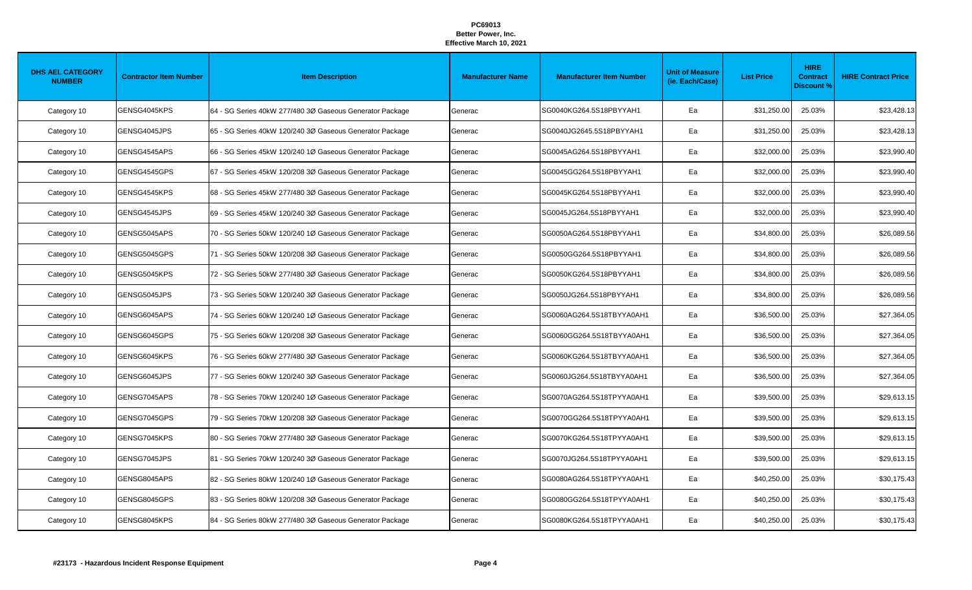| <b>DHS AEL CATEGORY</b><br><b>NUMBER</b> | <b>Contractor Item Number</b> | <b>Item Description</b>                                  | <b>Manufacturer Name</b> | <b>Manufacturer Item Number</b> | <b>Unit of Measure</b><br>(ie. Each/Case) | <b>List Price</b> | <b>HIRE</b><br><b>Contract</b><br><b>Discount %</b> | <b>HIRE Contract Price</b> |
|------------------------------------------|-------------------------------|----------------------------------------------------------|--------------------------|---------------------------------|-------------------------------------------|-------------------|-----------------------------------------------------|----------------------------|
| Category 10                              | GENSG4045KPS                  | 64 - SG Series 40kW 277/480 3Ø Gaseous Generator Package | Generac                  | SG0040KG264.5S18PBYYAH1         | Ea                                        | \$31,250.00       | 25.03%                                              | \$23,428.13                |
| Category 10                              | GENSG4045JPS                  | 65 - SG Series 40kW 120/240 3Ø Gaseous Generator Package | Generac                  | SG0040JG2645.5S18PBYYAH1        | Ea                                        | \$31,250.00       | 25.03%                                              | \$23,428.13                |
| Category 10                              | GENSG4545APS                  | 66 - SG Series 45kW 120/240 1Ø Gaseous Generator Package | Generac                  | SG0045AG264.5S18PBYYAH1         | Ea                                        | \$32,000.00       | 25.03%                                              | \$23,990.40                |
| Category 10                              | GENSG4545GPS                  | 67 - SG Series 45kW 120/208 3Ø Gaseous Generator Package | Generac                  | SG0045GG264.5S18PBYYAH1         | Ea                                        | \$32,000.00       | 25.03%                                              | \$23,990.40                |
| Category 10                              | GENSG4545KPS                  | 68 - SG Series 45kW 277/480 3Ø Gaseous Generator Package | Generac                  | SG0045KG264.5S18PBYYAH1         | Ea                                        | \$32,000.00       | 25.03%                                              | \$23,990.40                |
| Category 10                              | GENSG4545JPS                  | 69 - SG Series 45kW 120/240 3Ø Gaseous Generator Package | Generac                  | SG0045JG264.5S18PBYYAH1         | Ea                                        | \$32,000.00       | 25.03%                                              | \$23,990.40                |
| Category 10                              | GENSG5045APS                  | 70 - SG Series 50kW 120/240 1Ø Gaseous Generator Package | Generac                  | SG0050AG264.5S18PBYYAH1         | Ea                                        | \$34,800.00       | 25.03%                                              | \$26,089.56                |
| Category 10                              | GENSG5045GPS                  | 71 - SG Series 50kW 120/208 3Ø Gaseous Generator Package | Generac                  | SG0050GG264.5S18PBYYAH1         | Ea                                        | \$34,800.00       | 25.03%                                              | \$26,089.56                |
| Category 10                              | GENSG5045KPS                  | 72 - SG Series 50kW 277/480 3Ø Gaseous Generator Package | Generac                  | SG0050KG264.5S18PBYYAH1         | Ea                                        | \$34,800.00       | 25.03%                                              | \$26,089.56                |
| Category 10                              | GENSG5045JPS                  | 73 - SG Series 50kW 120/240 3Ø Gaseous Generator Package | Generac                  | SG0050JG264.5S18PBYYAH1         | Ea                                        | \$34,800.00       | 25.03%                                              | \$26,089.56                |
| Category 10                              | GENSG6045APS                  | 74 - SG Series 60kW 120/240 1Ø Gaseous Generator Package | Generac                  | SG0060AG264.5S18TBYYA0AH1       | Ea                                        | \$36,500.00       | 25.03%                                              | \$27,364.05                |
| Category 10                              | GENSG6045GPS                  | 75 - SG Series 60kW 120/208 3Ø Gaseous Generator Package | Generac                  | SG0060GG264.5S18TBYYA0AH1       | Ea                                        | \$36,500.00       | 25.03%                                              | \$27,364.05                |
| Category 10                              | GENSG6045KPS                  | 76 - SG Series 60kW 277/480 3Ø Gaseous Generator Package | Generac                  | SG0060KG264.5S18TBYYA0AH1       | Ea                                        | \$36,500.00       | 25.03%                                              | \$27,364.05                |
| Category 10                              | GENSG6045JPS                  | 77 - SG Series 60kW 120/240 3Ø Gaseous Generator Package | Generac                  | SG0060JG264.5S18TBYYA0AH1       | Ea                                        | \$36,500.00       | 25.03%                                              | \$27,364.05                |
| Category 10                              | GENSG7045APS                  | 78 - SG Series 70kW 120/240 1Ø Gaseous Generator Package | Generac                  | SG0070AG264.5S18TPYYA0AH1       | Ea                                        | \$39,500.00       | 25.03%                                              | \$29,613.15                |
| Category 10                              | GENSG7045GPS                  | 79 - SG Series 70kW 120/208 3Ø Gaseous Generator Package | Generac                  | SG0070GG264.5S18TPYYA0AH1       | Ea                                        | \$39,500.00       | 25.03%                                              | \$29,613.15                |
| Category 10                              | GENSG7045KPS                  | 80 - SG Series 70kW 277/480 3Ø Gaseous Generator Package | Generac                  | SG0070KG264.5S18TPYYA0AH1       | Ea                                        | \$39,500.00       | 25.03%                                              | \$29,613.15                |
| Category 10                              | GENSG7045JPS                  | 81 - SG Series 70kW 120/240 3Ø Gaseous Generator Package | Generac                  | SG0070JG264.5S18TPYYA0AH1       | Ea                                        | \$39,500.00       | 25.03%                                              | \$29,613.15                |
| Category 10                              | GENSG8045APS                  | 82 - SG Series 80kW 120/240 1Ø Gaseous Generator Package | Generac                  | SG0080AG264.5S18TPYYA0AH1       | Ea                                        | \$40,250.00       | 25.03%                                              | \$30,175.43                |
| Category 10                              | GENSG8045GPS                  | 83 - SG Series 80kW 120/208 3Ø Gaseous Generator Package | Generac                  | SG0080GG264.5S18TPYYA0AH1       | Ea                                        | \$40,250.00       | 25.03%                                              | \$30,175.43                |
| Category 10                              | GENSG8045KPS                  | 84 - SG Series 80kW 277/480 3Ø Gaseous Generator Package | Generac                  | SG0080KG264.5S18TPYYA0AH1       | Ea                                        | \$40,250.00       | 25.03%                                              | \$30,175.43                |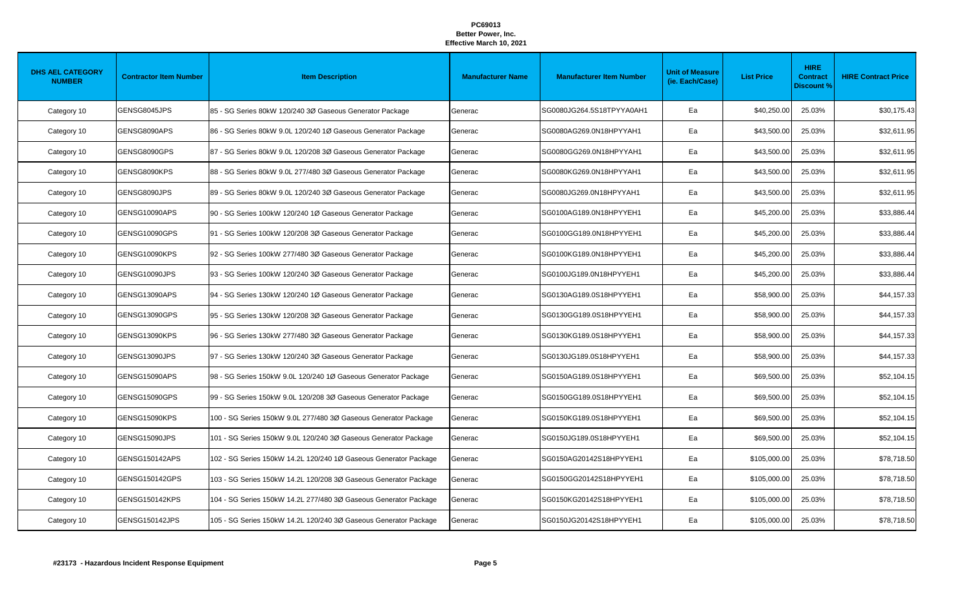| <b>DHS AEL CATEGORY</b><br><b>NUMBER</b> | <b>Contractor Item Number</b> | <b>Item Description</b>                                          | <b>Manufacturer Name</b> | <b>Manufacturer Item Number</b> | <b>Unit of Measure</b><br>(ie. Each/Case) | <b>List Price</b> | <b>HIRE</b><br><b>Contract</b><br><b>Discount %</b> | <b>HIRE Contract Price</b> |
|------------------------------------------|-------------------------------|------------------------------------------------------------------|--------------------------|---------------------------------|-------------------------------------------|-------------------|-----------------------------------------------------|----------------------------|
| Category 10                              | GENSG8045JPS                  | 85 - SG Series 80kW 120/240 3Ø Gaseous Generator Package         | Generac                  | SG0080JG264.5S18TPYYA0AH1       | Ea                                        | \$40,250.00       | 25.03%                                              | \$30,175.43                |
| Category 10                              | GENSG8090APS                  | 86 - SG Series 80kW 9.0L 120/240 1Ø Gaseous Generator Package    | Generac                  | SG0080AG269.0N18HPYYAH1         | Ea                                        | \$43,500.00       | 25.03%                                              | \$32,611.95                |
| Category 10                              | GENSG8090GPS                  | 87 - SG Series 80kW 9.0L 120/208 3Ø Gaseous Generator Package    | Generac                  | SG0080GG269.0N18HPYYAH1         | Ea                                        | \$43,500.00       | 25.03%                                              | \$32,611.95                |
| Category 10                              | GENSG8090KPS                  | 88 - SG Series 80kW 9.0L 277/480 3Ø Gaseous Generator Package    | Generac                  | SG0080KG269.0N18HPYYAH1         | Ea                                        | \$43,500.00       | 25.03%                                              | \$32,611.95                |
| Category 10                              | GENSG8090JPS                  | 89 - SG Series 80kW 9.0L 120/240 3Ø Gaseous Generator Package    | Generac                  | SG0080JG269.0N18HPYYAH1         | Ea                                        | \$43,500.00       | 25.03%                                              | \$32,611.95                |
| Category 10                              | GENSG10090APS                 | 90 - SG Series 100kW 120/240 1Ø Gaseous Generator Package        | Generac                  | SG0100AG189.0N18HPYYEH1         | Ea                                        | \$45,200.00       | 25.03%                                              | \$33,886.44                |
| Category 10                              | GENSG10090GPS                 | 91 - SG Series 100kW 120/208 3Ø Gaseous Generator Package        | Generac                  | SG0100GG189.0N18HPYYEH1         | Ea                                        | \$45,200.00       | 25.03%                                              | \$33,886.44                |
| Category 10                              | GENSG10090KPS                 | 92 - SG Series 100kW 277/480 3Ø Gaseous Generator Package        | Generac                  | SG0100KG189.0N18HPYYEH1         | Ea                                        | \$45,200.00       | 25.03%                                              | \$33,886.44                |
| Category 10                              | GENSG10090JPS                 | 93 - SG Series 100kW 120/240 3Ø Gaseous Generator Package        | Generac                  | SG0100JG189.0N18HPYYEH1         | Ea                                        | \$45,200.00       | 25.03%                                              | \$33,886.44                |
| Category 10                              | GENSG13090APS                 | 94 - SG Series 130kW 120/240 1Ø Gaseous Generator Package        | Generac                  | SG0130AG189.0S18HPYYEH1         | Ea                                        | \$58,900.00       | 25.03%                                              | \$44,157.33                |
| Category 10                              | GENSG13090GPS                 | 95 - SG Series 130kW 120/208 3Ø Gaseous Generator Package        | Generac                  | SG0130GG189.0S18HPYYEH1         | Ea                                        | \$58,900.00       | 25.03%                                              | \$44,157.33                |
| Category 10                              | GENSG13090KPS                 | 96 - SG Series 130kW 277/480 3Ø Gaseous Generator Package        | Generac                  | SG0130KG189.0S18HPYYEH1         | Ea                                        | \$58,900.00       | 25.03%                                              | \$44,157.33                |
| Category 10                              | GENSG13090JPS                 | 97 - SG Series 130kW 120/240 3Ø Gaseous Generator Package        | Generac                  | SG0130JG189.0S18HPYYEH1         | Ea                                        | \$58,900.00       | 25.03%                                              | \$44,157.33                |
| Category 10                              | GENSG15090APS                 | 98 - SG Series 150kW 9.0L 120/240 1Ø Gaseous Generator Package   | Generac                  | SG0150AG189.0S18HPYYEH1         | Ea                                        | \$69,500.00       | 25.03%                                              | \$52,104.15                |
| Category 10                              | GENSG15090GPS                 | 99 - SG Series 150kW 9.0L 120/208 3Ø Gaseous Generator Package   | Generac                  | SG0150GG189.0S18HPYYEH1         | Ea                                        | \$69,500.00       | 25.03%                                              | \$52,104.15                |
| Category 10                              | GENSG15090KPS                 | 100 - SG Series 150kW 9.0L 277/480 3Ø Gaseous Generator Package  | Generac                  | SG0150KG189.0S18HPYYEH1         | Ea                                        | \$69,500.00       | 25.03%                                              | \$52,104.15                |
| Category 10                              | GENSG15090JPS                 | 101 - SG Series 150kW 9.0L 120/240 3Ø Gaseous Generator Package  | Generac                  | SG0150JG189.0S18HPYYEH1         | Ea                                        | \$69,500.00       | 25.03%                                              | \$52,104.15                |
| Category 10                              | GENSG150142APS                | 102 - SG Series 150kW 14.2L 120/240 1Ø Gaseous Generator Package | Generac                  | SG0150AG20142S18HPYYEH1         | Ea                                        | \$105,000.00      | 25.03%                                              | \$78,718.50                |
| Category 10                              | GENSG150142GPS                | 103 - SG Series 150kW 14.2L 120/208 3Ø Gaseous Generator Package | Generac                  | SG0150GG20142S18HPYYEH1         | Ea                                        | \$105,000.00      | 25.03%                                              | \$78,718.50                |
| Category 10                              | GENSG150142KPS                | 104 - SG Series 150kW 14.2L 277/480 3Ø Gaseous Generator Package | Generac                  | SG0150KG20142S18HPYYEH1         | Ea                                        | \$105,000.00      | 25.03%                                              | \$78,718.50                |
| Category 10                              | GENSG150142JPS                | 105 - SG Series 150kW 14.2L 120/240 3Ø Gaseous Generator Package | Generac                  | SG0150JG20142S18HPYYEH1         | Ea                                        | \$105,000.00      | 25.03%                                              | \$78,718.50                |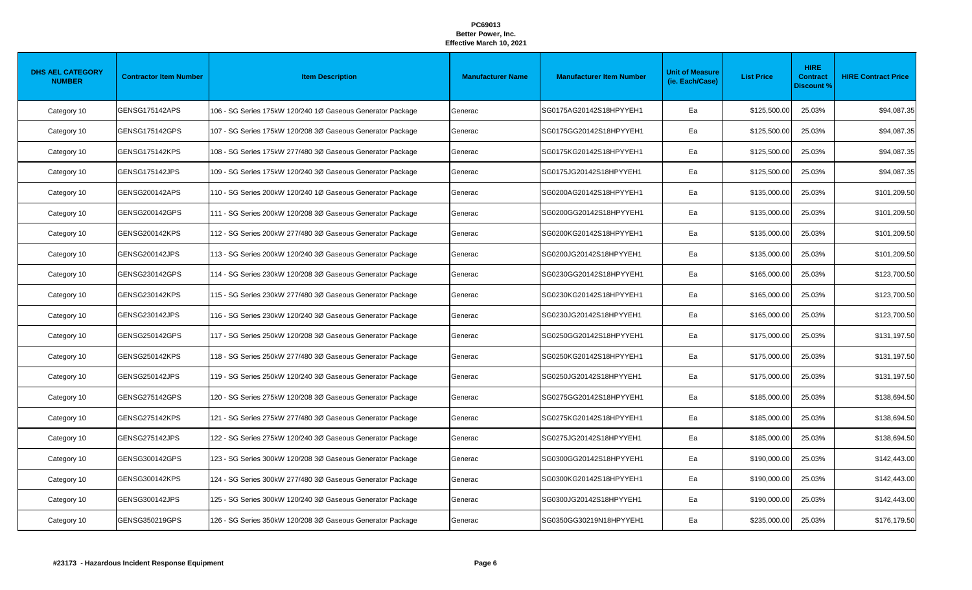| <b>DHS AEL CATEGORY</b><br><b>NUMBER</b> | <b>Contractor Item Number</b> | <b>Item Description</b>                                    | <b>Manufacturer Name</b> | <b>Manufacturer Item Number</b> | <b>Unit of Measure</b><br>(ie. Each/Case) | <b>List Price</b> | <b>HIRE</b><br><b>Contract</b><br><b>Discount %</b> | <b>HIRE Contract Price</b> |
|------------------------------------------|-------------------------------|------------------------------------------------------------|--------------------------|---------------------------------|-------------------------------------------|-------------------|-----------------------------------------------------|----------------------------|
| Category 10                              | GENSG175142APS                | 106 - SG Series 175kW 120/240 1Ø Gaseous Generator Package | Generac                  | SG0175AG20142S18HPYYEH1         | Ea                                        | \$125,500.00      | 25.03%                                              | \$94,087.35                |
| Category 10                              | GENSG175142GPS                | 107 - SG Series 175kW 120/208 3Ø Gaseous Generator Package | Generac                  | SG0175GG20142S18HPYYEH1         | Ea                                        | \$125,500.00      | 25.03%                                              | \$94,087.35                |
| Category 10                              | <b>GENSG175142KPS</b>         | 108 - SG Series 175kW 277/480 3Ø Gaseous Generator Package | Generac                  | SG0175KG20142S18HPYYEH1         | Ea                                        | \$125,500.00      | 25.03%                                              | \$94,087.35                |
| Category 10                              | GENSG175142JPS                | 109 - SG Series 175kW 120/240 3Ø Gaseous Generator Package | Generac                  | SG0175JG20142S18HPYYEH1         | Ea                                        | \$125,500.00      | 25.03%                                              | \$94,087.35                |
| Category 10                              | GENSG200142APS                | 110 - SG Series 200kW 120/240 1Ø Gaseous Generator Package | Generac                  | SG0200AG20142S18HPYYEH1         | Ea                                        | \$135,000.00      | 25.03%                                              | \$101,209.50               |
| Category 10                              | GENSG200142GPS                | 111 - SG Series 200kW 120/208 3Ø Gaseous Generator Package | Generac                  | SG0200GG20142S18HPYYEH1         | Ea                                        | \$135,000.00      | 25.03%                                              | \$101,209.50               |
| Category 10                              | GENSG200142KPS                | 112 - SG Series 200kW 277/480 3Ø Gaseous Generator Package | Generac                  | SG0200KG20142S18HPYYEH1         | Ea                                        | \$135,000.00      | 25.03%                                              | \$101,209.50               |
| Category 10                              | <b>GENSG200142JPS</b>         | 113 - SG Series 200kW 120/240 3Ø Gaseous Generator Package | Generac                  | SG0200JG20142S18HPYYEH1         | Ea                                        | \$135,000.00      | 25.03%                                              | \$101,209.50               |
| Category 10                              | GENSG230142GPS                | 114 - SG Series 230kW 120/208 3Ø Gaseous Generator Package | Generac                  | SG0230GG20142S18HPYYEH1         | Ea                                        | \$165,000.00      | 25.03%                                              | \$123,700.50               |
| Category 10                              | GENSG230142KPS                | 115 - SG Series 230kW 277/480 3Ø Gaseous Generator Package | Generac                  | SG0230KG20142S18HPYYEH1         | Ea                                        | \$165,000.00      | 25.03%                                              | \$123,700.50               |
| Category 10                              | GENSG230142JPS                | 116 - SG Series 230kW 120/240 3Ø Gaseous Generator Package | Generac                  | SG0230JG20142S18HPYYEH1         | Ea                                        | \$165,000.00      | 25.03%                                              | \$123,700.50               |
| Category 10                              | GENSG250142GPS                | 117 - SG Series 250kW 120/208 3Ø Gaseous Generator Package | Generac                  | SG0250GG20142S18HPYYEH1         | Ea                                        | \$175,000.00      | 25.03%                                              | \$131,197.50               |
| Category 10                              | GENSG250142KPS                | 118 - SG Series 250kW 277/480 3Ø Gaseous Generator Package | Generac                  | SG0250KG20142S18HPYYEH1         | Ea                                        | \$175,000.00      | 25.03%                                              | \$131,197.50               |
| Category 10                              | GENSG250142JPS                | 119 - SG Series 250kW 120/240 3Ø Gaseous Generator Package | Generac                  | SG0250JG20142S18HPYYEH1         | Ea                                        | \$175,000.00      | 25.03%                                              | \$131,197.50               |
| Category 10                              | GENSG275142GPS                | 120 - SG Series 275kW 120/208 3Ø Gaseous Generator Package | Generac                  | SG0275GG20142S18HPYYEH1         | Ea                                        | \$185,000.00      | 25.03%                                              | \$138,694.50               |
| Category 10                              | <b>GENSG275142KPS</b>         | 121 - SG Series 275kW 277/480 3Ø Gaseous Generator Package | Generac                  | SG0275KG20142S18HPYYEH1         | Ea                                        | \$185,000.00      | 25.03%                                              | \$138,694.50               |
| Category 10                              | GENSG275142JPS                | 122 - SG Series 275kW 120/240 3Ø Gaseous Generator Package | Generac                  | SG0275JG20142S18HPYYEH1         | Ea                                        | \$185,000.00      | 25.03%                                              | \$138,694.50               |
| Category 10                              | GENSG300142GPS                | 123 - SG Series 300kW 120/208 3Ø Gaseous Generator Package | Generac                  | SG0300GG20142S18HPYYEH1         | Ea                                        | \$190,000.00      | 25.03%                                              | \$142,443.00               |
| Category 10                              | <b>GENSG300142KPS</b>         | 124 - SG Series 300kW 277/480 3Ø Gaseous Generator Package | Generac                  | SG0300KG20142S18HPYYEH1         | Ea                                        | \$190,000.00      | 25.03%                                              | \$142,443.00               |
| Category 10                              | GENSG300142JPS                | 125 - SG Series 300kW 120/240 3Ø Gaseous Generator Package | Generac                  | SG0300JG20142S18HPYYEH1         | Ea                                        | \$190,000.00      | 25.03%                                              | \$142,443.00               |
| Category 10                              | GENSG350219GPS                | 126 - SG Series 350kW 120/208 3Ø Gaseous Generator Package | Generac                  | SG0350GG30219N18HPYYEH1         | Ea                                        | \$235,000.00      | 25.03%                                              | \$176,179.50               |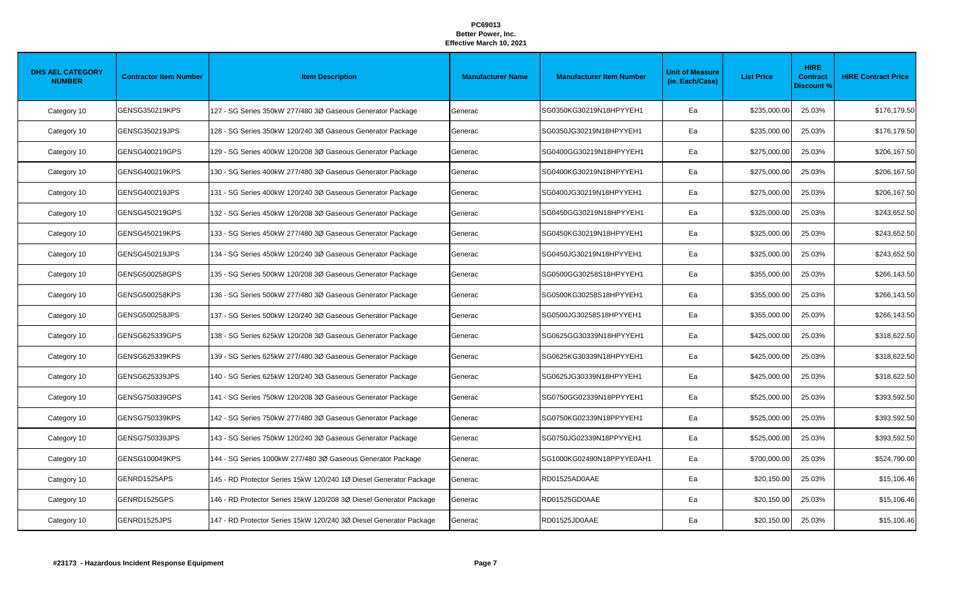| <b>DHS AEL CATEGORY</b><br><b>NUMBER</b> | <b>Contractor Item Number</b> | <b>Item Description</b>                                            | <b>Manufacturer Name</b> | <b>Manufacturer Item Number</b> | <b>Unit of Measure</b><br>(ie. Each/Case) | <b>List Price</b> | <b>HIRE</b><br><b>Contract</b><br><b>Discount %</b> | <b>HIRE Contract Price</b> |
|------------------------------------------|-------------------------------|--------------------------------------------------------------------|--------------------------|---------------------------------|-------------------------------------------|-------------------|-----------------------------------------------------|----------------------------|
| Category 10                              | <b>GENSG350219KPS</b>         | 127 - SG Series 350kW 277/480 3Ø Gaseous Generator Package         | Generac                  | SG0350KG30219N18HPYYEH1         | Ea                                        | \$235,000.00      | 25.03%                                              | \$176,179.50               |
| Category 10                              | GENSG350219JPS                | 128 - SG Series 350kW 120/240 3Ø Gaseous Generator Package         | Generac                  | SG0350JG30219N18HPYYEH1         | Ea                                        | \$235,000.00      | 25.03%                                              | \$176,179.50               |
| Category 10                              | GENSG400219GPS                | 129 - SG Series 400kW 120/208 3Ø Gaseous Generator Package         | Generac                  | SG0400GG30219N18HPYYEH1         | Ea                                        | \$275,000.00      | 25.03%                                              | \$206,167.50               |
| Category 10                              | <b>GENSG400219KPS</b>         | 130 - SG Series 400kW 277/480 3Ø Gaseous Generator Package         | Generac                  | SG0400KG30219N18HPYYEH1         | Ea                                        | \$275,000.00      | 25.03%                                              | \$206,167.50               |
| Category 10                              | GENSG400219JPS                | 131 - SG Series 400kW 120/240 3Ø Gaseous Generator Package         | Generac                  | SG0400JG30219N18HPYYEH1         | Ea                                        | \$275,000.00      | 25.03%                                              | \$206,167.50               |
| Category 10                              | GENSG450219GPS                | 132 - SG Series 450kW 120/208 3Ø Gaseous Generator Package         | Generac                  | SG0450GG30219N18HPYYEH1         | Ea                                        | \$325,000.00      | 25.03%                                              | \$243,652.50               |
| Category 10                              | GENSG450219KPS                | 133 - SG Series 450kW 277/480 3Ø Gaseous Generator Package         | Generac                  | SG0450KG30219N18HPYYEH1         | Ea                                        | \$325,000.00      | 25.03%                                              | \$243,652.50               |
| Category 10                              | <b>GENSG450219JPS</b>         | 134 - SG Series 450kW 120/240 3Ø Gaseous Generator Package         | Generac                  | SG0450JG30219N18HPYYEH1         | Ea                                        | \$325,000.00      | 25.03%                                              | \$243,652.50               |
| Category 10                              | GENSG500258GPS                | 135 - SG Series 500kW 120/208 3Ø Gaseous Generator Package         | Generac                  | SG0500GG30258S18HPYYEH1         | Ea                                        | \$355,000.00      | 25.03%                                              | \$266,143.50               |
| Category 10                              | GENSG500258KPS                | 136 - SG Series 500kW 277/480 3Ø Gaseous Generator Package         | Generac                  | SG0500KG30258S18HPYYEH1         | Ea                                        | \$355,000.00      | 25.03%                                              | \$266,143.50               |
| Category 10                              | GENSG500258JPS                | 137 - SG Series 500kW 120/240 3Ø Gaseous Generator Package         | Generac                  | SG0500JG30258S18HPYYEH1         | Ea                                        | \$355,000.00      | 25.03%                                              | \$266,143.50               |
| Category 10                              | GENSG625339GPS                | 138 - SG Series 625kW 120/208 3Ø Gaseous Generator Package         | Generac                  | SG0625GG30339N18HPYYEH1         | Ea                                        | \$425,000.00      | 25.03%                                              | \$318,622.50               |
| Category 10                              | GENSG625339KPS                | 139 - SG Series 625kW 277/480 3Ø Gaseous Generator Package         | Generac                  | SG0625KG30339N18HPYYEH1         | Ea                                        | \$425,000.00      | 25.03%                                              | \$318,622.50               |
| Category 10                              | GENSG625339JPS                | 140 - SG Series 625kW 120/240 3Ø Gaseous Generator Package         | Generac                  | SG0625JG30339N18HPYYEH1         | Ea                                        | \$425,000.00      | 25.03%                                              | \$318,622.50               |
| Category 10                              | GENSG750339GPS                | 141 - SG Series 750kW 120/208 3Ø Gaseous Generator Package         | Generac                  | SG0750GG02339N18PPYYEH1         | Ea                                        | \$525,000.00      | 25.03%                                              | \$393,592.50               |
| Category 10                              | <b>GENSG750339KPS</b>         | 142 - SG Series 750kW 277/480 3Ø Gaseous Generator Package         | Generac                  | SG0750KG02339N18PPYYEH1         | Ea                                        | \$525,000.00      | 25.03%                                              | \$393,592.50               |
| Category 10                              | GENSG750339JPS                | 143 - SG Series 750kW 120/240 3Ø Gaseous Generator Package         | Generac                  | SG0750JG02339N18PPYYEH1         | Ea                                        | \$525,000.00      | 25.03%                                              | \$393,592.50               |
| Category 10                              | GENSG100049KPS                | 144 - SG Series 1000kW 277/480 3Ø Gaseous Generator Package        | Generac                  | SG1000KG02490N18PPYYE0AH1       | Ea                                        | \$700,000.00      | 25.03%                                              | \$524,790.00               |
| Category 10                              | GENRD1525APS                  | 145 - RD Protector Series 15kW 120/240 1Ø Diesel Generator Package | Generac                  | RD01525AD0AAE                   | Ea                                        | \$20,150.00       | 25.03%                                              | \$15,106.46                |
| Category 10                              | GENRD1525GPS                  | 146 - RD Protector Series 15kW 120/208 3Ø Diesel Generator Package | Generac                  | RD01525GD0AAE                   | Ea                                        | \$20,150.00       | 25.03%                                              | \$15,106.46                |
| Category 10                              | GENRD1525JPS                  | 147 - RD Protector Series 15kW 120/240 3Ø Diesel Generator Package | Generac                  | RD01525JD0AAE                   | Ea                                        | \$20,150.00       | 25.03%                                              | \$15,106.46                |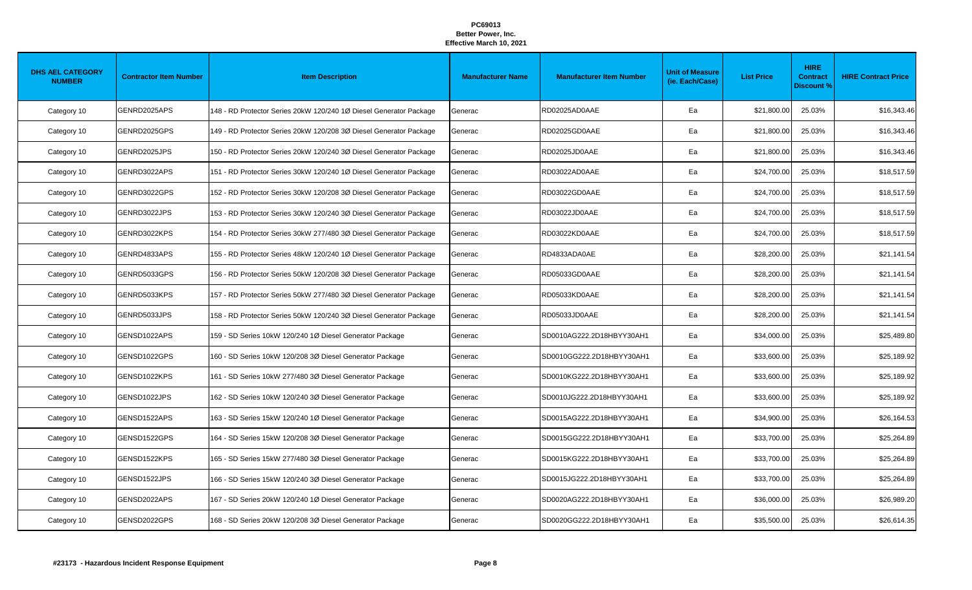| <b>DHS AEL CATEGORY</b><br><b>NUMBER</b> | <b>Contractor Item Number</b> | <b>Item Description</b>                                            | <b>Manufacturer Name</b> | <b>Manufacturer Item Number</b> | <b>Unit of Measure</b><br>(ie. Each/Case) | <b>List Price</b> | <b>HIRE</b><br><b>Contract</b><br><b>Discount %</b> | <b>HIRE Contract Price</b> |
|------------------------------------------|-------------------------------|--------------------------------------------------------------------|--------------------------|---------------------------------|-------------------------------------------|-------------------|-----------------------------------------------------|----------------------------|
| Category 10                              | GENRD2025APS                  | 148 - RD Protector Series 20kW 120/240 1Ø Diesel Generator Package | Generac                  | RD02025AD0AAE                   | Ea                                        | \$21,800.00       | 25.03%                                              | \$16,343.46                |
| Category 10                              | GENRD2025GPS                  | 149 - RD Protector Series 20kW 120/208 3Ø Diesel Generator Package | Generac                  | RD02025GD0AAE                   | Ea                                        | \$21,800.00       | 25.03%                                              | \$16,343.46                |
| Category 10                              | GENRD2025JPS                  | 150 - RD Protector Series 20kW 120/240 3Ø Diesel Generator Package | Generac                  | RD02025JD0AAE                   | Ea                                        | \$21,800.00       | 25.03%                                              | \$16,343.46                |
| Category 10                              | GENRD3022APS                  | 151 - RD Protector Series 30kW 120/240 1Ø Diesel Generator Package | Generac                  | RD03022AD0AAE                   | Ea                                        | \$24,700.00       | 25.03%                                              | \$18,517.59                |
| Category 10                              | GENRD3022GPS                  | 152 - RD Protector Series 30kW 120/208 3Ø Diesel Generator Package | Generac                  | RD03022GD0AAE                   | Ea                                        | \$24,700.00       | 25.03%                                              | \$18,517.59                |
| Category 10                              | GENRD3022JPS                  | 153 - RD Protector Series 30kW 120/240 3Ø Diesel Generator Package | Generac                  | RD03022JD0AAE                   | Ea                                        | \$24,700.00       | 25.03%                                              | \$18,517.59                |
| Category 10                              | GENRD3022KPS                  | 154 - RD Protector Series 30kW 277/480 3Ø Diesel Generator Package | Generac                  | RD03022KD0AAE                   | Ea                                        | \$24,700.00       | 25.03%                                              | \$18,517.59                |
| Category 10                              | GENRD4833APS                  | 155 - RD Protector Series 48kW 120/240 1Ø Diesel Generator Package | Generac                  | RD4833ADA0AE                    | Ea                                        | \$28,200.00       | 25.03%                                              | \$21,141.54                |
| Category 10                              | GENRD5033GPS                  | 156 - RD Protector Series 50kW 120/208 3Ø Diesel Generator Package | Generac                  | RD05033GD0AAE                   | Ea                                        | \$28,200.00       | 25.03%                                              | \$21,141.54                |
| Category 10                              | GENRD5033KPS                  | 157 - RD Protector Series 50kW 277/480 3Ø Diesel Generator Package | Generac                  | RD05033KD0AAE                   | Ea                                        | \$28,200.00       | 25.03%                                              | \$21,141.54                |
| Category 10                              | GENRD5033JPS                  | 158 - RD Protector Series 50kW 120/240 3Ø Diesel Generator Package | Generac                  | RD05033JD0AAE                   | Ea                                        | \$28,200.00       | 25.03%                                              | \$21,141.54                |
| Category 10                              | GENSD1022APS                  | 159 - SD Series 10kW 120/240 1Ø Diesel Generator Package           | Generac                  | SD0010AG222.2D18HBYY30AH1       | Ea                                        | \$34,000.00       | 25.03%                                              | \$25,489.80                |
| Category 10                              | GENSD1022GPS                  | 160 - SD Series 10kW 120/208 3Ø Diesel Generator Package           | Generac                  | SD0010GG222.2D18HBYY30AH1       | Ea                                        | \$33,600.00       | 25.03%                                              | \$25,189.92                |
| Category 10                              | GENSD1022KPS                  | 161 - SD Series 10kW 277/480 3Ø Diesel Generator Package           | Generac                  | SD0010KG222.2D18HBYY30AH1       | Ea                                        | \$33,600.00       | 25.03%                                              | \$25,189.92                |
| Category 10                              | GENSD1022JPS                  | 162 - SD Series 10kW 120/240 3Ø Diesel Generator Package           | Generac                  | SD0010JG222.2D18HBYY30AH1       | Ea                                        | \$33,600.00       | 25.03%                                              | \$25,189.92                |
| Category 10                              | GENSD1522APS                  | 163 - SD Series 15kW 120/240 1Ø Diesel Generator Package           | Generac                  | SD0015AG222.2D18HBYY30AH1       | Ea                                        | \$34,900.00       | 25.03%                                              | \$26,164.53                |
| Category 10                              | GENSD1522GPS                  | 164 - SD Series 15kW 120/208 3Ø Diesel Generator Package           | Generac                  | SD0015GG222.2D18HBYY30AH1       | Ea                                        | \$33,700.00       | 25.03%                                              | \$25,264.89                |
| Category 10                              | GENSD1522KPS                  | 165 - SD Series 15kW 277/480 3Ø Diesel Generator Package           | Generac                  | SD0015KG222.2D18HBYY30AH1       | Ea                                        | \$33,700.00       | 25.03%                                              | \$25,264.89                |
| Category 10                              | GENSD1522JPS                  | 166 - SD Series 15kW 120/240 3Ø Diesel Generator Package           | Generac                  | SD0015JG222.2D18HBYY30AH1       | Ea                                        | \$33,700.00       | 25.03%                                              | \$25,264.89                |
| Category 10                              | GENSD2022APS                  | 167 - SD Series 20kW 120/240 1Ø Diesel Generator Package           | Generac                  | SD0020AG222.2D18HBYY30AH1       | Ea                                        | \$36,000.00       | 25.03%                                              | \$26,989.20                |
| Category 10                              | GENSD2022GPS                  | 168 - SD Series 20kW 120/208 3Ø Diesel Generator Package           | Generac                  | SD0020GG222.2D18HBYY30AH1       | Ea                                        | \$35,500.00       | 25.03%                                              | \$26,614.35                |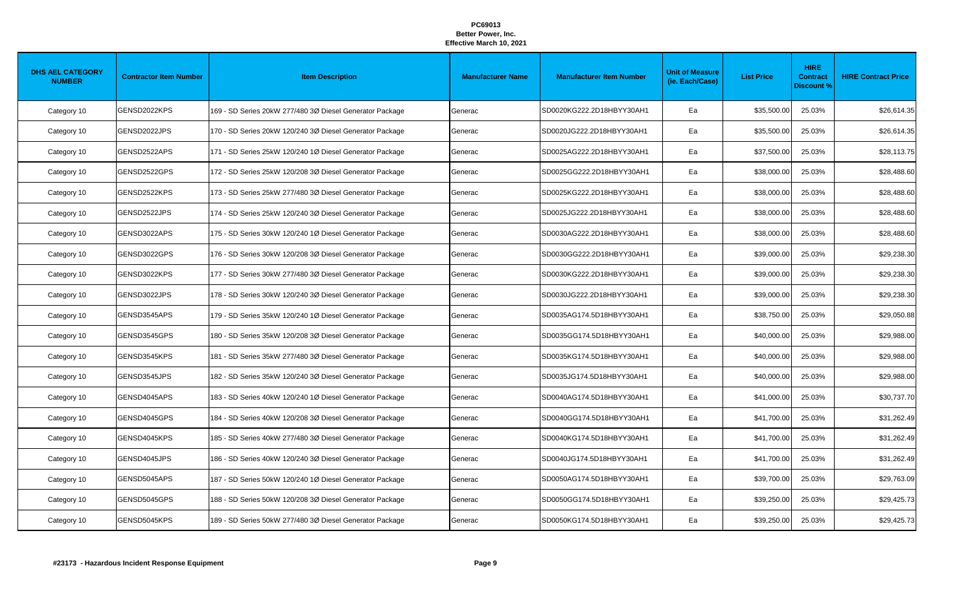| <b>DHS AEL CATEGORY</b><br><b>NUMBER</b> | <b>Contractor Item Number</b> | <b>Item Description</b>                                  | <b>Manufacturer Name</b> | <b>Manufacturer Item Number</b> | <b>Unit of Measure</b><br>(ie. Each/Case) | <b>List Price</b> | <b>HIRE</b><br><b>Contract</b><br><b>Discount %</b> | <b>HIRE Contract Price</b> |
|------------------------------------------|-------------------------------|----------------------------------------------------------|--------------------------|---------------------------------|-------------------------------------------|-------------------|-----------------------------------------------------|----------------------------|
| Category 10                              | GENSD2022KPS                  | 169 - SD Series 20kW 277/480 3Ø Diesel Generator Package | Generac                  | SD0020KG222.2D18HBYY30AH1       | Ea                                        | \$35,500.00       | 25.03%                                              | \$26,614.35                |
| Category 10                              | GENSD2022JPS                  | 170 - SD Series 20kW 120/240 3Ø Diesel Generator Package | Generac                  | SD0020JG222.2D18HBYY30AH1       | Ea                                        | \$35,500.00       | 25.03%                                              | \$26,614.35                |
| Category 10                              | GENSD2522APS                  | 171 - SD Series 25kW 120/240 1Ø Diesel Generator Package | Generac                  | SD0025AG222.2D18HBYY30AH1       | Ea                                        | \$37,500.00       | 25.03%                                              | \$28,113.75                |
| Category 10                              | GENSD2522GPS                  | 172 - SD Series 25kW 120/208 3Ø Diesel Generator Package | Generac                  | SD0025GG222.2D18HBYY30AH1       | Ea                                        | \$38,000.00       | 25.03%                                              | \$28,488.60                |
| Category 10                              | GENSD2522KPS                  | 173 - SD Series 25kW 277/480 3Ø Diesel Generator Package | Generac                  | SD0025KG222.2D18HBYY30AH1       | Ea                                        | \$38,000.00       | 25.03%                                              | \$28,488.60                |
| Category 10                              | GENSD2522JPS                  | 174 - SD Series 25kW 120/240 3Ø Diesel Generator Package | Generac                  | SD0025JG222.2D18HBYY30AH1       | Ea                                        | \$38,000.00       | 25.03%                                              | \$28,488.60                |
| Category 10                              | GENSD3022APS                  | 175 - SD Series 30kW 120/240 1Ø Diesel Generator Package | Generac                  | SD0030AG222.2D18HBYY30AH1       | Ea                                        | \$38,000.00       | 25.03%                                              | \$28,488.60                |
| Category 10                              | GENSD3022GPS                  | 176 - SD Series 30kW 120/208 3Ø Diesel Generator Package | Generac                  | SD0030GG222.2D18HBYY30AH1       | Ea                                        | \$39,000.00       | 25.03%                                              | \$29,238.30                |
| Category 10                              | GENSD3022KPS                  | 177 - SD Series 30kW 277/480 3Ø Diesel Generator Package | Generac                  | SD0030KG222.2D18HBYY30AH1       | Ea                                        | \$39,000.00       | 25.03%                                              | \$29,238.30                |
| Category 10                              | GENSD3022JPS                  | 178 - SD Series 30kW 120/240 3Ø Diesel Generator Package | Generac                  | SD0030JG222.2D18HBYY30AH1       | Ea                                        | \$39,000.00       | 25.03%                                              | \$29,238.30                |
| Category 10                              | GENSD3545APS                  | 179 - SD Series 35kW 120/240 1Ø Diesel Generator Package | Generac                  | SD0035AG174.5D18HBYY30AH1       | Ea                                        | \$38,750.00       | 25.03%                                              | \$29,050.88                |
| Category 10                              | GENSD3545GPS                  | 180 - SD Series 35kW 120/208 3Ø Diesel Generator Package | Generac                  | SD0035GG174.5D18HBYY30AH1       | Ea                                        | \$40,000.00       | 25.03%                                              | \$29,988.00                |
| Category 10                              | GENSD3545KPS                  | 181 - SD Series 35kW 277/480 3Ø Diesel Generator Package | Generac                  | SD0035KG174.5D18HBYY30AH1       | Ea                                        | \$40,000.00       | 25.03%                                              | \$29,988.00                |
| Category 10                              | GENSD3545JPS                  | 182 - SD Series 35kW 120/240 3Ø Diesel Generator Package | Generac                  | SD0035JG174.5D18HBYY30AH1       | Ea                                        | \$40,000.00       | 25.03%                                              | \$29,988.00                |
| Category 10                              | GENSD4045APS                  | 183 - SD Series 40kW 120/240 1Ø Diesel Generator Package | Generac                  | SD0040AG174.5D18HBYY30AH1       | Ea                                        | \$41,000.00       | 25.03%                                              | \$30,737.70                |
| Category 10                              | GENSD4045GPS                  | 184 - SD Series 40kW 120/208 3Ø Diesel Generator Package | Generac                  | SD0040GG174.5D18HBYY30AH1       | Ea                                        | \$41,700.00       | 25.03%                                              | \$31,262.49                |
| Category 10                              | GENSD4045KPS                  | 185 - SD Series 40kW 277/480 3Ø Diesel Generator Package | Generac                  | SD0040KG174.5D18HBYY30AH1       | Ea                                        | \$41,700.00       | 25.03%                                              | \$31,262.49                |
| Category 10                              | GENSD4045JPS                  | 186 - SD Series 40kW 120/240 3Ø Diesel Generator Package | Generac                  | SD0040JG174.5D18HBYY30AH1       | Ea                                        | \$41,700.00       | 25.03%                                              | \$31,262.49                |
| Category 10                              | GENSD5045APS                  | 187 - SD Series 50kW 120/240 1Ø Diesel Generator Package | Generac                  | SD0050AG174.5D18HBYY30AH1       | Ea                                        | \$39,700.00       | 25.03%                                              | \$29,763.09                |
| Category 10                              | GENSD5045GPS                  | 188 - SD Series 50kW 120/208 3Ø Diesel Generator Package | Generac                  | SD0050GG174.5D18HBYY30AH1       | Ea                                        | \$39,250.00       | 25.03%                                              | \$29,425.73                |
| Category 10                              | GENSD5045KPS                  | 189 - SD Series 50kW 277/480 3Ø Diesel Generator Package | Generac                  | SD0050KG174.5D18HBYY30AH1       | Ea                                        | \$39,250.00       | 25.03%                                              | \$29,425.73                |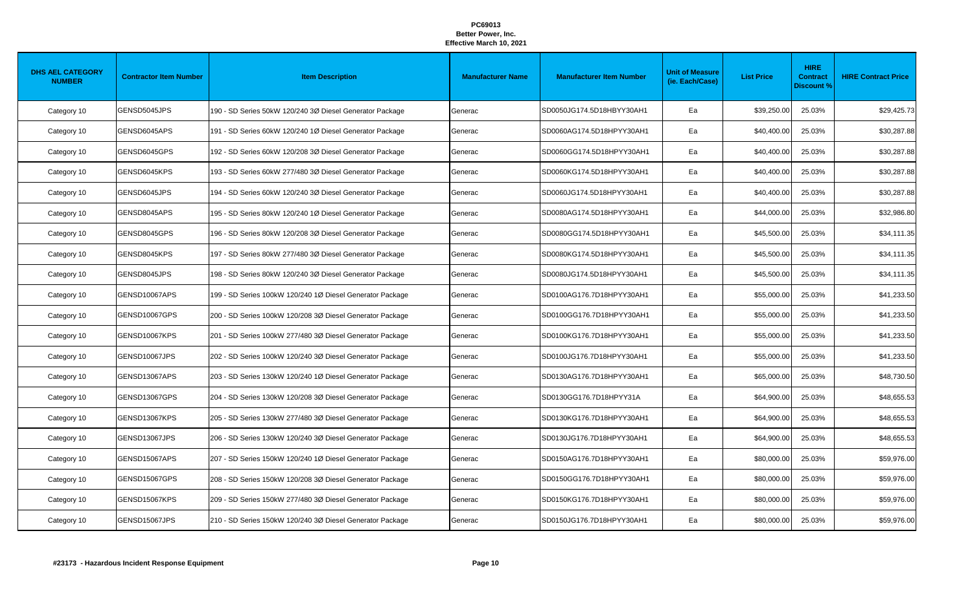| <b>DHS AEL CATEGORY</b><br><b>NUMBER</b> | <b>Contractor Item Number</b> | <b>Item Description</b>                                   | <b>Manufacturer Name</b> | <b>Manufacturer Item Number</b> | <b>Unit of Measure</b><br>(ie. Each/Case) | <b>List Price</b> | <b>HIRE</b><br><b>Contract</b><br><b>Discount %</b> | <b>HIRE Contract Price</b> |
|------------------------------------------|-------------------------------|-----------------------------------------------------------|--------------------------|---------------------------------|-------------------------------------------|-------------------|-----------------------------------------------------|----------------------------|
| Category 10                              | GENSD5045JPS                  | 190 - SD Series 50kW 120/240 3Ø Diesel Generator Package  | Generac                  | SD0050JG174.5D18HBYY30AH1       | Ea                                        | \$39,250.00       | 25.03%                                              | \$29,425.73                |
| Category 10                              | GENSD6045APS                  | 191 - SD Series 60kW 120/240 1Ø Diesel Generator Package  | Generac                  | SD0060AG174.5D18HPYY30AH1       | Ea                                        | \$40,400.00       | 25.03%                                              | \$30,287.88                |
| Category 10                              | GENSD6045GPS                  | 192 - SD Series 60kW 120/208 3Ø Diesel Generator Package  | Generac                  | SD0060GG174.5D18HPYY30AH1       | Ea                                        | \$40,400.00       | 25.03%                                              | \$30,287.88                |
| Category 10                              | GENSD6045KPS                  | 193 - SD Series 60kW 277/480 3Ø Diesel Generator Package  | Generac                  | SD0060KG174.5D18HPYY30AH1       | Ea                                        | \$40,400.00       | 25.03%                                              | \$30,287.88                |
| Category 10                              | GENSD6045JPS                  | 194 - SD Series 60kW 120/240 3Ø Diesel Generator Package  | Generac                  | SD0060JG174.5D18HPYY30AH1       | Ea                                        | \$40,400.00       | 25.03%                                              | \$30,287.88                |
| Category 10                              | GENSD8045APS                  | 195 - SD Series 80kW 120/240 1Ø Diesel Generator Package  | Generac                  | SD0080AG174.5D18HPYY30AH1       | Ea                                        | \$44,000.00       | 25.03%                                              | \$32,986.80                |
| Category 10                              | GENSD8045GPS                  | 196 - SD Series 80kW 120/208 3Ø Diesel Generator Package  | Generac                  | SD0080GG174.5D18HPYY30AH1       | Ea                                        | \$45,500.00       | 25.03%                                              | \$34,111.35                |
| Category 10                              | GENSD8045KPS                  | 197 - SD Series 80kW 277/480 3Ø Diesel Generator Package  | Generac                  | SD0080KG174.5D18HPYY30AH1       | Ea                                        | \$45,500.00       | 25.03%                                              | \$34,111.35                |
| Category 10                              | GENSD8045JPS                  | 198 - SD Series 80kW 120/240 3Ø Diesel Generator Package  | Generac                  | SD0080JG174.5D18HPYY30AH1       | Ea                                        | \$45,500.00       | 25.03%                                              | \$34,111.35                |
| Category 10                              | GENSD10067APS                 | 199 - SD Series 100kW 120/240 1Ø Diesel Generator Package | Generac                  | SD0100AG176.7D18HPYY30AH1       | Ea                                        | \$55,000.00       | 25.03%                                              | \$41,233.50                |
| Category 10                              | GENSD10067GPS                 | 200 - SD Series 100kW 120/208 3Ø Diesel Generator Package | Generac                  | SD0100GG176.7D18HPYY30AH1       | Ea                                        | \$55,000.00       | 25.03%                                              | \$41,233.50                |
| Category 10                              | GENSD10067KPS                 | 201 - SD Series 100kW 277/480 3Ø Diesel Generator Package | Generac                  | SD0100KG176.7D18HPYY30AH1       | Ea                                        | \$55,000.00       | 25.03%                                              | \$41,233.50                |
| Category 10                              | GENSD10067JPS                 | 202 - SD Series 100kW 120/240 3Ø Diesel Generator Package | Generac                  | SD0100JG176.7D18HPYY30AH1       | Ea                                        | \$55,000.00       | 25.03%                                              | \$41,233.50                |
| Category 10                              | GENSD13067APS                 | 203 - SD Series 130kW 120/240 1Ø Diesel Generator Package | Generac                  | SD0130AG176.7D18HPYY30AH1       | Ea                                        | \$65,000.00       | 25.03%                                              | \$48,730.50                |
| Category 10                              | GENSD13067GPS                 | 204 - SD Series 130kW 120/208 3Ø Diesel Generator Package | Generac                  | SD0130GG176.7D18HPYY31A         | Ea                                        | \$64,900.00       | 25.03%                                              | \$48,655.53                |
| Category 10                              | GENSD13067KPS                 | 205 - SD Series 130kW 277/480 3Ø Diesel Generator Package | Generac                  | SD0130KG176.7D18HPYY30AH1       | Ea                                        | \$64,900.00       | 25.03%                                              | \$48,655.53                |
| Category 10                              | GENSD13067JPS                 | 206 - SD Series 130kW 120/240 3Ø Diesel Generator Package | Generac                  | SD0130JG176.7D18HPYY30AH1       | Ea                                        | \$64,900.00       | 25.03%                                              | \$48,655.53                |
| Category 10                              | GENSD15067APS                 | 207 - SD Series 150kW 120/240 1Ø Diesel Generator Package | Generac                  | SD0150AG176.7D18HPYY30AH1       | Ea                                        | \$80,000.00       | 25.03%                                              | \$59,976.00                |
| Category 10                              | GENSD15067GPS                 | 208 - SD Series 150kW 120/208 3Ø Diesel Generator Package | Generac                  | SD0150GG176.7D18HPYY30AH1       | Ea                                        | \$80,000.00       | 25.03%                                              | \$59,976.00                |
| Category 10                              | GENSD15067KPS                 | 209 - SD Series 150kW 277/480 3Ø Diesel Generator Package | Generac                  | SD0150KG176.7D18HPYY30AH1       | Ea                                        | \$80,000.00       | 25.03%                                              | \$59,976.00                |
| Category 10                              | GENSD15067JPS                 | 210 - SD Series 150kW 120/240 3Ø Diesel Generator Package | Generac                  | SD0150JG176.7D18HPYY30AH1       | Ea                                        | \$80,000.00       | 25.03%                                              | \$59,976.00                |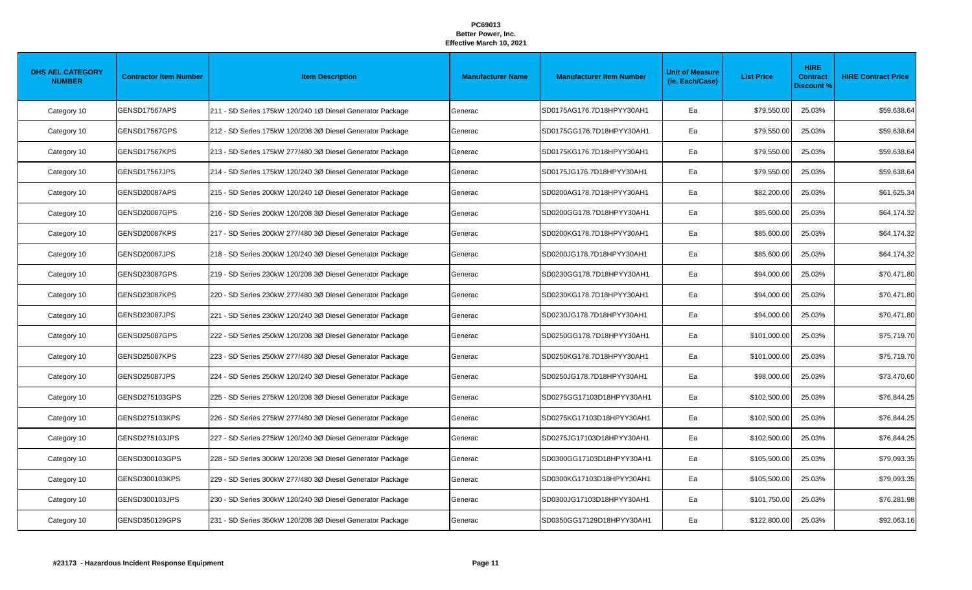| <b>DHS AEL CATEGORY</b><br><b>NUMBER</b> | <b>Contractor Item Number</b> | <b>Item Description</b>                                   | <b>Manufacturer Name</b> | <b>Manufacturer Item Number</b> | <b>Unit of Measure</b><br>(ie. Each/Case) | <b>List Price</b> | <b>HIRE</b><br><b>Contract</b><br><b>Discount %</b> | <b>HIRE Contract Price</b> |
|------------------------------------------|-------------------------------|-----------------------------------------------------------|--------------------------|---------------------------------|-------------------------------------------|-------------------|-----------------------------------------------------|----------------------------|
| Category 10                              | GENSD17567APS                 | 211 - SD Series 175kW 120/240 1Ø Diesel Generator Package | Generac                  | SD0175AG176.7D18HPYY30AH1       | Ea                                        | \$79,550.00       | 25.03%                                              | \$59,638.64                |
| Category 10                              | GENSD17567GPS                 | 212 - SD Series 175kW 120/208 3Ø Diesel Generator Package | Generac                  | SD0175GG176.7D18HPYY30AH1       | Ea                                        | \$79,550.00       | 25.03%                                              | \$59,638.64                |
| Category 10                              | GENSD17567KPS                 | 213 - SD Series 175kW 277/480 3Ø Diesel Generator Package | Generac                  | SD0175KG176.7D18HPYY30AH1       | Ea                                        | \$79,550.00       | 25.03%                                              | \$59,638.64                |
| Category 10                              | GENSD17567JPS                 | 214 - SD Series 175kW 120/240 3Ø Diesel Generator Package | Generac                  | SD0175JG176.7D18HPYY30AH1       | Ea                                        | \$79,550.00       | 25.03%                                              | \$59,638.64                |
| Category 10                              | GENSD20087APS                 | 215 - SD Series 200kW 120/240 1Ø Diesel Generator Package | Generac                  | SD0200AG178.7D18HPYY30AH1       | Ea                                        | \$82,200.00       | 25.03%                                              | \$61,625.34                |
| Category 10                              | GENSD20087GPS                 | 216 - SD Series 200kW 120/208 3Ø Diesel Generator Package | Generac                  | SD0200GG178.7D18HPYY30AH1       | Ea                                        | \$85,600.00       | 25.03%                                              | \$64,174.32                |
| Category 10                              | GENSD20087KPS                 | 217 - SD Series 200kW 277/480 3Ø Diesel Generator Package | Generac                  | SD0200KG178.7D18HPYY30AH1       | Ea                                        | \$85,600.00       | 25.03%                                              | \$64,174.32                |
| Category 10                              | GENSD20087JPS                 | 218 - SD Series 200kW 120/240 3Ø Diesel Generator Package | Generac                  | SD0200JG178.7D18HPYY30AH1       | Ea                                        | \$85,600.00       | 25.03%                                              | \$64,174.32                |
| Category 10                              | GENSD23087GPS                 | 219 - SD Series 230kW 120/208 3Ø Diesel Generator Package | Generac                  | SD0230GG178.7D18HPYY30AH1       | Ea                                        | \$94,000.00       | 25.03%                                              | \$70,471.80                |
| Category 10                              | GENSD23087KPS                 | 220 - SD Series 230kW 277/480 3Ø Diesel Generator Package | Generac                  | SD0230KG178.7D18HPYY30AH1       | Ea                                        | \$94,000.00       | 25.03%                                              | \$70,471.80                |
| Category 10                              | GENSD23087JPS                 | 221 - SD Series 230kW 120/240 3Ø Diesel Generator Package | Generac                  | SD0230JG178.7D18HPYY30AH1       | Ea                                        | \$94,000.00       | 25.03%                                              | \$70,471.80                |
| Category 10                              | GENSD25087GPS                 | 222 - SD Series 250kW 120/208 3Ø Diesel Generator Package | Generac                  | SD0250GG178.7D18HPYY30AH1       | Ea                                        | \$101,000.00      | 25.03%                                              | \$75,719.70                |
| Category 10                              | GENSD25087KPS                 | 223 - SD Series 250kW 277/480 3Ø Diesel Generator Package | Generac                  | SD0250KG178.7D18HPYY30AH1       | Ea                                        | \$101,000.00      | 25.03%                                              | \$75,719.70                |
| Category 10                              | GENSD25087JPS                 | 224 - SD Series 250kW 120/240 3Ø Diesel Generator Package | Generac                  | SD0250JG178.7D18HPYY30AH1       | Ea                                        | \$98,000.00       | 25.03%                                              | \$73,470.60                |
| Category 10                              | GENSD275103GPS                | 225 - SD Series 275kW 120/208 3Ø Diesel Generator Package | Generac                  | SD0275GG17103D18HPYY30AH1       | Ea                                        | \$102,500.00      | 25.03%                                              | \$76,844.25                |
| Category 10                              | GENSD275103KPS                | 226 - SD Series 275kW 277/480 3Ø Diesel Generator Package | Generac                  | SD0275KG17103D18HPYY30AH1       | Ea                                        | \$102,500.00      | 25.03%                                              | \$76,844.25                |
| Category 10                              | GENSD275103JPS                | 227 - SD Series 275kW 120/240 3Ø Diesel Generator Package | Generac                  | SD0275JG17103D18HPYY30AH1       | Ea                                        | \$102,500.00      | 25.03%                                              | \$76,844.25                |
| Category 10                              | GENSD300103GPS                | 228 - SD Series 300kW 120/208 3Ø Diesel Generator Package | Generac                  | SD0300GG17103D18HPYY30AH1       | Ea                                        | \$105,500.00      | 25.03%                                              | \$79,093.35                |
| Category 10                              | GENSD300103KPS                | 229 - SD Series 300kW 277/480 3Ø Diesel Generator Package | Generac                  | SD0300KG17103D18HPYY30AH1       | Ea                                        | \$105,500.00      | 25.03%                                              | \$79,093.35                |
| Category 10                              | GENSD300103JPS                | 230 - SD Series 300kW 120/240 3Ø Diesel Generator Package | Generac                  | SD0300JG17103D18HPYY30AH1       | Ea                                        | \$101,750.00      | 25.03%                                              | \$76,281.98                |
| Category 10                              | GENSD350129GPS                | 231 - SD Series 350kW 120/208 3Ø Diesel Generator Package | Generac                  | SD0350GG17129D18HPYY30AH1       | Ea                                        | \$122,800.00      | 25.03%                                              | \$92,063.16                |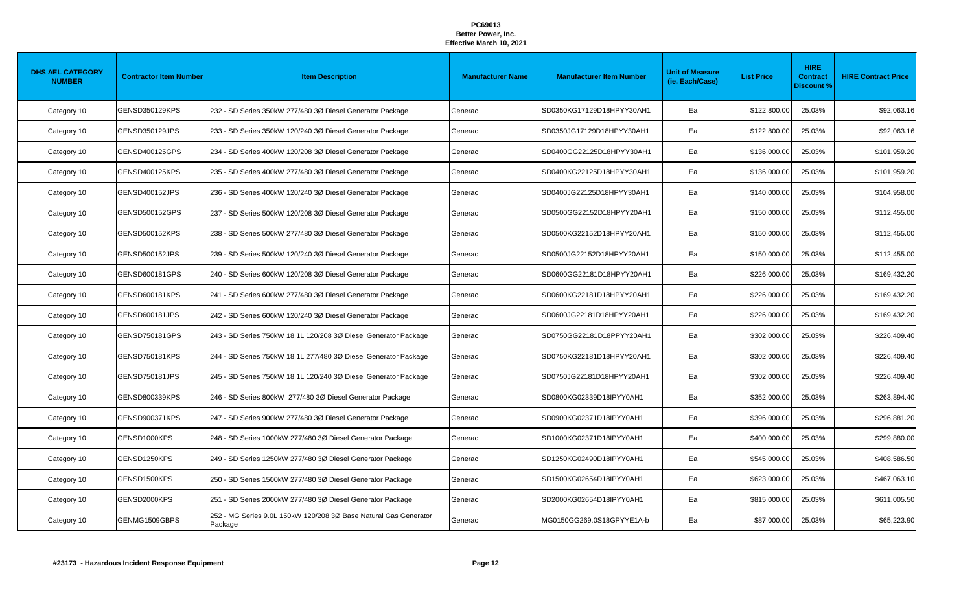| <b>DHS AEL CATEGORY</b><br><b>NUMBER</b> | <b>Contractor Item Number</b> | <b>Item Description</b>                                                     | <b>Manufacturer Name</b> | <b>Manufacturer Item Number</b> | <b>Unit of Measure</b><br>(ie. Each/Case) | <b>List Price</b> | <b>HIRE</b><br><b>Contract</b><br><b>Discount %</b> | <b>HIRE Contract Price</b> |
|------------------------------------------|-------------------------------|-----------------------------------------------------------------------------|--------------------------|---------------------------------|-------------------------------------------|-------------------|-----------------------------------------------------|----------------------------|
| Category 10                              | GENSD350129KPS                | 232 - SD Series 350kW 277/480 3Ø Diesel Generator Package                   | Generac                  | SD0350KG17129D18HPYY30AH1       | Ea                                        | \$122,800.00      | 25.03%                                              | \$92,063.16                |
| Category 10                              | GENSD350129JPS                | 233 - SD Series 350kW 120/240 3Ø Diesel Generator Package                   | Generac                  | SD0350JG17129D18HPYY30AH1       | Ea                                        | \$122,800.00      | 25.03%                                              | \$92,063.16                |
| Category 10                              | GENSD400125GPS                | 234 - SD Series 400kW 120/208 3Ø Diesel Generator Package                   | Generac                  | SD0400GG22125D18HPYY30AH1       | Ea                                        | \$136,000.00      | 25.03%                                              | \$101,959.20               |
| Category 10                              | GENSD400125KPS                | 235 - SD Series 400kW 277/480 3Ø Diesel Generator Package                   | Generac                  | SD0400KG22125D18HPYY30AH1       | Ea                                        | \$136,000.00      | 25.03%                                              | \$101,959.20               |
| Category 10                              | GENSD400152JPS                | 236 - SD Series 400kW 120/240 3Ø Diesel Generator Package                   | Generac                  | SD0400JG22125D18HPYY30AH1       | Ea                                        | \$140,000.00      | 25.03%                                              | \$104,958.00               |
| Category 10                              | GENSD500152GPS                | 237 - SD Series 500kW 120/208 3Ø Diesel Generator Package                   | Generac                  | SD0500GG22152D18HPYY20AH1       | Ea                                        | \$150,000.00      | 25.03%                                              | \$112,455.00               |
| Category 10                              | GENSD500152KPS                | 238 - SD Series 500kW 277/480 3Ø Diesel Generator Package                   | Generac                  | SD0500KG22152D18HPYY20AH1       | Ea                                        | \$150,000.00      | 25.03%                                              | \$112,455.00               |
| Category 10                              | GENSD500152JPS                | 239 - SD Series 500kW 120/240 3Ø Diesel Generator Package                   | Generac                  | SD0500JG22152D18HPYY20AH1       | Ea                                        | \$150,000.00      | 25.03%                                              | \$112,455.00               |
| Category 10                              | GENSD600181GPS                | 240 - SD Series 600kW 120/208 3Ø Diesel Generator Package                   | Generac                  | SD0600GG22181D18HPYY20AH1       | Ea                                        | \$226,000.00      | 25.03%                                              | \$169,432.20               |
| Category 10                              | GENSD600181KPS                | 241 - SD Series 600kW 277/480 3Ø Diesel Generator Package                   | Generac                  | SD0600KG22181D18HPYY20AH1       | Ea                                        | \$226,000.00      | 25.03%                                              | \$169,432.20               |
| Category 10                              | GENSD600181JPS                | 242 - SD Series 600kW 120/240 3Ø Diesel Generator Package                   | Generac                  | SD0600JG22181D18HPYY20AH1       | Ea                                        | \$226,000.00      | 25.03%                                              | \$169,432.20               |
| Category 10                              | GENSD750181GPS                | 243 - SD Series 750kW 18.1L 120/208 3Ø Diesel Generator Package             | Generac                  | SD0750GG22181D18PPYY20AH1       | Ea                                        | \$302,000.00      | 25.03%                                              | \$226,409.40               |
| Category 10                              | GENSD750181KPS                | 244 - SD Series 750kW 18.1L 277/480 3Ø Diesel Generator Package             | Generac                  | SD0750KG22181D18HPYY20AH1       | Ea                                        | \$302,000.00      | 25.03%                                              | \$226,409.40               |
| Category 10                              | GENSD750181JPS                | 245 - SD Series 750kW 18.1L 120/240 3Ø Diesel Generator Package             | Generac                  | SD0750JG22181D18HPYY20AH1       | Ea                                        | \$302,000.00      | 25.03%                                              | \$226,409.40               |
| Category 10                              | GENSD800339KPS                | 246 - SD Series 800kW 277/480 3Ø Diesel Generator Package                   | Generac                  | SD0800KG02339D18IPYY0AH1        | Ea                                        | \$352,000.00      | 25.03%                                              | \$263,894.40               |
| Category 10                              | <b>GENSD900371KPS</b>         | 247 - SD Series 900kW 277/480 3Ø Diesel Generator Package                   | Generac                  | SD0900KG02371D18IPYY0AH1        | Ea                                        | \$396,000.00      | 25.03%                                              | \$296,881.20               |
| Category 10                              | GENSD1000KPS                  | 248 - SD Series 1000kW 277/480 3Ø Diesel Generator Package                  | Generac                  | SD1000KG02371D18IPYY0AH1        | Ea                                        | \$400,000.00      | 25.03%                                              | \$299,880.00               |
| Category 10                              | GENSD1250KPS                  | 249 - SD Series 1250kW 277/480 3Ø Diesel Generator Package                  | Generac                  | SD1250KG02490D18IPYY0AH1        | Ea                                        | \$545,000.00      | 25.03%                                              | \$408,586.50               |
| Category 10                              | GENSD1500KPS                  | 250 - SD Series 1500kW 277/480 3Ø Diesel Generator Package                  | Generac                  | SD1500KG02654D18IPYY0AH1        | Ea                                        | \$623,000.00      | 25.03%                                              | \$467,063.10               |
| Category 10                              | GENSD2000KPS                  | 251 - SD Series 2000kW 277/480 3Ø Diesel Generator Package                  | Generac                  | SD2000KG02654D18IPYY0AH1        | Ea                                        | \$815,000.00      | 25.03%                                              | \$611,005.50               |
| Category 10                              | GENMG1509GBPS                 | 252 - MG Series 9.0L 150kW 120/208 3Ø Base Natural Gas Generator<br>Package | Generac                  | MG0150GG269.0S18GPYYE1A-b       | Ea                                        | \$87,000.00       | 25.03%                                              | \$65,223.90                |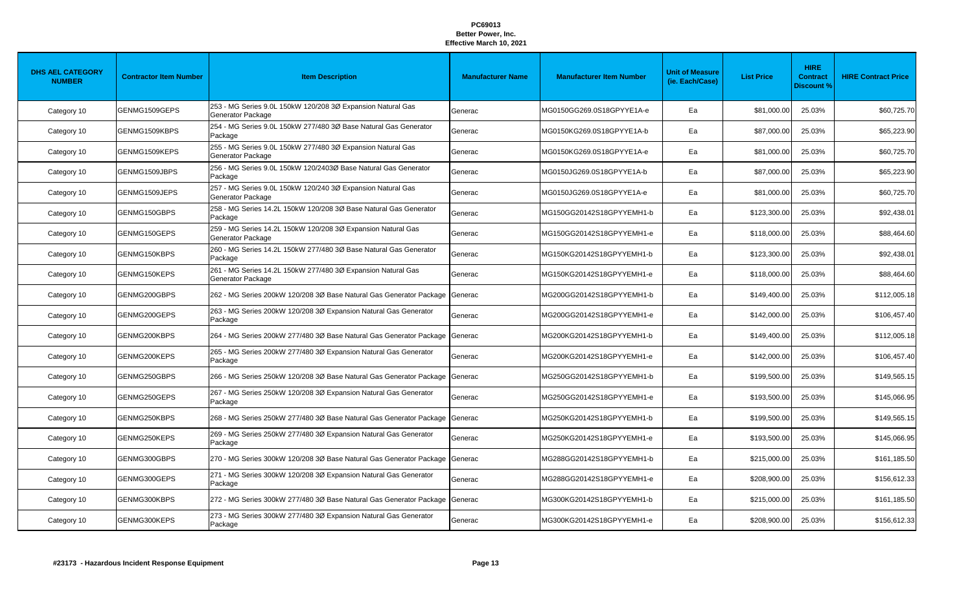| <b>DHS AEL CATEGORY</b><br><b>NUMBER</b> | <b>Contractor Item Number</b> | <b>Item Description</b>                                                           | <b>Manufacturer Name</b> | <b>Manufacturer Item Number</b> | <b>Unit of Measure</b><br>(ie. Each/Case) | <b>List Price</b> | <b>HIRE</b><br><b>Contract</b><br><b>Discount %</b> | <b>HIRE Contract Price</b> |
|------------------------------------------|-------------------------------|-----------------------------------------------------------------------------------|--------------------------|---------------------------------|-------------------------------------------|-------------------|-----------------------------------------------------|----------------------------|
| Category 10                              | GENMG1509GEPS                 | 253 - MG Series 9.0L 150kW 120/208 3Ø Expansion Natural Gas<br>Generator Package  | Generac                  | MG0150GG269.0S18GPYYE1A-e       | Ea                                        | \$81,000.00       | 25.03%                                              | \$60,725.70                |
| Category 10                              | GENMG1509KBPS                 | 254 - MG Series 9.0L 150kW 277/480 3Ø Base Natural Gas Generator<br>Package       | Generac                  | MG0150KG269.0S18GPYYE1A-b       | Ea                                        | \$87,000.00       | 25.03%                                              | \$65,223.90                |
| Category 10                              | GENMG1509KEPS                 | 255 - MG Series 9.0L 150kW 277/480 3Ø Expansion Natural Gas<br>Generator Package  | Generac                  | MG0150KG269.0S18GPYYE1A-e       | Ea                                        | \$81,000.00       | 25.03%                                              | \$60,725.70                |
| Category 10                              | GENMG1509JBPS                 | 256 - MG Series 9.0L 150kW 120/2403Ø Base Natural Gas Generator<br>Package        | Generac                  | MG0150JG269.0S18GPYYE1A-b       | Ea                                        | \$87,000.00       | 25.03%                                              | \$65,223.90                |
| Category 10                              | GENMG1509JEPS                 | 257 - MG Series 9.0L 150kW 120/240 3Ø Expansion Natural Gas<br>Generator Package  | Generac                  | MG0150JG269.0S18GPYYE1A-e       | Ea                                        | \$81,000.00       | 25.03%                                              | \$60,725.70                |
| Category 10                              | GENMG150GBPS                  | 258 - MG Series 14.2L 150kW 120/208 3Ø Base Natural Gas Generator<br>Package      | Generac                  | MG150GG20142S18GPYYEMH1-b       | Ea                                        | \$123,300.00      | 25.03%                                              | \$92,438.01                |
| Category 10                              | GENMG150GEPS                  | 259 - MG Series 14.2L 150kW 120/208 3Ø Expansion Natural Gas<br>Generator Package | Generac                  | MG150GG20142S18GPYYEMH1-e       | Ea                                        | \$118,000.00      | 25.03%                                              | \$88,464.60                |
| Category 10                              | GENMG150KBPS                  | 260 - MG Series 14.2L 150kW 277/480 3Ø Base Natural Gas Generator<br>Package      | Generac                  | MG150KG20142S18GPYYEMH1-b       | Ea                                        | \$123,300.00      | 25.03%                                              | \$92,438.01                |
| Category 10                              | GENMG150KEPS                  | 261 - MG Series 14.2L 150kW 277/480 3Ø Expansion Natural Gas<br>Generator Package | Generac                  | MG150KG20142S18GPYYEMH1-e       | Ea                                        | \$118,000.00      | 25.03%                                              | \$88,464.60                |
| Category 10                              | GENMG200GBPS                  | 262 - MG Series 200kW 120/208 3Ø Base Natural Gas Generator Package               | Generac                  | MG200GG20142S18GPYYEMH1-b       | Ea                                        | \$149,400.00      | 25.03%                                              | \$112,005.18               |
| Category 10                              | GENMG200GEPS                  | 263 - MG Series 200kW 120/208 3Ø Expansion Natural Gas Generator<br>Package       | Generac                  | MG200GG20142S18GPYYEMH1-e       | Ea                                        | \$142,000.00      | 25.03%                                              | \$106,457.40               |
| Category 10                              | GENMG200KBPS                  | 264 - MG Series 200kW 277/480 3Ø Base Natural Gas Generator Package               | Generac                  | MG200KG20142S18GPYYEMH1-b       | Ea                                        | \$149,400.00      | 25.03%                                              | \$112,005.18               |
| Category 10                              | GENMG200KEPS                  | 265 - MG Series 200kW 277/480 3Ø Expansion Natural Gas Generator<br>Package       | Generac                  | MG200KG20142S18GPYYEMH1-e       | Ea                                        | \$142,000.00      | 25.03%                                              | \$106,457.40               |
| Category 10                              | GENMG250GBPS                  | 266 - MG Series 250kW 120/208 3Ø Base Natural Gas Generator Package               | Generac                  | MG250GG20142S18GPYYEMH1-b       | Ea                                        | \$199,500.00      | 25.03%                                              | \$149,565.15               |
| Category 10                              | GENMG250GEPS                  | 267 - MG Series 250kW 120/208 3Ø Expansion Natural Gas Generator<br>Package       | Generac                  | MG250GG20142S18GPYYEMH1-e       | Ea                                        | \$193,500.00      | 25.03%                                              | \$145,066.95               |
| Category 10                              | GENMG250KBPS                  | 268 - MG Series 250kW 277/480 3Ø Base Natural Gas Generator Package               | Generac                  | MG250KG20142S18GPYYEMH1-b       | Ea                                        | \$199,500.00      | 25.03%                                              | \$149,565.15               |
| Category 10                              | GENMG250KEPS                  | 269 - MG Series 250kW 277/480 3Ø Expansion Natural Gas Generator<br>Package       | Generac                  | MG250KG20142S18GPYYEMH1-e       | Ea                                        | \$193,500.00      | 25.03%                                              | \$145,066.95               |
| Category 10                              | GENMG300GBPS                  | 270 - MG Series 300kW 120/208 3Ø Base Natural Gas Generator Package               | Generac                  | MG288GG20142S18GPYYEMH1-b       | Ea                                        | \$215,000.00      | 25.03%                                              | \$161,185.50               |
| Category 10                              | GENMG300GEPS                  | 271 - MG Series 300kW 120/208 3Ø Expansion Natural Gas Generator<br>Package       | Generac                  | MG288GG20142S18GPYYEMH1-e       | Ea                                        | \$208,900.00      | 25.03%                                              | \$156,612.33               |
| Category 10                              | GENMG300KBPS                  | 272 - MG Series 300kW 277/480 3Ø Base Natural Gas Generator Package               | Generac                  | MG300KG20142S18GPYYEMH1-b       | Ea                                        | \$215,000.00      | 25.03%                                              | \$161,185.50               |
| Category 10                              | GENMG300KEPS                  | 273 - MG Series 300kW 277/480 3Ø Expansion Natural Gas Generator<br>Package       | Generac                  | MG300KG20142S18GPYYEMH1-e       | Ea                                        | \$208,900.00      | 25.03%                                              | \$156,612.33               |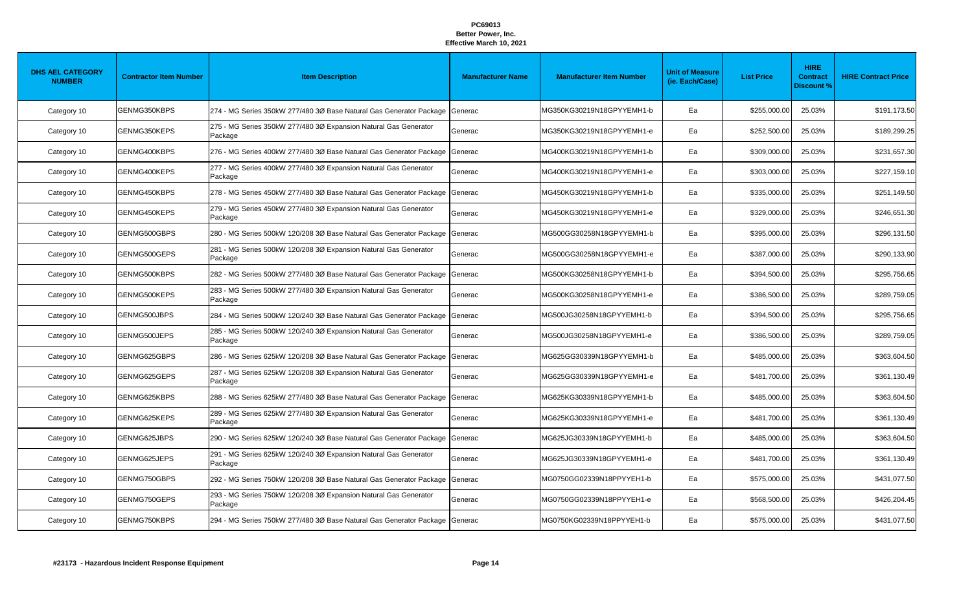| <b>DHS AEL CATEGORY</b><br><b>NUMBER</b> | <b>Contractor Item Number</b> | <b>Item Description</b>                                                     | <b>Manufacturer Name</b> | <b>Manufacturer Item Number</b> | <b>Unit of Measure</b><br>(ie. Each/Case) | <b>List Price</b> | <b>HIRE</b><br><b>Contract</b><br><b>Discount %</b> | <b>HIRE Contract Price</b> |
|------------------------------------------|-------------------------------|-----------------------------------------------------------------------------|--------------------------|---------------------------------|-------------------------------------------|-------------------|-----------------------------------------------------|----------------------------|
| Category 10                              | GENMG350KBPS                  | 274 - MG Series 350kW 277/480 3Ø Base Natural Gas Generator Package         | Generac                  | MG350KG30219N18GPYYEMH1-b       | Ea                                        | \$255,000.00      | 25.03%                                              | \$191,173.50               |
| Category 10                              | GENMG350KEPS                  | 275 - MG Series 350kW 277/480 3Ø Expansion Natural Gas Generator<br>Package | Generac                  | MG350KG30219N18GPYYEMH1-e       | Ea                                        | \$252,500.00      | 25.03%                                              | \$189,299.25               |
| Category 10                              | GENMG400KBPS                  | 276 - MG Series 400kW 277/480 3Ø Base Natural Gas Generator Package         | Generac                  | MG400KG30219N18GPYYEMH1-b       | Ea                                        | \$309,000.00      | 25.03%                                              | \$231,657.30               |
| Category 10                              | GENMG400KEPS                  | 277 - MG Series 400kW 277/480 3Ø Expansion Natural Gas Generator<br>Package | Generac                  | MG400KG30219N18GPYYEMH1-e       | Ea                                        | \$303,000.00      | 25.03%                                              | \$227,159.10               |
| Category 10                              | GENMG450KBPS                  | 278 - MG Series 450kW 277/480 3Ø Base Natural Gas Generator Package         | Generac                  | MG450KG30219N18GPYYEMH1-b       | Ea                                        | \$335,000.00      | 25.03%                                              | \$251,149.50               |
| Category 10                              | GENMG450KEPS                  | 279 - MG Series 450kW 277/480 3Ø Expansion Natural Gas Generator<br>Package | Generac                  | MG450KG30219N18GPYYEMH1-e       | Ea                                        | \$329,000.00      | 25.03%                                              | \$246,651.30               |
| Category 10                              | GENMG500GBPS                  | 280 - MG Series 500kW 120/208 3Ø Base Natural Gas Generator Package         | Generac                  | MG500GG30258N18GPYYEMH1-b       | Ea                                        | \$395,000.00      | 25.03%                                              | \$296,131.50               |
| Category 10                              | GENMG500GEPS                  | 281 - MG Series 500kW 120/208 3Ø Expansion Natural Gas Generator<br>Package | Generac                  | MG500GG30258N18GPYYEMH1-e       | Ea                                        | \$387,000.00      | 25.03%                                              | \$290,133.90               |
| Category 10                              | GENMG500KBPS                  | 282 - MG Series 500kW 277/480 3Ø Base Natural Gas Generator Package         | Generac                  | MG500KG30258N18GPYYEMH1-b       | Ea                                        | \$394,500.00      | 25.03%                                              | \$295,756.65               |
| Category 10                              | GENMG500KEPS                  | 283 - MG Series 500kW 277/480 3Ø Expansion Natural Gas Generator<br>Package | Generac                  | MG500KG30258N18GPYYEMH1-e       | Ea                                        | \$386,500.00      | 25.03%                                              | \$289,759.05               |
| Category 10                              | GENMG500JBPS                  | 284 - MG Series 500kW 120/240 3Ø Base Natural Gas Generator Package         | Generac                  | MG500JG30258N18GPYYEMH1-b       | Ea                                        | \$394,500.00      | 25.03%                                              | \$295,756.65               |
| Category 10                              | GENMG500JEPS                  | 285 - MG Series 500kW 120/240 3Ø Expansion Natural Gas Generator<br>Package | Generac                  | MG500JG30258N18GPYYEMH1-e       | Ea                                        | \$386,500.00      | 25.03%                                              | \$289,759.05               |
| Category 10                              | GENMG625GBPS                  | 286 - MG Series 625kW 120/208 3Ø Base Natural Gas Generator Package         | Generac                  | MG625GG30339N18GPYYEMH1-b       | Ea                                        | \$485,000.00      | 25.03%                                              | \$363,604.50               |
| Category 10                              | GENMG625GEPS                  | 287 - MG Series 625kW 120/208 3Ø Expansion Natural Gas Generator<br>Package | Generac                  | MG625GG30339N18GPYYEMH1-e       | Ea                                        | \$481,700.00      | 25.03%                                              | \$361,130.49               |
| Category 10                              | GENMG625KBPS                  | 288 - MG Series 625kW 277/480 3Ø Base Natural Gas Generator Package         | Generac                  | MG625KG30339N18GPYYEMH1-b       | Ea                                        | \$485,000.00      | 25.03%                                              | \$363,604.50               |
| Category 10                              | GENMG625KEPS                  | 289 - MG Series 625kW 277/480 3Ø Expansion Natural Gas Generator<br>Package | Generac                  | MG625KG30339N18GPYYEMH1-e       | Ea                                        | \$481,700.00      | 25.03%                                              | \$361,130.49               |
| Category 10                              | GENMG625JBPS                  | 290 - MG Series 625kW 120/240 3Ø Base Natural Gas Generator Package         | Generac                  | MG625JG30339N18GPYYEMH1-b       | Ea                                        | \$485,000.00      | 25.03%                                              | \$363,604.50               |
| Category 10                              | GENMG625JEPS                  | 291 - MG Series 625kW 120/240 3Ø Expansion Natural Gas Generator<br>Package | Generac                  | MG625JG30339N18GPYYEMH1-e       | Ea                                        | \$481,700.00      | 25.03%                                              | \$361,130.49               |
| Category 10                              | GENMG750GBPS                  | 292 - MG Series 750kW 120/208 3Ø Base Natural Gas Generator Package         | Generac                  | MG0750GG02339N18PPYYEH1-b       | Ea                                        | \$575,000.00      | 25.03%                                              | \$431,077.50               |
| Category 10                              | GENMG750GEPS                  | 293 - MG Series 750kW 120/208 3Ø Expansion Natural Gas Generator<br>Package | Generac                  | MG0750GG02339N18PPYYEH1-e       | Ea                                        | \$568,500.00      | 25.03%                                              | \$426,204.45               |
| Category 10                              | GENMG750KBPS                  | 294 - MG Series 750kW 277/480 3Ø Base Natural Gas Generator Package         | Generac                  | MG0750KG02339N18PPYYEH1-b       | Ea                                        | \$575,000.00      | 25.03%                                              | \$431,077.50               |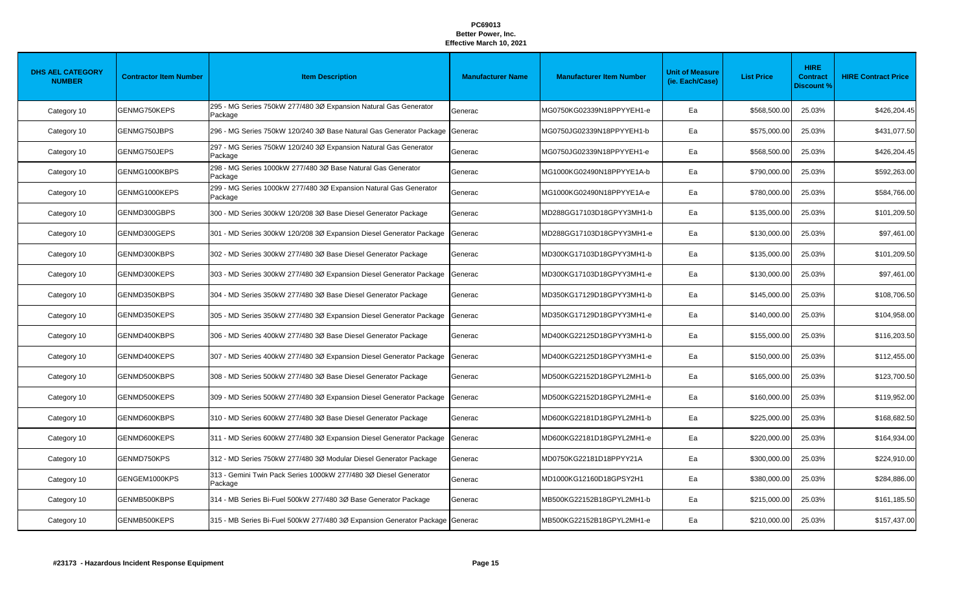| <b>DHS AEL CATEGORY</b><br><b>NUMBER</b> | <b>Contractor Item Number</b> | <b>Item Description</b>                                                      | <b>Manufacturer Name</b> | <b>Manufacturer Item Number</b> | <b>Unit of Measure</b><br>(ie. Each/Case) | <b>List Price</b> | <b>HIRE</b><br><b>Contract</b><br><b>Discount %</b> | <b>HIRE Contract Price</b> |
|------------------------------------------|-------------------------------|------------------------------------------------------------------------------|--------------------------|---------------------------------|-------------------------------------------|-------------------|-----------------------------------------------------|----------------------------|
| Category 10                              | GENMG750KEPS                  | 295 - MG Series 750kW 277/480 3Ø Expansion Natural Gas Generator<br>Package  | Generac                  | MG0750KG02339N18PPYYEH1-e       | Ea                                        | \$568,500.00      | 25.03%                                              | \$426,204.45               |
| Category 10                              | GENMG750JBPS                  | 296 - MG Series 750kW 120/240 3Ø Base Natural Gas Generator Package          | Generac                  | MG0750JG02339N18PPYYEH1-b       | Ea                                        | \$575,000.00      | 25.03%                                              | \$431,077.50               |
| Category 10                              | GENMG750JEPS                  | 297 - MG Series 750kW 120/240 3Ø Expansion Natural Gas Generator<br>Package  | Generac                  | MG0750JG02339N18PPYYEH1-e       | Ea                                        | \$568,500.00      | 25.03%                                              | \$426,204.45               |
| Category 10                              | GENMG1000KBPS                 | 298 - MG Series 1000kW 277/480 3Ø Base Natural Gas Generator<br>Package      | Generac                  | MG1000KG02490N18PPYYE1A-b       | Ea                                        | \$790,000.00      | 25.03%                                              | \$592,263.00               |
| Category 10                              | GENMG1000KEPS                 | 299 - MG Series 1000kW 277/480 3Ø Expansion Natural Gas Generator<br>Package | Generac                  | MG1000KG02490N18PPYYE1A-e       | Ea                                        | \$780,000.00      | 25.03%                                              | \$584,766.00               |
| Category 10                              | GENMD300GBPS                  | 300 - MD Series 300kW 120/208 3Ø Base Diesel Generator Package               | Generac                  | MD288GG17103D18GPYY3MH1-b       | Ea                                        | \$135,000.00      | 25.03%                                              | \$101,209.50               |
| Category 10                              | GENMD300GEPS                  | 301 - MD Series 300kW 120/208 3Ø Expansion Diesel Generator Package          | Generac                  | MD288GG17103D18GPYY3MH1-e       | Ea                                        | \$130,000.00      | 25.03%                                              | \$97,461.00                |
| Category 10                              | GENMD300KBPS                  | 302 - MD Series 300kW 277/480 3Ø Base Diesel Generator Package               | Generac                  | MD300KG17103D18GPYY3MH1-b       | Ea                                        | \$135,000.00      | 25.03%                                              | \$101,209.50               |
| Category 10                              | GENMD300KEPS                  | 303 - MD Series 300kW 277/480 3Ø Expansion Diesel Generator Package          | Generac                  | MD300KG17103D18GPYY3MH1-e       | Ea                                        | \$130,000.00      | 25.03%                                              | \$97,461.00                |
| Category 10                              | GENMD350KBPS                  | 304 - MD Series 350kW 277/480 3Ø Base Diesel Generator Package               | Generac                  | MD350KG17129D18GPYY3MH1-b       | Ea                                        | \$145,000.00      | 25.03%                                              | \$108,706.50               |
| Category 10                              | GENMD350KEPS                  | 305 - MD Series 350kW 277/480 3Ø Expansion Diesel Generator Package          | Generac                  | MD350KG17129D18GPYY3MH1-e       | Ea                                        | \$140,000.00      | 25.03%                                              | \$104,958.00               |
| Category 10                              | GENMD400KBPS                  | 306 - MD Series 400kW 277/480 3Ø Base Diesel Generator Package               | Generac                  | MD400KG22125D18GPYY3MH1-b       | Ea                                        | \$155,000.00      | 25.03%                                              | \$116,203.50               |
| Category 10                              | GENMD400KEPS                  | 307 - MD Series 400kW 277/480 3Ø Expansion Diesel Generator Package          | Generac                  | MD400KG22125D18GPYY3MH1-e       | Ea                                        | \$150,000.00      | 25.03%                                              | \$112,455.00               |
| Category 10                              | GENMD500KBPS                  | 308 - MD Series 500kW 277/480 3Ø Base Diesel Generator Package               | Generac                  | MD500KG22152D18GPYL2MH1-b       | Ea                                        | \$165,000.00      | 25.03%                                              | \$123,700.50               |
| Category 10                              | GENMD500KEPS                  | 309 - MD Series 500kW 277/480 3Ø Expansion Diesel Generator Package          | Generac                  | MD500KG22152D18GPYL2MH1-e       | Ea                                        | \$160,000.00      | 25.03%                                              | \$119,952.00               |
| Category 10                              | GENMD600KBPS                  | 310 - MD Series 600kW 277/480 3Ø Base Diesel Generator Package               | Generac                  | MD600KG22181D18GPYL2MH1-b       | Ea                                        | \$225,000.00      | 25.03%                                              | \$168,682.50               |
| Category 10                              | GENMD600KEPS                  | 311 - MD Series 600kW 277/480 3Ø Expansion Diesel Generator Package          | Generac                  | MD600KG22181D18GPYL2MH1-e       | Ea                                        | \$220,000.00      | 25.03%                                              | \$164,934.00               |
| Category 10                              | GENMD750KPS                   | 312 - MD Series 750kW 277/480 3Ø Modular Diesel Generator Package            | Generac                  | MD0750KG22181D18PPYY21A         | Ea                                        | \$300,000.00      | 25.03%                                              | \$224,910.00               |
| Category 10                              | GENGEM1000KPS                 | 313 - Gemini Twin Pack Series 1000kW 277/480 3Ø Diesel Generator<br>Package  | Generac                  | MD1000KG12160D18GPSY2H1         | Ea                                        | \$380,000.00      | 25.03%                                              | \$284,886.00               |
| Category 10                              | GENMB500KBPS                  | 314 - MB Series Bi-Fuel 500kW 277/480 3Ø Base Generator Package              | Generac                  | MB500KG22152B18GPYL2MH1-b       | Ea                                        | \$215,000.00      | 25.03%                                              | \$161,185.50               |
| Category 10                              | GENMB500KEPS                  | 315 - MB Series Bi-Fuel 500kW 277/480 30 Expansion Generator Package Generac |                          | MB500KG22152B18GPYL2MH1-e       | Ea                                        | \$210,000.00      | 25.03%                                              | \$157,437.00               |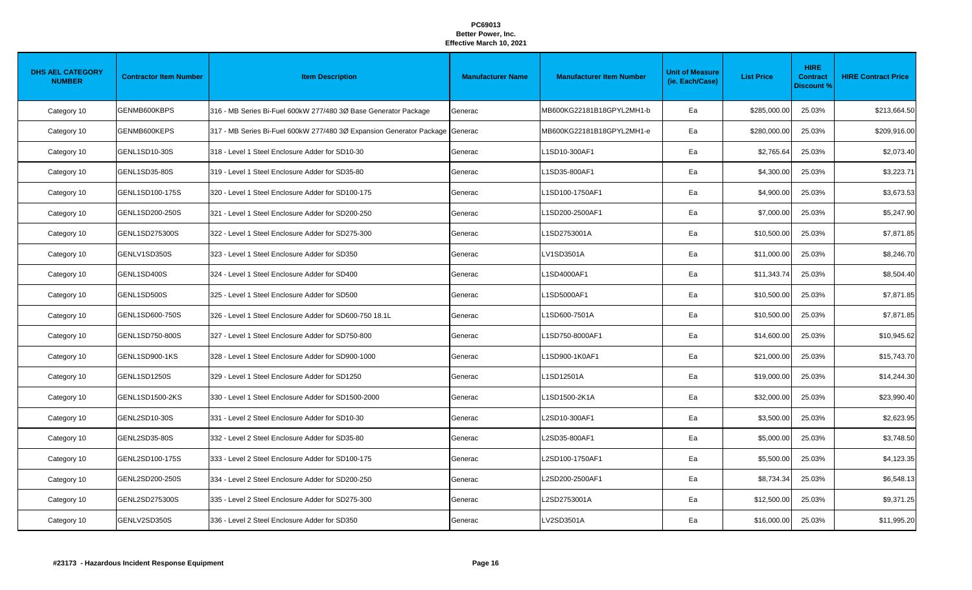| <b>DHS AEL CATEGORY</b><br><b>NUMBER</b> | <b>Contractor Item Number</b> | <b>Item Description</b>                                                      | <b>Manufacturer Name</b> | <b>Manufacturer Item Number</b> | <b>Unit of Measure</b><br>(ie. Each/Case) | <b>List Price</b> | <b>HIRE</b><br><b>Contract</b><br><b>Discount %</b> | <b>HIRE Contract Price</b> |
|------------------------------------------|-------------------------------|------------------------------------------------------------------------------|--------------------------|---------------------------------|-------------------------------------------|-------------------|-----------------------------------------------------|----------------------------|
| Category 10                              | GENMB600KBPS                  | 316 - MB Series Bi-Fuel 600kW 277/480 3Ø Base Generator Package              | Generac                  | MB600KG22181B18GPYL2MH1-b       | Ea                                        | \$285,000.00      | 25.03%                                              | \$213,664.50               |
| Category 10                              | GENMB600KEPS                  | 317 - MB Series Bi-Fuel 600kW 277/480 3Ø Expansion Generator Package Generac |                          | MB600KG22181B18GPYL2MH1-e       | Ea                                        | \$280,000.00      | 25.03%                                              | \$209,916.00               |
| Category 10                              | GENL1SD10-30S                 | 318 - Level 1 Steel Enclosure Adder for SD10-30                              | Generac                  | L1SD10-300AF1                   | Ea                                        | \$2,765.64        | 25.03%                                              | \$2,073.40                 |
| Category 10                              | GENL1SD35-80S                 | 319 - Level 1 Steel Enclosure Adder for SD35-80                              | Generac                  | L1SD35-800AF1                   | Ea                                        | \$4,300.00        | 25.03%                                              | \$3,223.71                 |
| Category 10                              | GENL1SD100-175S               | 320 - Level 1 Steel Enclosure Adder for SD100-175                            | Generac                  | L1SD100-1750AF1                 | Ea                                        | \$4,900.00        | 25.03%                                              | \$3,673.53                 |
| Category 10                              | GENL1SD200-250S               | 321 - Level 1 Steel Enclosure Adder for SD200-250                            | Generac                  | L1SD200-2500AF1                 | Ea                                        | \$7,000.00        | 25.03%                                              | \$5,247.90                 |
| Category 10                              | GENL1SD275300S                | 322 - Level 1 Steel Enclosure Adder for SD275-300                            | Generac                  | L1SD2753001A                    | Ea                                        | \$10,500.00       | 25.03%                                              | \$7,871.85                 |
| Category 10                              | GENLV1SD350S                  | 323 - Level 1 Steel Enclosure Adder for SD350                                | Generac                  | LV1SD3501A                      | Ea                                        | \$11,000.00       | 25.03%                                              | \$8,246.70                 |
| Category 10                              | GENL1SD400S                   | 324 - Level 1 Steel Enclosure Adder for SD400                                | Generac                  | L1SD4000AF1                     | Ea                                        | \$11,343.74       | 25.03%                                              | \$8,504.40                 |
| Category 10                              | GENL1SD500S                   | 325 - Level 1 Steel Enclosure Adder for SD500                                | Generac                  | L1SD5000AF1                     | Ea                                        | \$10,500.00       | 25.03%                                              | \$7,871.85                 |
| Category 10                              | GENL1SD600-750S               | 326 - Level 1 Steel Enclosure Adder for SD600-750 18.1L                      | Generac                  | L1SD600-7501A                   | Ea                                        | \$10,500.00       | 25.03%                                              | \$7,871.85                 |
| Category 10                              | GENL1SD750-800S               | 327 - Level 1 Steel Enclosure Adder for SD750-800                            | Generac                  | L1SD750-8000AF1                 | Ea                                        | \$14,600.00       | 25.03%                                              | \$10,945.62                |
| Category 10                              | GENL1SD900-1KS                | 328 - Level 1 Steel Enclosure Adder for SD900-1000                           | Generac                  | L1SD900-1K0AF1                  | Ea                                        | \$21,000.00       | 25.03%                                              | \$15,743.70                |
| Category 10                              | GENL1SD1250S                  | 329 - Level 1 Steel Enclosure Adder for SD1250                               | Generac                  | L1SD12501A                      | Ea                                        | \$19,000.00       | 25.03%                                              | \$14,244.30                |
| Category 10                              | GENL1SD1500-2KS               | 330 - Level 1 Steel Enclosure Adder for SD1500-2000                          | Generac                  | L1SD1500-2K1A                   | Ea                                        | \$32,000.00       | 25.03%                                              | \$23,990.40                |
| Category 10                              | GENL2SD10-30S                 | 331 - Level 2 Steel Enclosure Adder for SD10-30                              | Generac                  | L2SD10-300AF1                   | Ea                                        | \$3,500.00        | 25.03%                                              | \$2,623.95                 |
| Category 10                              | GENL2SD35-80S                 | 332 - Level 2 Steel Enclosure Adder for SD35-80                              | Generac                  | L2SD35-800AF1                   | Ea                                        | \$5,000.00        | 25.03%                                              | \$3,748.50                 |
| Category 10                              | GENL2SD100-175S               | 333 - Level 2 Steel Enclosure Adder for SD100-175                            | Generac                  | L2SD100-1750AF1                 | Ea                                        | \$5,500.00        | 25.03%                                              | \$4,123.35                 |
| Category 10                              | GENL2SD200-250S               | 334 - Level 2 Steel Enclosure Adder for SD200-250                            | Generac                  | L2SD200-2500AF1                 | Ea                                        | \$8,734.34        | 25.03%                                              | \$6,548.13                 |
| Category 10                              | GENL2SD275300S                | 335 - Level 2 Steel Enclosure Adder for SD275-300                            | Generac                  | L2SD2753001A                    | Ea                                        | \$12,500.00       | 25.03%                                              | \$9,371.25                 |
| Category 10                              | GENLV2SD350S                  | 336 - Level 2 Steel Enclosure Adder for SD350                                | Generac                  | LV2SD3501A                      | Ea                                        | \$16,000.00       | 25.03%                                              | \$11,995.20                |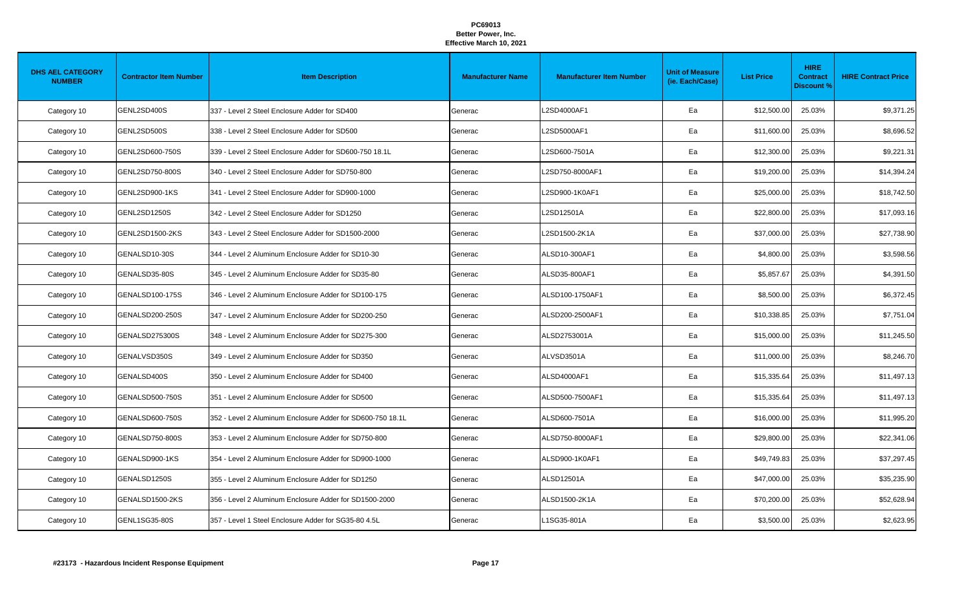| <b>DHS AEL CATEGORY</b><br><b>NUMBER</b> | <b>Contractor Item Number</b> | <b>Item Description</b>                                    | <b>Manufacturer Name</b> | <b>Manufacturer Item Number</b> | <b>Unit of Measure</b><br>(ie. Each/Case) | <b>List Price</b> | <b>HIRE</b><br><b>Contract</b><br><b>Discount %</b> | <b>HIRE Contract Price</b> |
|------------------------------------------|-------------------------------|------------------------------------------------------------|--------------------------|---------------------------------|-------------------------------------------|-------------------|-----------------------------------------------------|----------------------------|
| Category 10                              | GENL2SD400S                   | 337 - Level 2 Steel Enclosure Adder for SD400              | Generac                  | L2SD4000AF1                     | Ea                                        | \$12,500.00       | 25.03%                                              | \$9,371.25                 |
| Category 10                              | GENL2SD500S                   | 338 - Level 2 Steel Enclosure Adder for SD500              | Generac                  | L2SD5000AF1                     | Ea                                        | \$11,600.00       | 25.03%                                              | \$8,696.52                 |
| Category 10                              | GENL2SD600-750S               | 339 - Level 2 Steel Enclosure Adder for SD600-750 18.1L    | Generac                  | L2SD600-7501A                   | Ea                                        | \$12,300.00       | 25.03%                                              | \$9,221.31                 |
| Category 10                              | GENL2SD750-800S               | 340 - Level 2 Steel Enclosure Adder for SD750-800          | Generac                  | L2SD750-8000AF1                 | Ea                                        | \$19,200.00       | 25.03%                                              | \$14,394.24                |
| Category 10                              | GENL2SD900-1KS                | 341 - Level 2 Steel Enclosure Adder for SD900-1000         | Generac                  | L2SD900-1K0AF1                  | Ea                                        | \$25,000.00       | 25.03%                                              | \$18,742.50                |
| Category 10                              | GENL2SD1250S                  | 342 - Level 2 Steel Enclosure Adder for SD1250             | Generac                  | L2SD12501A                      | Ea                                        | \$22,800.00       | 25.03%                                              | \$17,093.16                |
| Category 10                              | GENL2SD1500-2KS               | 343 - Level 2 Steel Enclosure Adder for SD1500-2000        | Generac                  | L2SD1500-2K1A                   | Ea                                        | \$37,000.00       | 25.03%                                              | \$27,738.90                |
| Category 10                              | GENALSD10-30S                 | 344 - Level 2 Aluminum Enclosure Adder for SD10-30         | Generac                  | ALSD10-300AF1                   | Ea                                        | \$4,800.00        | 25.03%                                              | \$3,598.56                 |
| Category 10                              | GENALSD35-80S                 | 345 - Level 2 Aluminum Enclosure Adder for SD35-80         | Generac                  | ALSD35-800AF1                   | Ea                                        | \$5,857.67        | 25.03%                                              | \$4,391.50                 |
| Category 10                              | GENALSD100-175S               | 346 - Level 2 Aluminum Enclosure Adder for SD100-175       | Generac                  | ALSD100-1750AF1                 | Ea                                        | \$8,500.00        | 25.03%                                              | \$6,372.45                 |
| Category 10                              | GENALSD200-250S               | 347 - Level 2 Aluminum Enclosure Adder for SD200-250       | Generac                  | ALSD200-2500AF1                 | Ea                                        | \$10,338.85       | 25.03%                                              | \$7,751.04                 |
| Category 10                              | GENALSD275300S                | 348 - Level 2 Aluminum Enclosure Adder for SD275-300       | Generac                  | ALSD2753001A                    | Ea                                        | \$15,000.00       | 25.03%                                              | \$11,245.50                |
| Category 10                              | GENALVSD350S                  | 349 - Level 2 Aluminum Enclosure Adder for SD350           | Generac                  | ALVSD3501A                      | Ea                                        | \$11,000.00       | 25.03%                                              | \$8,246.70                 |
| Category 10                              | GENALSD400S                   | 350 - Level 2 Aluminum Enclosure Adder for SD400           | Generac                  | ALSD4000AF1                     | Ea                                        | \$15,335.64       | 25.03%                                              | \$11,497.13                |
| Category 10                              | GENALSD500-750S               | 351 - Level 2 Aluminum Enclosure Adder for SD500           | Generac                  | ALSD500-7500AF1                 | Ea                                        | \$15,335.64       | 25.03%                                              | \$11,497.13                |
| Category 10                              | GENALSD600-750S               | 352 - Level 2 Aluminum Enclosure Adder for SD600-750 18.1L | Generac                  | ALSD600-7501A                   | Ea                                        | \$16,000.00       | 25.03%                                              | \$11,995.20                |
| Category 10                              | GENALSD750-800S               | 353 - Level 2 Aluminum Enclosure Adder for SD750-800       | Generac                  | ALSD750-8000AF1                 | Ea                                        | \$29,800.00       | 25.03%                                              | \$22,341.06                |
| Category 10                              | GENALSD900-1KS                | 354 - Level 2 Aluminum Enclosure Adder for SD900-1000      | Generac                  | ALSD900-1K0AF1                  | Ea                                        | \$49,749.83       | 25.03%                                              | \$37,297.45                |
| Category 10                              | GENALSD1250S                  | 355 - Level 2 Aluminum Enclosure Adder for SD1250          | Generac                  | ALSD12501A                      | Ea                                        | \$47,000.00       | 25.03%                                              | \$35,235.90                |
| Category 10                              | GENALSD1500-2KS               | 356 - Level 2 Aluminum Enclosure Adder for SD1500-2000     | Generac                  | ALSD1500-2K1A                   | Ea                                        | \$70,200.00       | 25.03%                                              | \$52,628.94                |
| Category 10                              | GENL1SG35-80S                 | 357 - Level 1 Steel Enclosure Adder for SG35-80 4.5L       | Generac                  | L1SG35-801A                     | Ea                                        | \$3,500.00        | 25.03%                                              | \$2,623.95                 |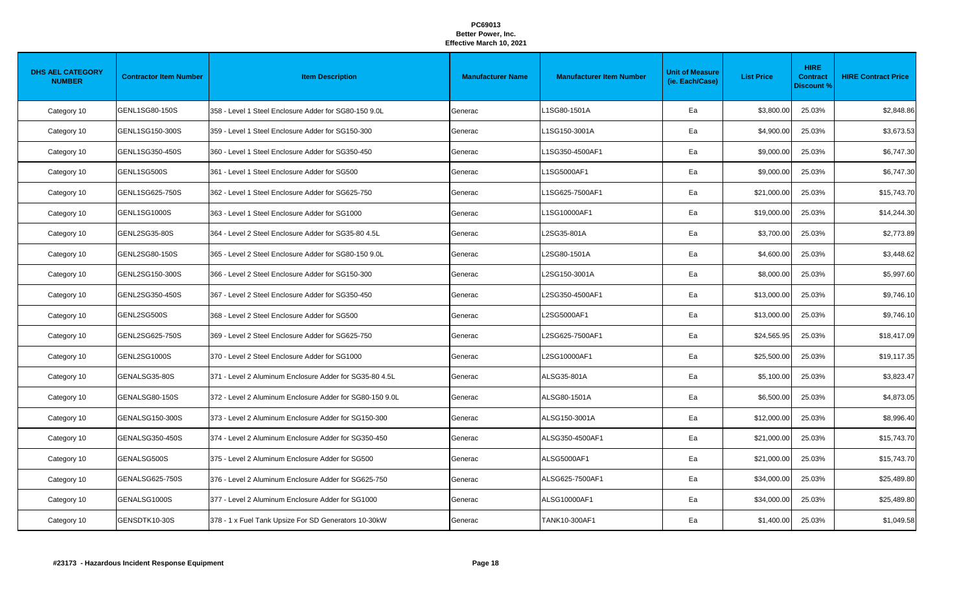| <b>DHS AEL CATEGORY</b><br><b>NUMBER</b> | <b>Contractor Item Number</b> | <b>Item Description</b>                                  | <b>Manufacturer Name</b> | <b>Manufacturer Item Number</b> | <b>Unit of Measure</b><br>(ie. Each/Case) | <b>List Price</b> | <b>HIRE</b><br><b>Contract</b><br><b>Discount %</b> | <b>HIRE Contract Price</b> |
|------------------------------------------|-------------------------------|----------------------------------------------------------|--------------------------|---------------------------------|-------------------------------------------|-------------------|-----------------------------------------------------|----------------------------|
| Category 10                              | GENL1SG80-150S                | 358 - Level 1 Steel Enclosure Adder for SG80-150 9.0L    | Generac                  | 1SG80-1501A                     | Ea                                        | \$3,800.00        | 25.03%                                              | \$2,848.86                 |
| Category 10                              | GENL1SG150-300S               | 359 - Level 1 Steel Enclosure Adder for SG150-300        | Generac                  | L1SG150-3001A                   | Ea                                        | \$4,900.00        | 25.03%                                              | \$3,673.53                 |
| Category 10                              | GENL1SG350-450S               | 360 - Level 1 Steel Enclosure Adder for SG350-450        | Generac                  | L1SG350-4500AF1                 | Ea                                        | \$9,000.00        | 25.03%                                              | \$6,747.30                 |
| Category 10                              | GENL1SG500S                   | 361 - Level 1 Steel Enclosure Adder for SG500            | Generac                  | L1SG5000AF1                     | Ea                                        | \$9,000.00        | 25.03%                                              | \$6,747.30                 |
| Category 10                              | GENL1SG625-750S               | 362 - Level 1 Steel Enclosure Adder for SG625-750        | Generac                  | L1SG625-7500AF1                 | Ea                                        | \$21,000.00       | 25.03%                                              | \$15,743.70                |
| Category 10                              | <b>GENL1SG1000S</b>           | 363 - Level 1 Steel Enclosure Adder for SG1000           | Generac                  | L1SG10000AF1                    | Ea                                        | \$19,000.00       | 25.03%                                              | \$14,244.30                |
| Category 10                              | GENL2SG35-80S                 | 364 - Level 2 Steel Enclosure Adder for SG35-80 4.5L     | Generac                  | L2SG35-801A                     | Ea                                        | \$3,700.00        | 25.03%                                              | \$2,773.89                 |
| Category 10                              | GENL2SG80-150S                | 365 - Level 2 Steel Enclosure Adder for SG80-150 9.0L    | Generac                  | L2SG80-1501A                    | Ea                                        | \$4,600.00        | 25.03%                                              | \$3,448.62                 |
| Category 10                              | GENL2SG150-300S               | 366 - Level 2 Steel Enclosure Adder for SG150-300        | Generac                  | L2SG150-3001A                   | Ea                                        | \$8,000.00        | 25.03%                                              | \$5,997.60                 |
| Category 10                              | GENL2SG350-450S               | 367 - Level 2 Steel Enclosure Adder for SG350-450        | Generac                  | L2SG350-4500AF1                 | Ea                                        | \$13,000.00       | 25.03%                                              | \$9,746.10                 |
| Category 10                              | GENL2SG500S                   | 368 - Level 2 Steel Enclosure Adder for SG500            | Generac                  | L2SG5000AF1                     | Ea                                        | \$13,000.00       | 25.03%                                              | \$9,746.10                 |
| Category 10                              | GENL2SG625-750S               | 369 - Level 2 Steel Enclosure Adder for SG625-750        | Generac                  | L2SG625-7500AF1                 | Ea                                        | \$24,565.95       | 25.03%                                              | \$18,417.09                |
| Category 10                              | GENL2SG1000S                  | 370 - Level 2 Steel Enclosure Adder for SG1000           | Generac                  | L2SG10000AF1                    | Ea                                        | \$25,500.00       | 25.03%                                              | \$19,117.35                |
| Category 10                              | GENALSG35-80S                 | 371 - Level 2 Aluminum Enclosure Adder for SG35-80 4.5L  | Generac                  | ALSG35-801A                     | Ea                                        | \$5,100.00        | 25.03%                                              | \$3,823.47                 |
| Category 10                              | GENALSG80-150S                | 372 - Level 2 Aluminum Enclosure Adder for SG80-150 9.0L | Generac                  | ALSG80-1501A                    | Ea                                        | \$6,500.00        | 25.03%                                              | \$4,873.05                 |
| Category 10                              | GENALSG150-300S               | 373 - Level 2 Aluminum Enclosure Adder for SG150-300     | Generac                  | ALSG150-3001A                   | Ea                                        | \$12,000.00       | 25.03%                                              | \$8,996.40                 |
| Category 10                              | GENALSG350-450S               | 374 - Level 2 Aluminum Enclosure Adder for SG350-450     | Generac                  | ALSG350-4500AF1                 | Ea                                        | \$21,000.00       | 25.03%                                              | \$15,743.70                |
| Category 10                              | GENALSG500S                   | 375 - Level 2 Aluminum Enclosure Adder for SG500         | Generac                  | ALSG5000AF1                     | Ea                                        | \$21,000.00       | 25.03%                                              | \$15,743.70                |
| Category 10                              | GENALSG625-750S               | 376 - Level 2 Aluminum Enclosure Adder for SG625-750     | Generac                  | ALSG625-7500AF1                 | Ea                                        | \$34,000.00       | 25.03%                                              | \$25,489.80                |
| Category 10                              | GENALSG1000S                  | 377 - Level 2 Aluminum Enclosure Adder for SG1000        | Generac                  | ALSG10000AF1                    | Ea                                        | \$34,000.00       | 25.03%                                              | \$25,489.80                |
| Category 10                              | GENSDTK10-30S                 | 378 - 1 x Fuel Tank Upsize For SD Generators 10-30kW     | Generac                  | TANK10-300AF1                   | Ea                                        | \$1,400.00        | 25.03%                                              | \$1,049.58                 |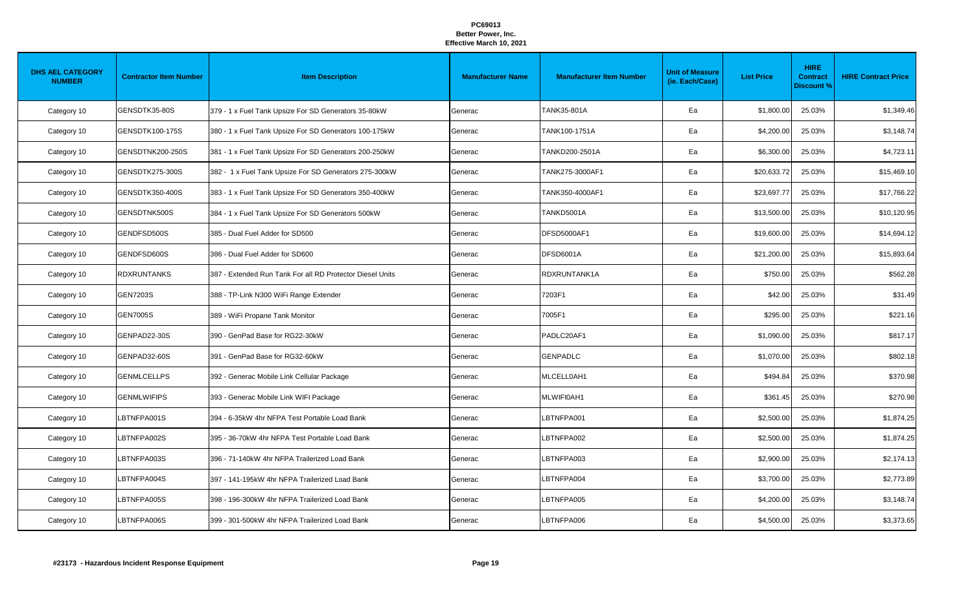| <b>DHS AEL CATEGORY</b><br><b>NUMBER</b> | <b>Contractor Item Number</b> | <b>Item Description</b>                                   | <b>Manufacturer Name</b> | <b>Manufacturer Item Number</b> | <b>Unit of Measure</b><br>(ie. Each/Case) | <b>List Price</b> | <b>HIRE</b><br><b>Contract</b><br><b>Discount %</b> | <b>HIRE Contract Price</b> |
|------------------------------------------|-------------------------------|-----------------------------------------------------------|--------------------------|---------------------------------|-------------------------------------------|-------------------|-----------------------------------------------------|----------------------------|
| Category 10                              | GENSDTK35-80S                 | 379 - 1 x Fuel Tank Upsize For SD Generators 35-80kW      | Generac                  | TANK35-801A                     | Ea                                        | \$1,800.00        | 25.03%                                              | \$1,349.46                 |
| Category 10                              | GENSDTK100-175S               | 380 - 1 x Fuel Tank Upsize For SD Generators 100-175kW    | Generac                  | TANK100-1751A                   | Ea                                        | \$4,200.00        | 25.03%                                              | \$3,148.74                 |
| Category 10                              | GENSDTNK200-250S              | 381 - 1 x Fuel Tank Upsize For SD Generators 200-250kW    | Generac                  | TANKD200-2501A                  | Ea                                        | \$6,300.00        | 25.03%                                              | \$4,723.11                 |
| Category 10                              | GENSDTK275-300S               | 382 - 1 x Fuel Tank Upsize For SD Generators 275-300kW    | Generac                  | TANK275-3000AF1                 | Ea                                        | \$20,633.72       | 25.03%                                              | \$15,469.10                |
| Category 10                              | GENSDTK350-400S               | 383 - 1 x Fuel Tank Upsize For SD Generators 350-400kW    | Generac                  | TANK350-4000AF1                 | Ea                                        | \$23,697.77       | 25.03%                                              | \$17,766.22                |
| Category 10                              | GENSDTNK500S                  | 384 - 1 x Fuel Tank Upsize For SD Generators 500kW        | Generac                  | TANKD5001A                      | Ea                                        | \$13,500.00       | 25.03%                                              | \$10,120.95                |
| Category 10                              | GENDFSD500S                   | 385 - Dual Fuel Adder for SD500                           | Generac                  | DFSD5000AF1                     | Ea                                        | \$19,600.00       | 25.03%                                              | \$14,694.12                |
| Category 10                              | GENDFSD600S                   | 386 - Dual Fuel Adder for SD600                           | Generac                  | <b>DFSD6001A</b>                | Ea                                        | \$21,200.00       | 25.03%                                              | \$15,893.64                |
| Category 10                              | <b>RDXRUNTANKS</b>            | 387 - Extended Run Tank For all RD Protector Diesel Units | Generac                  | RDXRUNTANK1A                    | Ea                                        | \$750.00          | 25.03%                                              | \$562.28                   |
| Category 10                              | <b>GEN7203S</b>               | 388 - TP-Link N300 WiFi Range Extender                    | Generac                  | 7203F1                          | Ea                                        | \$42.00           | 25.03%                                              | \$31.49                    |
| Category 10                              | GEN7005S                      | 389 - WiFi Propane Tank Monitor                           | Generac                  | 7005F1                          | Ea                                        | \$295.00          | 25.03%                                              | \$221.16                   |
| Category 10                              | GENPAD22-30S                  | 390 - GenPad Base for RG22-30kW                           | Generac                  | PADLC20AF1                      | Ea                                        | \$1,090.00        | 25.03%                                              | \$817.17                   |
| Category 10                              | GENPAD32-60S                  | 391 - GenPad Base for RG32-60kW                           | Generac                  | <b>GENPADLC</b>                 | Ea                                        | \$1,070.00        | 25.03%                                              | \$802.18                   |
| Category 10                              | <b>GENMLCELLPS</b>            | 392 - Generac Mobile Link Cellular Package                | Generac                  | MLCELL0AH1                      | Ea                                        | \$494.84          | 25.03%                                              | \$370.98                   |
| Category 10                              | <b>GENMLWIFIPS</b>            | 393 - Generac Mobile Link WIFI Package                    | Generac                  | MLWIFI0AH1                      | Ea                                        | \$361.45          | 25.03%                                              | \$270.98                   |
| Category 10                              | LBTNFPA001S                   | 394 - 6-35kW 4hr NFPA Test Portable Load Bank             | Generac                  | LBTNFPA001                      | Ea                                        | \$2,500.00        | 25.03%                                              | \$1,874.25                 |
| Category 10                              | LBTNFPA002S                   | 395 - 36-70kW 4hr NFPA Test Portable Load Bank            | Generac                  | LBTNFPA002                      | Ea                                        | \$2,500.00        | 25.03%                                              | \$1,874.25                 |
| Category 10                              | LBTNFPA003S                   | 396 - 71-140kW 4hr NFPA Trailerized Load Bank             | Generac                  | LBTNFPA003                      | Ea                                        | \$2,900.00        | 25.03%                                              | \$2,174.13                 |
| Category 10                              | LBTNFPA004S                   | 397 - 141-195kW 4hr NFPA Trailerized Load Bank            | Generac                  | LBTNFPA004                      | Ea                                        | \$3,700.00        | 25.03%                                              | \$2,773.89                 |
| Category 10                              | LBTNFPA005S                   | 398 - 196-300kW 4hr NFPA Trailerized Load Bank            | Generac                  | LBTNFPA005                      | Ea                                        | \$4,200.00        | 25.03%                                              | \$3,148.74                 |
| Category 10                              | LBTNFPA006S                   | 399 - 301-500kW 4hr NFPA Trailerized Load Bank            | Generac                  | LBTNFPA006                      | Ea                                        | \$4,500.00        | 25.03%                                              | \$3,373.65                 |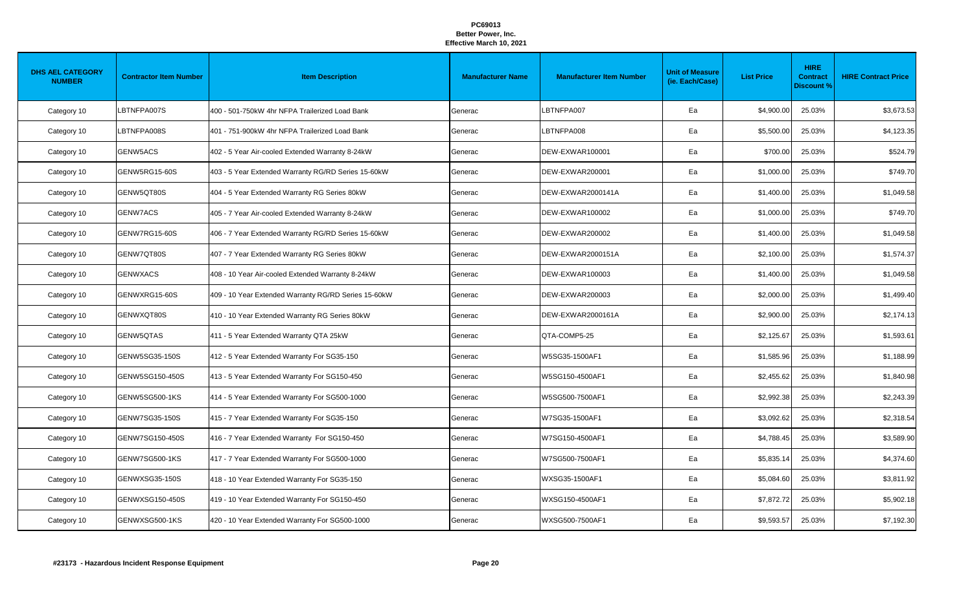| <b>DHS AEL CATEGORY</b><br><b>NUMBER</b> | <b>Contractor Item Number</b> | <b>Item Description</b>                              | <b>Manufacturer Name</b> | <b>Manufacturer Item Number</b> | <b>Unit of Measure</b><br>(ie. Each/Case) | <b>List Price</b> | <b>HIRE</b><br><b>Contract</b><br><b>Discount %</b> | <b>HIRE Contract Price</b> |
|------------------------------------------|-------------------------------|------------------------------------------------------|--------------------------|---------------------------------|-------------------------------------------|-------------------|-----------------------------------------------------|----------------------------|
| Category 10                              | LBTNFPA007S                   | 400 - 501-750kW 4hr NFPA Trailerized Load Bank       | Generac                  | LBTNFPA007                      | Ea                                        | \$4,900.00        | 25.03%                                              | \$3,673.53                 |
| Category 10                              | LBTNFPA008S                   | 401 - 751-900kW 4hr NFPA Trailerized Load Bank       | Generac                  | LBTNFPA008                      | Ea                                        | \$5,500.00        | 25.03%                                              | \$4,123.35                 |
| Category 10                              | GENW5ACS                      | 402 - 5 Year Air-cooled Extended Warranty 8-24kW     | Generac                  | DEW-EXWAR100001                 | Ea                                        | \$700.00          | 25.03%                                              | \$524.79                   |
| Category 10                              | GENW5RG15-60S                 | 403 - 5 Year Extended Warranty RG/RD Series 15-60kW  | Generac                  | DEW-EXWAR200001                 | Ea                                        | \$1,000.00        | 25.03%                                              | \$749.70                   |
| Category 10                              | GENW5QT80S                    | 404 - 5 Year Extended Warranty RG Series 80kW        | Generac                  | DEW-EXWAR2000141A               | Ea                                        | \$1,400.00        | 25.03%                                              | \$1,049.58                 |
| Category 10                              | <b>GENW7ACS</b>               | 405 - 7 Year Air-cooled Extended Warranty 8-24kW     | Generac                  | DEW-EXWAR100002                 | Ea                                        | \$1,000.00        | 25.03%                                              | \$749.70                   |
| Category 10                              | GENW7RG15-60S                 | 406 - 7 Year Extended Warranty RG/RD Series 15-60kW  | Generac                  | DEW-EXWAR200002                 | Ea                                        | \$1,400.00        | 25.03%                                              | \$1,049.58                 |
| Category 10                              | GENW7QT80S                    | 407 - 7 Year Extended Warranty RG Series 80kW        | Generac                  | DEW-EXWAR2000151A               | Ea                                        | \$2,100.00        | 25.03%                                              | \$1,574.37                 |
| Category 10                              | <b>GENWXACS</b>               | 408 - 10 Year Air-cooled Extended Warranty 8-24kW    | Generac                  | DEW-EXWAR100003                 | Ea                                        | \$1,400.00        | 25.03%                                              | \$1,049.58                 |
| Category 10                              | GENWXRG15-60S                 | 409 - 10 Year Extended Warranty RG/RD Series 15-60kW | Generac                  | DEW-EXWAR200003                 | Ea                                        | \$2,000.00        | 25.03%                                              | \$1,499.40                 |
| Category 10                              | GENWXQT80S                    | 410 - 10 Year Extended Warranty RG Series 80kW       | Generac                  | DEW-EXWAR2000161A               | Ea                                        | \$2,900.00        | 25.03%                                              | \$2,174.13                 |
| Category 10                              | GENW5QTAS                     | 411 - 5 Year Extended Warranty QTA 25kW              | Generac                  | QTA-COMP5-25                    | Ea                                        | \$2,125.67        | 25.03%                                              | \$1,593.61                 |
| Category 10                              | GENW5SG35-150S                | 412 - 5 Year Extended Warranty For SG35-150          | Generac                  | W5SG35-1500AF1                  | Ea                                        | \$1,585.96        | 25.03%                                              | \$1,188.99                 |
| Category 10                              | GENW5SG150-450S               | 413 - 5 Year Extended Warranty For SG150-450         | Generac                  | W5SG150-4500AF1                 | Ea                                        | \$2,455.62        | 25.03%                                              | \$1,840.98                 |
| Category 10                              | GENW5SG500-1KS                | 414 - 5 Year Extended Warranty For SG500-1000        | Generac                  | W5SG500-7500AF1                 | Ea                                        | \$2,992.38        | 25.03%                                              | \$2,243.39                 |
| Category 10                              | GENW7SG35-150S                | 415 - 7 Year Extended Warranty For SG35-150          | Generac                  | W7SG35-1500AF1                  | Ea                                        | \$3,092.62        | 25.03%                                              | \$2,318.54                 |
| Category 10                              | GENW7SG150-450S               | 416 - 7 Year Extended Warranty For SG150-450         | Generac                  | W7SG150-4500AF1                 | Ea                                        | \$4,788.45        | 25.03%                                              | \$3,589.90                 |
| Category 10                              | GENW7SG500-1KS                | 417 - 7 Year Extended Warranty For SG500-1000        | Generac                  | W7SG500-7500AF1                 | Ea                                        | \$5,835.14        | 25.03%                                              | \$4,374.60                 |
| Category 10                              | GENWXSG35-150S                | 418 - 10 Year Extended Warranty For SG35-150         | Generac                  | WXSG35-1500AF1                  | Ea                                        | \$5,084.60        | 25.03%                                              | \$3,811.92                 |
| Category 10                              | GENWXSG150-450S               | 419 - 10 Year Extended Warranty For SG150-450        | Generac                  | WXSG150-4500AF1                 | Ea                                        | \$7,872.72        | 25.03%                                              | \$5,902.18                 |
| Category 10                              | GENWXSG500-1KS                | 420 - 10 Year Extended Warranty For SG500-1000       | Generac                  | WXSG500-7500AF1                 | Ea                                        | \$9,593.57        | 25.03%                                              | \$7,192.30                 |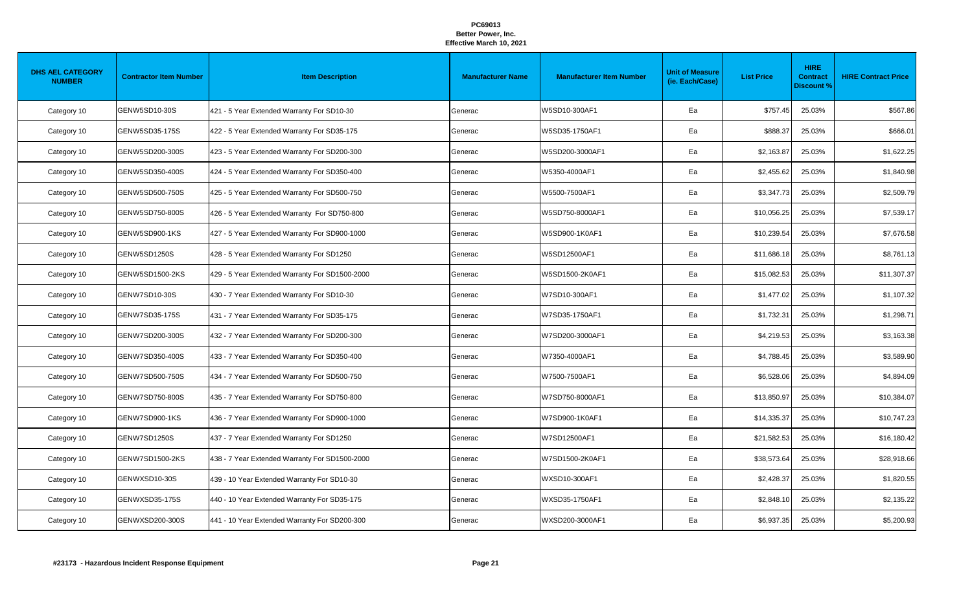| <b>DHS AEL CATEGORY</b><br><b>NUMBER</b> | <b>Contractor Item Number</b> | <b>Item Description</b>                        | <b>Manufacturer Name</b> | <b>Manufacturer Item Number</b> | <b>Unit of Measure</b><br>(ie. Each/Case) | <b>List Price</b> | <b>HIRE</b><br><b>Contract</b><br><b>Discount %</b> | <b>HIRE Contract Price</b> |
|------------------------------------------|-------------------------------|------------------------------------------------|--------------------------|---------------------------------|-------------------------------------------|-------------------|-----------------------------------------------------|----------------------------|
| Category 10                              | GENW5SD10-30S                 | 421 - 5 Year Extended Warranty For SD10-30     | Generac                  | W5SD10-300AF1                   | Ea                                        | \$757.45          | 25.03%                                              | \$567.86                   |
| Category 10                              | GENW5SD35-175S                | 422 - 5 Year Extended Warranty For SD35-175    | Generac                  | W5SD35-1750AF1                  | Ea                                        | \$888.37          | 25.03%                                              | \$666.01                   |
| Category 10                              | GENW5SD200-300S               | 423 - 5 Year Extended Warranty For SD200-300   | Generac                  | W5SD200-3000AF1                 | Ea                                        | \$2,163.87        | 25.03%                                              | \$1,622.25                 |
| Category 10                              | GENW5SD350-400S               | 424 - 5 Year Extended Warranty For SD350-400   | Generac                  | W5350-4000AF1                   | Ea                                        | \$2,455.62        | 25.03%                                              | \$1,840.98                 |
| Category 10                              | GENW5SD500-750S               | 425 - 5 Year Extended Warranty For SD500-750   | Generac                  | W5500-7500AF1                   | Ea                                        | \$3,347.73        | 25.03%                                              | \$2,509.79                 |
| Category 10                              | GENW5SD750-800S               | 426 - 5 Year Extended Warranty For SD750-800   | Generac                  | W5SD750-8000AF1                 | Ea                                        | \$10,056.25       | 25.03%                                              | \$7,539.17                 |
| Category 10                              | GENW5SD900-1KS                | 427 - 5 Year Extended Warranty For SD900-1000  | Generac                  | W5SD900-1K0AF1                  | Ea                                        | \$10,239.54       | 25.03%                                              | \$7,676.58                 |
| Category 10                              | GENW5SD1250S                  | 428 - 5 Year Extended Warranty For SD1250      | Generac                  | W5SD12500AF1                    | Ea                                        | \$11,686.18       | 25.03%                                              | \$8,761.13                 |
| Category 10                              | GENW5SD1500-2KS               | 429 - 5 Year Extended Warranty For SD1500-2000 | Generac                  | W5SD1500-2K0AF1                 | Ea                                        | \$15,082.53       | 25.03%                                              | \$11,307.37                |
| Category 10                              | GENW7SD10-30S                 | 430 - 7 Year Extended Warranty For SD10-30     | Generac                  | W7SD10-300AF1                   | Ea                                        | \$1,477.02        | 25.03%                                              | \$1,107.32                 |
| Category 10                              | GENW7SD35-175S                | 431 - 7 Year Extended Warranty For SD35-175    | Generac                  | W7SD35-1750AF1                  | Ea                                        | \$1,732.31        | 25.03%                                              | \$1,298.71                 |
| Category 10                              | GENW7SD200-300S               | 432 - 7 Year Extended Warranty For SD200-300   | Generac                  | W7SD200-3000AF1                 | Ea                                        | \$4,219.53        | 25.03%                                              | \$3,163.38                 |
| Category 10                              | GENW7SD350-400S               | 433 - 7 Year Extended Warranty For SD350-400   | Generac                  | W7350-4000AF1                   | Ea                                        | \$4,788.45        | 25.03%                                              | \$3,589.90                 |
| Category 10                              | GENW7SD500-750S               | 434 - 7 Year Extended Warranty For SD500-750   | Generac                  | W7500-7500AF1                   | Ea                                        | \$6,528.06        | 25.03%                                              | \$4,894.09                 |
| Category 10                              | GENW7SD750-800S               | 435 - 7 Year Extended Warranty For SD750-800   | Generac                  | W7SD750-8000AF1                 | Ea                                        | \$13,850.97       | 25.03%                                              | \$10,384.07                |
| Category 10                              | GENW7SD900-1KS                | 436 - 7 Year Extended Warranty For SD900-1000  | Generac                  | W7SD900-1K0AF1                  | Ea                                        | \$14,335.37       | 25.03%                                              | \$10,747.23                |
| Category 10                              | GENW7SD1250S                  | 437 - 7 Year Extended Warranty For SD1250      | Generac                  | W7SD12500AF1                    | Ea                                        | \$21,582.53       | 25.03%                                              | \$16,180.42                |
| Category 10                              | GENW7SD1500-2KS               | 438 - 7 Year Extended Warranty For SD1500-2000 | Generac                  | W7SD1500-2K0AF1                 | Ea                                        | \$38,573.64       | 25.03%                                              | \$28,918.66                |
| Category 10                              | GENWXSD10-30S                 | 439 - 10 Year Extended Warranty For SD10-30    | Generac                  | WXSD10-300AF1                   | Ea                                        | \$2,428.37        | 25.03%                                              | \$1,820.55                 |
| Category 10                              | GENWXSD35-175S                | 440 - 10 Year Extended Warranty For SD35-175   | Generac                  | WXSD35-1750AF1                  | Ea                                        | \$2,848.10        | 25.03%                                              | \$2,135.22                 |
| Category 10                              | GENWXSD200-300S               | 441 - 10 Year Extended Warranty For SD200-300  | Generac                  | WXSD200-3000AF1                 | Ea                                        | \$6,937.35        | 25.03%                                              | \$5,200.93                 |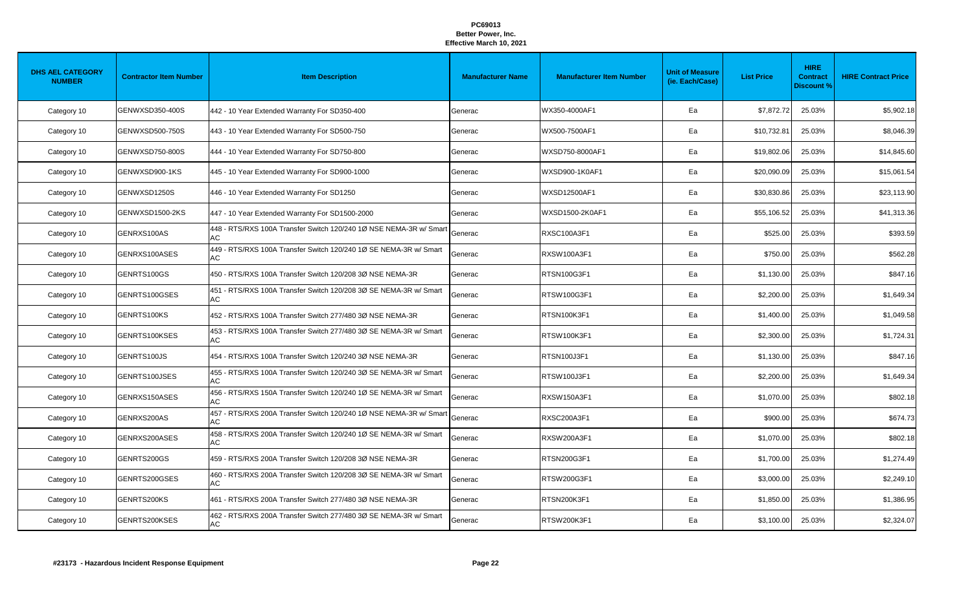| <b>DHS AEL CATEGORY</b><br><b>NUMBER</b> | <b>Contractor Item Number</b> | <b>Item Description</b>                                                  | <b>Manufacturer Name</b> | <b>Manufacturer Item Number</b> | <b>Unit of Measure</b><br>(ie. Each/Case) | <b>List Price</b> | <b>HIRE</b><br><b>Contract</b><br><b>Discount %</b> | <b>HIRE Contract Price</b> |
|------------------------------------------|-------------------------------|--------------------------------------------------------------------------|--------------------------|---------------------------------|-------------------------------------------|-------------------|-----------------------------------------------------|----------------------------|
| Category 10                              | GENWXSD350-400S               | 442 - 10 Year Extended Warranty For SD350-400                            | Generac                  | WX350-4000AF1                   | Ea                                        | \$7.872.72        | 25.03%                                              | \$5,902.18                 |
| Category 10                              | GENWXSD500-750S               | 443 - 10 Year Extended Warranty For SD500-750                            | Generac                  | WX500-7500AF1                   | Ea                                        | \$10,732.8        | 25.03%                                              | \$8,046.39                 |
| Category 10                              | GENWXSD750-800S               | 444 - 10 Year Extended Warranty For SD750-800                            | Generac                  | WXSD750-8000AF1                 | Ea                                        | \$19,802.06       | 25.03%                                              | \$14,845.60                |
| Category 10                              | GENWXSD900-1KS                | 445 - 10 Year Extended Warranty For SD900-1000                           | Generac                  | WXSD900-1K0AF1                  | Ea                                        | \$20,090.09       | 25.03%                                              | \$15,061.54                |
| Category 10                              | GENWXSD1250S                  | 446 - 10 Year Extended Warranty For SD1250                               | Generac                  | <b>WXSD12500AF1</b>             | Ea                                        | \$30,830.86       | 25.03%                                              | \$23,113.90                |
| Category 10                              | GENWXSD1500-2KS               | 447 - 10 Year Extended Warranty For SD1500-2000                          | Generac                  | WXSD1500-2K0AF1                 | Ea                                        | \$55,106.52       | 25.03%                                              | \$41,313.36                |
| Category 10                              | GENRXS100AS                   | 448 - RTS/RXS 100A Transfer Switch 120/240 1Ø NSE NEMA-3R w/ Smart<br>AC | Generac                  | RXSC100A3F1                     | Ea                                        | \$525.00          | 25.03%                                              | \$393.59                   |
| Category 10                              | GENRXS100ASES                 | 449 - RTS/RXS 100A Transfer Switch 120/240 1Ø SE NEMA-3R w/ Smart<br>AC  | Generac                  | <b>RXSW100A3F1</b>              | Ea                                        | \$750.00          | 25.03%                                              | \$562.28                   |
| Category 10                              | GENRTS100GS                   | 450 - RTS/RXS 100A Transfer Switch 120/208 3Ø NSE NEMA-3R                | Generac                  | RTSN100G3F1                     | Ea                                        | \$1,130.00        | 25.03%                                              | \$847.16                   |
| Category 10                              | GENRTS100GSES                 | 451 - RTS/RXS 100A Transfer Switch 120/208 3Ø SE NEMA-3R w/ Smart<br>AC  | Generac                  | RTSW100G3F1                     | Ea                                        | \$2,200.00        | 25.03%                                              | \$1,649.34                 |
| Category 10                              | GENRTS100KS                   | 452 - RTS/RXS 100A Transfer Switch 277/480 3Ø NSE NEMA-3R                | Generac                  | RTSN100K3F1                     | Ea                                        | \$1,400.00        | 25.03%                                              | \$1,049.58                 |
| Category 10                              | GENRTS100KSES                 | 453 - RTS/RXS 100A Transfer Switch 277/480 3Ø SE NEMA-3R w/ Smart<br>AC  | Generac                  | RTSW100K3F1                     | Ea                                        | \$2,300.00        | 25.03%                                              | \$1,724.31                 |
| Category 10                              | GENRTS100JS                   | 454 - RTS/RXS 100A Transfer Switch 120/240 3Ø NSE NEMA-3R                | Generac                  | RTSN100J3F1                     | Ea                                        | \$1,130.00        | 25.03%                                              | \$847.16                   |
| Category 10                              | GENRTS100JSES                 | 455 - RTS/RXS 100A Transfer Switch 120/240 3Ø SE NEMA-3R w/ Smart<br>AC  | Generac                  | RTSW100J3F1                     | Ea                                        | \$2,200.00        | 25.03%                                              | \$1,649.34                 |
| Category 10                              | GENRXS150ASES                 | 456 - RTS/RXS 150A Transfer Switch 120/240 1Ø SE NEMA-3R w/ Smart<br>AC  | Generac                  | <b>RXSW150A3F1</b>              | Ea                                        | \$1,070.00        | 25.03%                                              | \$802.18                   |
| Category 10                              | GENRXS200AS                   | 457 - RTS/RXS 200A Transfer Switch 120/240 1Ø NSE NEMA-3R w/ Smart<br>AC | Generac                  | RXSC200A3F1                     | Ea                                        | \$900.00          | 25.03%                                              | \$674.73                   |
| Category 10                              | GENRXS200ASES                 | 458 - RTS/RXS 200A Transfer Switch 120/240 1Ø SE NEMA-3R w/ Smart<br>AC  | Generac                  | RXSW200A3F1                     | Ea                                        | \$1,070.00        | 25.03%                                              | \$802.18                   |
| Category 10                              | GENRTS200GS                   | 459 - RTS/RXS 200A Transfer Switch 120/208 3Ø NSE NEMA-3R                | Generac                  | RTSN200G3F1                     | Ea                                        | \$1,700.00        | 25.03%                                              | \$1,274.49                 |
| Category 10                              | GENRTS200GSES                 | 460 - RTS/RXS 200A Transfer Switch 120/208 3Ø SE NEMA-3R w/ Smart<br>AC  | Generac                  | RTSW200G3F1                     | Ea                                        | \$3,000.00        | 25.03%                                              | \$2,249.10                 |
| Category 10                              | GENRTS200KS                   | 461 - RTS/RXS 200A Transfer Switch 277/480 3Ø NSE NEMA-3R                | Generac                  | RTSN200K3F1                     | Ea                                        | \$1,850.00        | 25.03%                                              | \$1,386.95                 |
| Category 10                              | GENRTS200KSES                 | 462 - RTS/RXS 200A Transfer Switch 277/480 3Ø SE NEMA-3R w/ Smart<br>AC  | Generac                  | RTSW200K3F1                     | Ea                                        | \$3,100.00        | 25.03%                                              | \$2,324.07                 |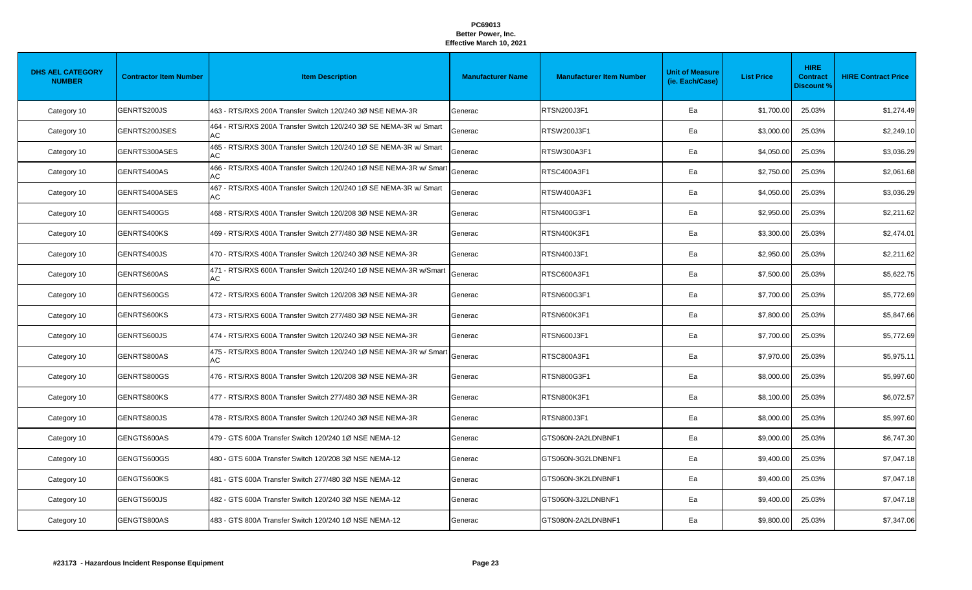| <b>DHS AEL CATEGORY</b><br><b>NUMBER</b> | <b>Contractor Item Number</b> | <b>Item Description</b>                                                  | <b>Manufacturer Name</b> | <b>Manufacturer Item Number</b> | <b>Unit of Measure</b><br>(ie. Each/Case) | <b>List Price</b> | <b>HIRE</b><br><b>Contract</b><br><b>Discount %</b> | <b>HIRE Contract Price</b> |
|------------------------------------------|-------------------------------|--------------------------------------------------------------------------|--------------------------|---------------------------------|-------------------------------------------|-------------------|-----------------------------------------------------|----------------------------|
| Category 10                              | GENRTS200JS                   | 463 - RTS/RXS 200A Transfer Switch 120/240 3Ø NSE NEMA-3R                | Generac                  | RTSN200J3F1                     | Ea                                        | \$1,700.00        | 25.03%                                              | \$1,274.49                 |
| Category 10                              | GENRTS200JSES                 | 464 - RTS/RXS 200A Transfer Switch 120/240 3Ø SE NEMA-3R w/ Smart<br>AC  | Generac                  | RTSW200J3F1                     | Ea                                        | \$3,000.00        | 25.03%                                              | \$2,249.10                 |
| Category 10                              | GENRTS300ASES                 | 465 - RTS/RXS 300A Transfer Switch 120/240 1Ø SE NEMA-3R w/ Smart<br>AC  | Generac                  | RTSW300A3F1                     | Ea                                        | \$4,050.00        | 25.03%                                              | \$3,036.29                 |
| Category 10                              | GENRTS400AS                   | 466 - RTS/RXS 400A Transfer Switch 120/240 1Ø NSE NEMA-3R w/ Smart<br>AC | Generac                  | RTSC400A3F1                     | Ea                                        | \$2,750.00        | 25.03%                                              | \$2,061.68                 |
| Category 10                              | GENRTS400ASES                 | 467 - RTS/RXS 400A Transfer Switch 120/240 1Ø SE NEMA-3R w/ Smart<br>AC  | Generac                  | RTSW400A3F1                     | Ea                                        | \$4,050.00        | 25.03%                                              | \$3,036.29                 |
| Category 10                              | GENRTS400GS                   | 468 - RTS/RXS 400A Transfer Switch 120/208 3Ø NSE NEMA-3R                | Generac                  | RTSN400G3F1                     | Ea                                        | \$2,950.00        | 25.03%                                              | \$2,211.62                 |
| Category 10                              | GENRTS400KS                   | 469 - RTS/RXS 400A Transfer Switch 277/480 3Ø NSE NEMA-3R                | Generac                  | RTSN400K3F1                     | Ea                                        | \$3,300.00        | 25.03%                                              | \$2,474.01                 |
| Category 10                              | GENRTS400JS                   | 470 - RTS/RXS 400A Transfer Switch 120/240 3Ø NSE NEMA-3R                | Generac                  | RTSN400J3F1                     | Ea                                        | \$2,950.00        | 25.03%                                              | \$2,211.62                 |
| Category 10                              | GENRTS600AS                   | 471 - RTS/RXS 600A Transfer Switch 120/240 1Ø NSE NEMA-3R w/Smart<br>AC  | Generac                  | RTSC600A3F1                     | Ea                                        | \$7,500.00        | 25.03%                                              | \$5,622.75                 |
| Category 10                              | GENRTS600GS                   | 472 - RTS/RXS 600A Transfer Switch 120/208 3Ø NSE NEMA-3R                | Generac                  | RTSN600G3F1                     | Ea                                        | \$7,700.00        | 25.03%                                              | \$5,772.69                 |
| Category 10                              | GENRTS600KS                   | 473 - RTS/RXS 600A Transfer Switch 277/480 3Ø NSE NEMA-3R                | Generac                  | RTSN600K3F1                     | Ea                                        | \$7,800.00        | 25.03%                                              | \$5,847.66                 |
| Category 10                              | GENRTS600JS                   | 474 - RTS/RXS 600A Transfer Switch 120/240 3Ø NSE NEMA-3R                | Generac                  | RTSN600J3F1                     | Ea                                        | \$7,700.00        | 25.03%                                              | \$5,772.69                 |
| Category 10                              | GENRTS800AS                   | 475 - RTS/RXS 800A Transfer Switch 120/240 1Ø NSE NEMA-3R w/ Smart<br>AC | Generac                  | RTSC800A3F1                     | Ea                                        | \$7,970.00        | 25.03%                                              | \$5,975.1                  |
| Category 10                              | GENRTS800GS                   | 476 - RTS/RXS 800A Transfer Switch 120/208 3Ø NSE NEMA-3R                | Generac                  | RTSN800G3F1                     | Ea                                        | \$8,000.00        | 25.03%                                              | \$5,997.60                 |
| Category 10                              | GENRTS800KS                   | 477 - RTS/RXS 800A Transfer Switch 277/480 3Ø NSE NEMA-3R                | Generac                  | RTSN800K3F1                     | Ea                                        | \$8,100.00        | 25.03%                                              | \$6,072.57                 |
| Category 10                              | GENRTS800JS                   | 478 - RTS/RXS 800A Transfer Switch 120/240 3Ø NSE NEMA-3R                | Generac                  | RTSN800J3F1                     | Ea                                        | \$8,000.00        | 25.03%                                              | \$5,997.60                 |
| Category 10                              | GENGTS600AS                   | 479 - GTS 600A Transfer Switch 120/240 1Ø NSE NEMA-12                    | Generac                  | GTS060N-2A2LDNBNF1              | Ea                                        | \$9,000.00        | 25.03%                                              | \$6,747.30                 |
| Category 10                              | GENGTS600GS                   | 480 - GTS 600A Transfer Switch 120/208 3Ø NSE NEMA-12                    | Generac                  | GTS060N-3G2LDNBNF1              | Ea                                        | \$9,400.00        | 25.03%                                              | \$7,047.18                 |
| Category 10                              | GENGTS600KS                   | 481 - GTS 600A Transfer Switch 277/480 3Ø NSE NEMA-12                    | Generac                  | GTS060N-3K2LDNBNF1              | Ea                                        | \$9,400.00        | 25.03%                                              | \$7,047.18                 |
| Category 10                              | GENGTS600JS                   | 482 - GTS 600A Transfer Switch 120/240 3Ø NSE NEMA-12                    | Generac                  | GTS060N-3J2LDNBNF1              | Ea                                        | \$9,400.00        | 25.03%                                              | \$7,047.18                 |
| Category 10                              | GENGTS800AS                   | 483 - GTS 800A Transfer Switch 120/240 1Ø NSE NEMA-12                    | Generac                  | GTS080N-2A2LDNBNF1              | Ea                                        | \$9,800.00        | 25.03%                                              | \$7,347.06                 |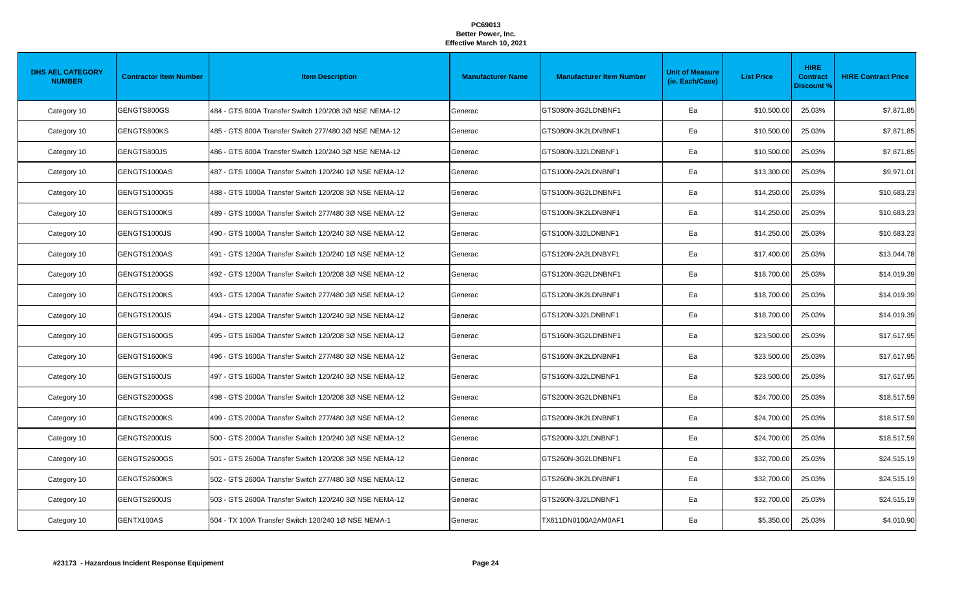| <b>DHS AEL CATEGORY</b><br><b>NUMBER</b> | <b>Contractor Item Number</b> | <b>Item Description</b>                                | <b>Manufacturer Name</b> | <b>Manufacturer Item Number</b> | <b>Unit of Measure</b><br>(ie. Each/Case) | <b>List Price</b> | <b>HIRE</b><br><b>Contract</b><br><b>Discount %</b> | <b>HIRE Contract Price</b> |
|------------------------------------------|-------------------------------|--------------------------------------------------------|--------------------------|---------------------------------|-------------------------------------------|-------------------|-----------------------------------------------------|----------------------------|
| Category 10                              | GENGTS800GS                   | 484 - GTS 800A Transfer Switch 120/208 3Ø NSE NEMA-12  | Generac                  | GTS080N-3G2LDNBNF1              | Ea                                        | \$10,500.00       | 25.03%                                              | \$7,871.85                 |
| Category 10                              | GENGTS800KS                   | 485 - GTS 800A Transfer Switch 277/480 3Ø NSE NEMA-12  | Generac                  | GTS080N-3K2LDNBNF1              | Ea                                        | \$10,500.00       | 25.03%                                              | \$7,871.85                 |
| Category 10                              | GENGTS800JS                   | 486 - GTS 800A Transfer Switch 120/240 3Ø NSE NEMA-12  | Generac                  | GTS080N-3J2LDNBNF1              | Ea                                        | \$10,500.00       | 25.03%                                              | \$7,871.85                 |
| Category 10                              | GENGTS1000AS                  | 487 - GTS 1000A Transfer Switch 120/240 1Ø NSE NEMA-12 | Generac                  | GTS100N-2A2LDNBNF1              | Ea                                        | \$13,300.00       | 25.03%                                              | \$9,971.01                 |
| Category 10                              | GENGTS1000GS                  | 488 - GTS 1000A Transfer Switch 120/208 3Ø NSE NEMA-12 | Generac                  | GTS100N-3G2LDNBNF1              | Ea                                        | \$14,250.00       | 25.03%                                              | \$10,683.23                |
| Category 10                              | GENGTS1000KS                  | 489 - GTS 1000A Transfer Switch 277/480 3Ø NSE NEMA-12 | Generac                  | GTS100N-3K2LDNBNF1              | Ea                                        | \$14,250.00       | 25.03%                                              | \$10,683.23                |
| Category 10                              | GENGTS1000JS                  | 490 - GTS 1000A Transfer Switch 120/240 3Ø NSE NEMA-12 | Generac                  | GTS100N-3J2LDNBNF1              | Ea                                        | \$14,250.00       | 25.03%                                              | \$10,683.23                |
| Category 10                              | GENGTS1200AS                  | 491 - GTS 1200A Transfer Switch 120/240 1Ø NSE NEMA-12 | Generac                  | GTS120N-2A2LDNBYF1              | Ea                                        | \$17,400.00       | 25.03%                                              | \$13,044.78                |
| Category 10                              | GENGTS1200GS                  | 492 - GTS 1200A Transfer Switch 120/208 3Ø NSE NEMA-12 | Generac                  | GTS120N-3G2LDNBNF1              | Ea                                        | \$18,700.00       | 25.03%                                              | \$14,019.39                |
| Category 10                              | GENGTS1200KS                  | 493 - GTS 1200A Transfer Switch 277/480 3Ø NSE NEMA-12 | Generac                  | GTS120N-3K2LDNBNF1              | Ea                                        | \$18,700.00       | 25.03%                                              | \$14,019.39                |
| Category 10                              | GENGTS1200JS                  | 494 - GTS 1200A Transfer Switch 120/240 3Ø NSE NEMA-12 | Generac                  | GTS120N-3J2LDNBNF1              | Ea                                        | \$18,700.00       | 25.03%                                              | \$14,019.39                |
| Category 10                              | GENGTS1600GS                  | 495 - GTS 1600A Transfer Switch 120/208 3Ø NSE NEMA-12 | Generac                  | GTS160N-3G2LDNBNF1              | Ea                                        | \$23,500.00       | 25.03%                                              | \$17,617.95                |
| Category 10                              | GENGTS1600KS                  | 496 - GTS 1600A Transfer Switch 277/480 3Ø NSE NEMA-12 | Generac                  | GTS160N-3K2LDNBNF1              | Ea                                        | \$23,500.00       | 25.03%                                              | \$17,617.95                |
| Category 10                              | GENGTS1600JS                  | 497 - GTS 1600A Transfer Switch 120/240 3Ø NSE NEMA-12 | Generac                  | GTS160N-3J2LDNBNF1              | Ea                                        | \$23,500.00       | 25.03%                                              | \$17,617.95                |
| Category 10                              | GENGTS2000GS                  | 498 - GTS 2000A Transfer Switch 120/208 3Ø NSE NEMA-12 | Generac                  | GTS200N-3G2LDNBNF1              | Ea                                        | \$24,700.00       | 25.03%                                              | \$18,517.59                |
| Category 10                              | GENGTS2000KS                  | 499 - GTS 2000A Transfer Switch 277/480 3Ø NSE NEMA-12 | Generac                  | GTS200N-3K2LDNBNF1              | Ea                                        | \$24,700.00       | 25.03%                                              | \$18,517.59                |
| Category 10                              | GENGTS2000JS                  | 500 - GTS 2000A Transfer Switch 120/240 3Ø NSE NEMA-12 | Generac                  | GTS200N-3J2LDNBNF1              | Ea                                        | \$24,700.00       | 25.03%                                              | \$18,517.59                |
| Category 10                              | GENGTS2600GS                  | 501 - GTS 2600A Transfer Switch 120/208 3Ø NSE NEMA-12 | Generac                  | GTS260N-3G2LDNBNF1              | Ea                                        | \$32,700.00       | 25.03%                                              | \$24,515.19                |
| Category 10                              | GENGTS2600KS                  | 502 - GTS 2600A Transfer Switch 277/480 3Ø NSE NEMA-12 | Generac                  | GTS260N-3K2LDNBNF1              | Ea                                        | \$32,700.00       | 25.03%                                              | \$24,515.19                |
| Category 10                              | GENGTS2600JS                  | 503 - GTS 2600A Transfer Switch 120/240 3Ø NSE NEMA-12 | Generac                  | GTS260N-3J2LDNBNF1              | Ea                                        | \$32,700.00       | 25.03%                                              | \$24,515.19                |
| Category 10                              | GENTX100AS                    | 504 - TX 100A Transfer Switch 120/240 1Ø NSE NEMA-1    | Generac                  | TX611DN0100A2AM0AF1             | Ea                                        | \$5,350.00        | 25.03%                                              | \$4,010.90                 |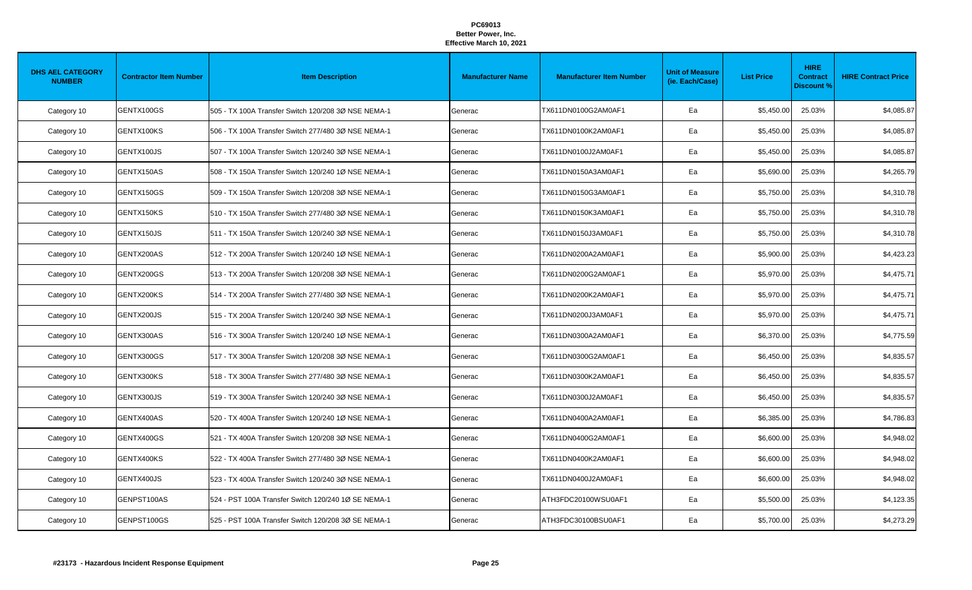| <b>DHS AEL CATEGORY</b><br><b>NUMBER</b> | <b>Contractor Item Number</b> | <b>Item Description</b>                             | <b>Manufacturer Name</b> | <b>Manufacturer Item Number</b> | <b>Unit of Measure</b><br>(ie. Each/Case) | <b>List Price</b> | <b>HIRE</b><br><b>Contract</b><br><b>Discount %</b> | <b>HIRE Contract Price</b> |
|------------------------------------------|-------------------------------|-----------------------------------------------------|--------------------------|---------------------------------|-------------------------------------------|-------------------|-----------------------------------------------------|----------------------------|
| Category 10                              | GENTX100GS                    | 505 - TX 100A Transfer Switch 120/208 3Ø NSE NEMA-1 | Generac                  | TX611DN0100G2AM0AF1             | Ea                                        | \$5,450.00        | 25.03%                                              | \$4,085.87                 |
| Category 10                              | GENTX100KS                    | 506 - TX 100A Transfer Switch 277/480 3Ø NSE NEMA-1 | Generac                  | TX611DN0100K2AM0AF1             | Ea                                        | \$5,450.00        | 25.03%                                              | \$4,085.87                 |
| Category 10                              | GENTX100JS                    | 507 - TX 100A Transfer Switch 120/240 3Ø NSE NEMA-1 | Generac                  | TX611DN0100J2AM0AF1             | Ea                                        | \$5,450.00        | 25.03%                                              | \$4,085.87                 |
| Category 10                              | GENTX150AS                    | 508 - TX 150A Transfer Switch 120/240 1Ø NSE NEMA-1 | Generac                  | TX611DN0150A3AM0AF1             | Ea                                        | \$5,690.00        | 25.03%                                              | \$4,265.79                 |
| Category 10                              | GENTX150GS                    | 509 - TX 150A Transfer Switch 120/208 3Ø NSE NEMA-1 | Generac                  | TX611DN0150G3AM0AF1             | Ea                                        | \$5,750.00        | 25.03%                                              | \$4,310.78                 |
| Category 10                              | GENTX150KS                    | 510 - TX 150A Transfer Switch 277/480 3Ø NSE NEMA-1 | Generac                  | TX611DN0150K3AM0AF1             | Ea                                        | \$5,750.00        | 25.03%                                              | \$4,310.78                 |
| Category 10                              | GENTX150JS                    | 511 - TX 150A Transfer Switch 120/240 3Ø NSE NEMA-1 | Generac                  | TX611DN0150J3AM0AF1             | Ea                                        | \$5,750.00        | 25.03%                                              | \$4,310.78                 |
| Category 10                              | GENTX200AS                    | 512 - TX 200A Transfer Switch 120/240 1Ø NSE NEMA-1 | Generac                  | TX611DN0200A2AM0AF1             | Ea                                        | \$5,900.00        | 25.03%                                              | \$4,423.23                 |
| Category 10                              | GENTX200GS                    | 513 - TX 200A Transfer Switch 120/208 3Ø NSE NEMA-1 | Generac                  | TX611DN0200G2AM0AF1             | Ea                                        | \$5,970.00        | 25.03%                                              | \$4,475.71                 |
| Category 10                              | GENTX200KS                    | 514 - TX 200A Transfer Switch 277/480 3Ø NSE NEMA-1 | Generac                  | TX611DN0200K2AM0AF1             | Ea                                        | \$5,970.00        | 25.03%                                              | \$4,475.71                 |
| Category 10                              | GENTX200JS                    | 515 - TX 200A Transfer Switch 120/240 3Ø NSE NEMA-1 | Generac                  | TX611DN0200J3AM0AF1             | Ea                                        | \$5,970.00        | 25.03%                                              | \$4,475.71                 |
| Category 10                              | GENTX300AS                    | 516 - TX 300A Transfer Switch 120/240 1Ø NSE NEMA-1 | Generac                  | TX611DN0300A2AM0AF1             | Ea                                        | \$6,370.00        | 25.03%                                              | \$4,775.59                 |
| Category 10                              | GENTX300GS                    | 517 - TX 300A Transfer Switch 120/208 3Ø NSE NEMA-1 | Generac                  | TX611DN0300G2AM0AF1             | Ea                                        | \$6,450.00        | 25.03%                                              | \$4,835.57                 |
| Category 10                              | GENTX300KS                    | 518 - TX 300A Transfer Switch 277/480 3Ø NSE NEMA-1 | Generac                  | TX611DN0300K2AM0AF1             | Ea                                        | \$6,450.00        | 25.03%                                              | \$4,835.57                 |
| Category 10                              | GENTX300JS                    | 519 - TX 300A Transfer Switch 120/240 3Ø NSE NEMA-1 | Generac                  | TX611DN0300J2AM0AF1             | Ea                                        | \$6,450.00        | 25.03%                                              | \$4,835.57                 |
| Category 10                              | GENTX400AS                    | 520 - TX 400A Transfer Switch 120/240 1Ø NSE NEMA-1 | Generac                  | TX611DN0400A2AM0AF1             | Ea                                        | \$6,385.00        | 25.03%                                              | \$4,786.83                 |
| Category 10                              | GENTX400GS                    | 521 - TX 400A Transfer Switch 120/208 3Ø NSE NEMA-1 | Generac                  | TX611DN0400G2AM0AF1             | Ea                                        | \$6,600.00        | 25.03%                                              | \$4,948.02                 |
| Category 10                              | GENTX400KS                    | 522 - TX 400A Transfer Switch 277/480 3Ø NSE NEMA-1 | Generac                  | TX611DN0400K2AM0AF1             | Ea                                        | \$6,600.00        | 25.03%                                              | \$4,948.02                 |
| Category 10                              | GENTX400JS                    | 523 - TX 400A Transfer Switch 120/240 3Ø NSE NEMA-1 | Generac                  | TX611DN0400J2AM0AF1             | Ea                                        | \$6,600.00        | 25.03%                                              | \$4,948.02                 |
| Category 10                              | GENPST100AS                   | 524 - PST 100A Transfer Switch 120/240 1Ø SE NEMA-1 | Generac                  | ATH3FDC20100WSU0AF1             | Ea                                        | \$5,500.00        | 25.03%                                              | \$4,123.35                 |
| Category 10                              | GENPST100GS                   | 525 - PST 100A Transfer Switch 120/208 3Ø SE NEMA-1 | Generac                  | ATH3FDC30100BSU0AF1             | Ea                                        | \$5,700.00        | 25.03%                                              | \$4,273.29                 |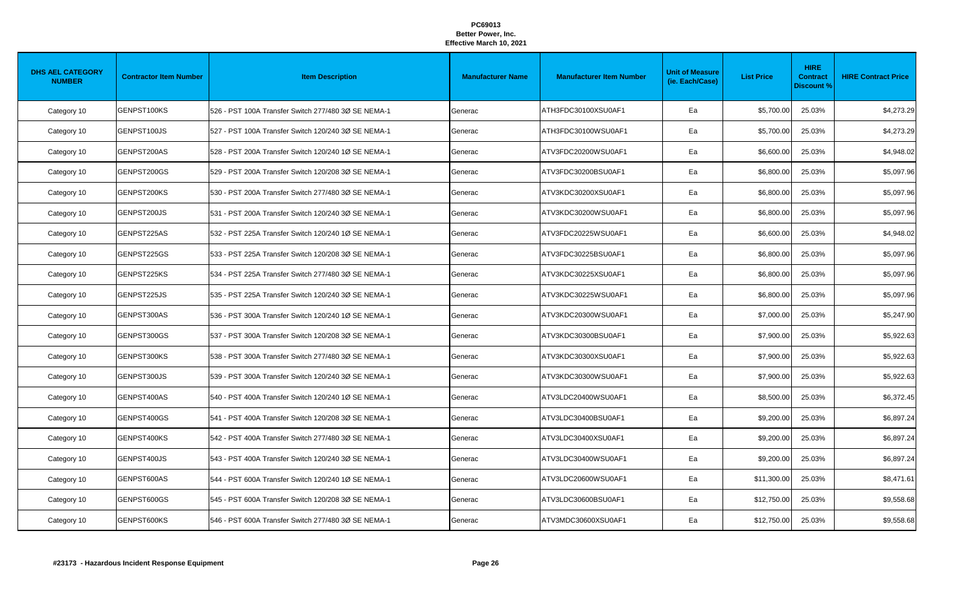| <b>DHS AEL CATEGORY</b><br><b>NUMBER</b> | <b>Contractor Item Number</b> | <b>Item Description</b>                             | <b>Manufacturer Name</b> | <b>Manufacturer Item Number</b> | <b>Unit of Measure</b><br>(ie. Each/Case) | <b>List Price</b> | <b>HIRE</b><br><b>Contract</b><br><b>Discount %</b> | <b>HIRE Contract Price</b> |
|------------------------------------------|-------------------------------|-----------------------------------------------------|--------------------------|---------------------------------|-------------------------------------------|-------------------|-----------------------------------------------------|----------------------------|
| Category 10                              | GENPST100KS                   | 526 - PST 100A Transfer Switch 277/480 3Ø SE NEMA-1 | Generac                  | ATH3FDC30100XSU0AF1             | Ea                                        | \$5,700.00        | 25.03%                                              | \$4,273.29                 |
| Category 10                              | GENPST100JS                   | 527 - PST 100A Transfer Switch 120/240 3Ø SE NEMA-1 | Generac                  | ATH3FDC30100WSU0AF1             | Ea                                        | \$5,700.00        | 25.03%                                              | \$4,273.29                 |
| Category 10                              | GENPST200AS                   | 528 - PST 200A Transfer Switch 120/240 1Ø SE NEMA-1 | Generac                  | ATV3FDC20200WSU0AF1             | Ea                                        | \$6,600.00        | 25.03%                                              | \$4,948.02                 |
| Category 10                              | GENPST200GS                   | 529 - PST 200A Transfer Switch 120/208 3Ø SE NEMA-1 | Generac                  | ATV3FDC30200BSU0AF1             | Ea                                        | \$6,800.00        | 25.03%                                              | \$5,097.96                 |
| Category 10                              | GENPST200KS                   | 530 - PST 200A Transfer Switch 277/480 3Ø SE NEMA-1 | Generac                  | ATV3KDC30200XSU0AF1             | Ea                                        | \$6,800.00        | 25.03%                                              | \$5,097.96                 |
| Category 10                              | GENPST200JS                   | 531 - PST 200A Transfer Switch 120/240 3Ø SE NEMA-1 | Generac                  | ATV3KDC30200WSU0AF1             | Ea                                        | \$6,800.00        | 25.03%                                              | \$5,097.96                 |
| Category 10                              | GENPST225AS                   | 532 - PST 225A Transfer Switch 120/240 1Ø SE NEMA-1 | Generac                  | ATV3FDC20225WSU0AF1             | Ea                                        | \$6,600.00        | 25.03%                                              | \$4,948.02                 |
| Category 10                              | GENPST225GS                   | 533 - PST 225A Transfer Switch 120/208 3Ø SE NEMA-1 | Generac                  | ATV3FDC30225BSU0AF1             | Ea                                        | \$6,800.00        | 25.03%                                              | \$5,097.96                 |
| Category 10                              | GENPST225KS                   | 534 - PST 225A Transfer Switch 277/480 3Ø SE NEMA-1 | Generac                  | ATV3KDC30225XSU0AF1             | Ea                                        | \$6,800.00        | 25.03%                                              | \$5,097.96                 |
| Category 10                              | GENPST225JS                   | 535 - PST 225A Transfer Switch 120/240 3Ø SE NEMA-1 | Generac                  | ATV3KDC30225WSU0AF1             | Ea                                        | \$6,800.00        | 25.03%                                              | \$5,097.96                 |
| Category 10                              | GENPST300AS                   | 536 - PST 300A Transfer Switch 120/240 1Ø SE NEMA-1 | Generac                  | ATV3KDC20300WSU0AF1             | Ea                                        | \$7,000.00        | 25.03%                                              | \$5,247.90                 |
| Category 10                              | GENPST300GS                   | 537 - PST 300A Transfer Switch 120/208 3Ø SE NEMA-1 | Generac                  | ATV3KDC30300BSU0AF1             | Ea                                        | \$7,900.00        | 25.03%                                              | \$5,922.63                 |
| Category 10                              | GENPST300KS                   | 538 - PST 300A Transfer Switch 277/480 3Ø SE NEMA-1 | Generac                  | ATV3KDC30300XSU0AF1             | Ea                                        | \$7,900.00        | 25.03%                                              | \$5,922.63                 |
| Category 10                              | GENPST300JS                   | 539 - PST 300A Transfer Switch 120/240 3Ø SE NEMA-1 | Generac                  | ATV3KDC30300WSU0AF1             | Ea                                        | \$7,900.00        | 25.03%                                              | \$5,922.63                 |
| Category 10                              | GENPST400AS                   | 540 - PST 400A Transfer Switch 120/240 1Ø SE NEMA-1 | Generac                  | ATV3LDC20400WSU0AF1             | Ea                                        | \$8,500.00        | 25.03%                                              | \$6,372.45                 |
| Category 10                              | GENPST400GS                   | 541 - PST 400A Transfer Switch 120/208 3Ø SE NEMA-1 | Generac                  | ATV3LDC30400BSU0AF1             | Ea                                        | \$9,200.00        | 25.03%                                              | \$6,897.24                 |
| Category 10                              | GENPST400KS                   | 542 - PST 400A Transfer Switch 277/480 3Ø SE NEMA-1 | Generac                  | ATV3LDC30400XSU0AF1             | Ea                                        | \$9,200.00        | 25.03%                                              | \$6,897.24                 |
| Category 10                              | GENPST400JS                   | 543 - PST 400A Transfer Switch 120/240 3Ø SE NEMA-1 | Generac                  | ATV3LDC30400WSU0AF1             | Ea                                        | \$9,200.00        | 25.03%                                              | \$6,897.24                 |
| Category 10                              | GENPST600AS                   | 544 - PST 600A Transfer Switch 120/240 1Ø SE NEMA-1 | Generac                  | ATV3LDC20600WSU0AF1             | Ea                                        | \$11,300.00       | 25.03%                                              | \$8,471.61                 |
| Category 10                              | GENPST600GS                   | 545 - PST 600A Transfer Switch 120/208 3Ø SE NEMA-1 | Generac                  | ATV3LDC30600BSU0AF1             | Ea                                        | \$12,750.00       | 25.03%                                              | \$9,558.68                 |
| Category 10                              | GENPST600KS                   | 546 - PST 600A Transfer Switch 277/480 3Ø SE NEMA-1 | Generac                  | ATV3MDC30600XSU0AF1             | Ea                                        | \$12,750.00       | 25.03%                                              | \$9,558.68                 |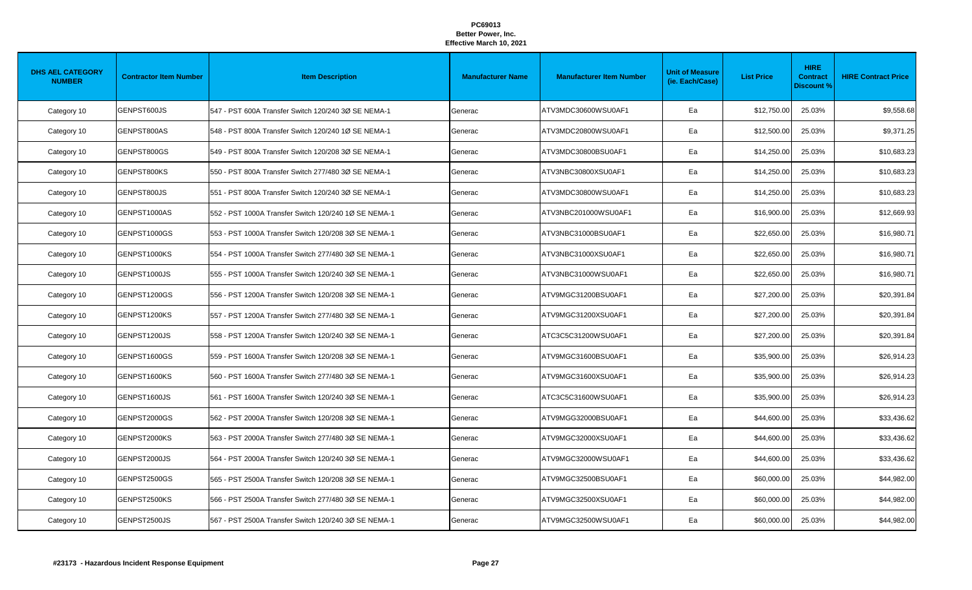| <b>DHS AEL CATEGORY</b><br><b>NUMBER</b> | <b>Contractor Item Number</b> | <b>Item Description</b>                              | <b>Manufacturer Name</b> | <b>Manufacturer Item Number</b> | <b>Unit of Measure</b><br>(ie. Each/Case) | <b>List Price</b> | <b>HIRE</b><br><b>Contract</b><br><b>Discount %</b> | <b>HIRE Contract Price</b> |
|------------------------------------------|-------------------------------|------------------------------------------------------|--------------------------|---------------------------------|-------------------------------------------|-------------------|-----------------------------------------------------|----------------------------|
| Category 10                              | GENPST600JS                   | 547 - PST 600A Transfer Switch 120/240 3Ø SE NEMA-1  | Generac                  | ATV3MDC30600WSU0AF1             | Ea                                        | \$12,750.00       | 25.03%                                              | \$9,558.68                 |
| Category 10                              | GENPST800AS                   | 548 - PST 800A Transfer Switch 120/240 1Ø SE NEMA-1  | Generac                  | ATV3MDC20800WSU0AF1             | Ea                                        | \$12,500.00       | 25.03%                                              | \$9,371.25                 |
| Category 10                              | GENPST800GS                   | 549 - PST 800A Transfer Switch 120/208 3Ø SE NEMA-1  | Generac                  | ATV3MDC30800BSU0AF1             | Ea                                        | \$14,250.00       | 25.03%                                              | \$10,683.23                |
| Category 10                              | GENPST800KS                   | 550 - PST 800A Transfer Switch 277/480 3Ø SE NEMA-1  | Generac                  | ATV3NBC30800XSU0AF1             | Ea                                        | \$14,250.00       | 25.03%                                              | \$10,683.23                |
| Category 10                              | GENPST800JS                   | 551 - PST 800A Transfer Switch 120/240 3Ø SE NEMA-1  | Generac                  | ATV3MDC30800WSU0AF1             | Ea                                        | \$14,250.00       | 25.03%                                              | \$10,683.23                |
| Category 10                              | GENPST1000AS                  | 552 - PST 1000A Transfer Switch 120/240 1Ø SE NEMA-1 | Generac                  | ATV3NBC201000WSU0AF1            | Ea                                        | \$16,900.00       | 25.03%                                              | \$12,669.93                |
| Category 10                              | GENPST1000GS                  | 553 - PST 1000A Transfer Switch 120/208 3Ø SE NEMA-1 | Generac                  | ATV3NBC31000BSU0AF1             | Ea                                        | \$22,650.00       | 25.03%                                              | \$16,980.71                |
| Category 10                              | GENPST1000KS                  | 554 - PST 1000A Transfer Switch 277/480 3Ø SE NEMA-1 | Generac                  | ATV3NBC31000XSU0AF1             | Ea                                        | \$22,650.00       | 25.03%                                              | \$16,980.71                |
| Category 10                              | GENPST1000JS                  | 555 - PST 1000A Transfer Switch 120/240 3Ø SE NEMA-1 | Generac                  | ATV3NBC31000WSU0AF1             | Ea                                        | \$22,650.00       | 25.03%                                              | \$16,980.71                |
| Category 10                              | GENPST1200GS                  | 556 - PST 1200A Transfer Switch 120/208 3Ø SE NEMA-1 | Generac                  | ATV9MGC31200BSU0AF1             | Ea                                        | \$27,200.00       | 25.03%                                              | \$20,391.84                |
| Category 10                              | GENPST1200KS                  | 557 - PST 1200A Transfer Switch 277/480 3Ø SE NEMA-1 | Generac                  | ATV9MGC31200XSU0AF1             | Ea                                        | \$27,200.00       | 25.03%                                              | \$20,391.84                |
| Category 10                              | GENPST1200JS                  | 558 - PST 1200A Transfer Switch 120/240 3Ø SE NEMA-1 | Generac                  | ATC3C5C31200WSU0AF1             | Ea                                        | \$27,200.00       | 25.03%                                              | \$20,391.84                |
| Category 10                              | GENPST1600GS                  | 559 - PST 1600A Transfer Switch 120/208 3Ø SE NEMA-1 | Generac                  | ATV9MGC31600BSU0AF1             | Ea                                        | \$35,900.00       | 25.03%                                              | \$26,914.23                |
| Category 10                              | GENPST1600KS                  | 560 - PST 1600A Transfer Switch 277/480 3Ø SE NEMA-1 | Generac                  | ATV9MGC31600XSU0AF1             | Ea                                        | \$35,900.00       | 25.03%                                              | \$26,914.23                |
| Category 10                              | GENPST1600JS                  | 561 - PST 1600A Transfer Switch 120/240 3Ø SE NEMA-1 | Generac                  | ATC3C5C31600WSU0AF1             | Ea                                        | \$35,900.00       | 25.03%                                              | \$26,914.23                |
| Category 10                              | GENPST2000GS                  | 562 - PST 2000A Transfer Switch 120/208 3Ø SE NEMA-1 | Generac                  | ATV9MGG32000BSU0AF1             | Ea                                        | \$44,600.00       | 25.03%                                              | \$33,436.62                |
| Category 10                              | GENPST2000KS                  | 563 - PST 2000A Transfer Switch 277/480 3Ø SE NEMA-1 | Generac                  | ATV9MGC32000XSU0AF1             | Ea                                        | \$44,600.00       | 25.03%                                              | \$33,436.62                |
| Category 10                              | GENPST2000JS                  | 564 - PST 2000A Transfer Switch 120/240 3Ø SE NEMA-1 | Generac                  | ATV9MGC32000WSU0AF1             | Ea                                        | \$44,600.00       | 25.03%                                              | \$33,436.62                |
| Category 10                              | GENPST2500GS                  | 565 - PST 2500A Transfer Switch 120/208 3Ø SE NEMA-1 | Generac                  | ATV9MGC32500BSU0AF1             | Ea                                        | \$60,000.00       | 25.03%                                              | \$44,982.00                |
| Category 10                              | GENPST2500KS                  | 566 - PST 2500A Transfer Switch 277/480 3Ø SE NEMA-1 | Generac                  | ATV9MGC32500XSU0AF1             | Ea                                        | \$60,000.00       | 25.03%                                              | \$44,982.00                |
| Category 10                              | GENPST2500JS                  | 567 - PST 2500A Transfer Switch 120/240 3Ø SE NEMA-1 | Generac                  | ATV9MGC32500WSU0AF1             | Ea                                        | \$60,000.00       | 25.03%                                              | \$44,982.00                |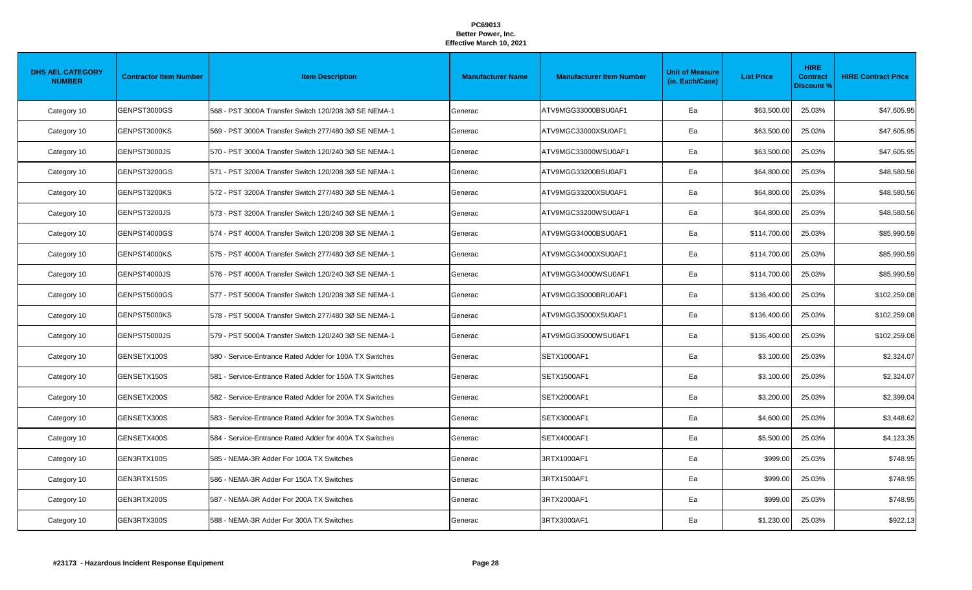| <b>DHS AEL CATEGORY</b><br><b>NUMBER</b> | <b>Contractor Item Number</b> | <b>Item Description</b>                                 | <b>Manufacturer Name</b> | <b>Manufacturer Item Number</b> | <b>Unit of Measure</b><br>(ie. Each/Case) | <b>List Price</b> | <b>HIRE</b><br><b>Contract</b><br><b>Discount %</b> | <b>HIRE Contract Price</b> |
|------------------------------------------|-------------------------------|---------------------------------------------------------|--------------------------|---------------------------------|-------------------------------------------|-------------------|-----------------------------------------------------|----------------------------|
| Category 10                              | GENPST3000GS                  | 568 - PST 3000A Transfer Switch 120/208 3Ø SE NEMA-1    | Generac                  | ATV9MGG33000BSU0AF1             | Ea                                        | \$63,500.00       | 25.03%                                              | \$47,605.95                |
| Category 10                              | GENPST3000KS                  | 569 - PST 3000A Transfer Switch 277/480 3Ø SE NEMA-1    | Generac                  | ATV9MGC33000XSU0AF1             | Ea                                        | \$63,500.00       | 25.03%                                              | \$47,605.95                |
| Category 10                              | GENPST3000JS                  | 570 - PST 3000A Transfer Switch 120/240 3Ø SE NEMA-1    | Generac                  | ATV9MGC33000WSU0AF1             | Ea                                        | \$63,500.00       | 25.03%                                              | \$47,605.95                |
| Category 10                              | GENPST3200GS                  | 571 - PST 3200A Transfer Switch 120/208 3Ø SE NEMA-1    | Generac                  | ATV9MGG33200BSU0AF1             | Ea                                        | \$64,800.00       | 25.03%                                              | \$48,580.56                |
| Category 10                              | GENPST3200KS                  | 572 - PST 3200A Transfer Switch 277/480 3Ø SE NEMA-1    | Generac                  | ATV9MGG33200XSU0AF1             | Ea                                        | \$64,800.00       | 25.03%                                              | \$48,580.56                |
| Category 10                              | GENPST3200JS                  | 573 - PST 3200A Transfer Switch 120/240 3Ø SE NEMA-1    | Generac                  | ATV9MGC33200WSU0AF1             | Ea                                        | \$64,800.00       | 25.03%                                              | \$48,580.56                |
| Category 10                              | GENPST4000GS                  | 574 - PST 4000A Transfer Switch 120/208 3Ø SE NEMA-1    | Generac                  | ATV9MGG34000BSU0AF1             | Ea                                        | \$114,700.00      | 25.03%                                              | \$85,990.59                |
| Category 10                              | GENPST4000KS                  | 575 - PST 4000A Transfer Switch 277/480 3Ø SE NEMA-1    | Generac                  | ATV9MGG34000XSU0AF1             | Ea                                        | \$114,700.00      | 25.03%                                              | \$85,990.59                |
| Category 10                              | GENPST4000JS                  | 576 - PST 4000A Transfer Switch 120/240 3Ø SE NEMA-1    | Generac                  | ATV9MGG34000WSU0AF1             | Ea                                        | \$114,700.00      | 25.03%                                              | \$85,990.59                |
| Category 10                              | GENPST5000GS                  | 577 - PST 5000A Transfer Switch 120/208 3Ø SE NEMA-1    | Generac                  | ATV9MGG35000BRU0AF1             | Ea                                        | \$136,400.00      | 25.03%                                              | \$102,259.08               |
| Category 10                              | GENPST5000KS                  | 578 - PST 5000A Transfer Switch 277/480 3Ø SE NEMA-1    | Generac                  | ATV9MGG35000XSU0AF1             | Ea                                        | \$136,400.00      | 25.03%                                              | \$102,259.08               |
| Category 10                              | GENPST5000JS                  | 579 - PST 5000A Transfer Switch 120/240 3Ø SE NEMA-1    | Generac                  | ATV9MGG35000WSU0AF1             | Ea                                        | \$136,400.00      | 25.03%                                              | \$102,259.08               |
| Category 10                              | GENSETX100S                   | 580 - Service-Entrance Rated Adder for 100A TX Switches | Generac                  | <b>SETX1000AF1</b>              | Ea                                        | \$3,100.00        | 25.03%                                              | \$2,324.07                 |
| Category 10                              | GENSETX150S                   | 581 - Service-Entrance Rated Adder for 150A TX Switches | Generac                  | <b>SETX1500AF1</b>              | Ea                                        | \$3,100.00        | 25.03%                                              | \$2,324.07                 |
| Category 10                              | GENSETX200S                   | 582 - Service-Entrance Rated Adder for 200A TX Switches | Generac                  | SETX2000AF1                     | Ea                                        | \$3,200.00        | 25.03%                                              | \$2,399.04                 |
| Category 10                              | GENSETX300S                   | 583 - Service-Entrance Rated Adder for 300A TX Switches | Generac                  | SETX3000AF1                     | Ea                                        | \$4,600.00        | 25.03%                                              | \$3,448.62                 |
| Category 10                              | GENSETX400S                   | 584 - Service-Entrance Rated Adder for 400A TX Switches | Generac                  | SETX4000AF1                     | Ea                                        | \$5,500.00        | 25.03%                                              | \$4,123.35                 |
| Category 10                              | GEN3RTX100S                   | 585 - NEMA-3R Adder For 100A TX Switches                | Generac                  | 3RTX1000AF1                     | Ea                                        | \$999.00          | 25.03%                                              | \$748.95                   |
| Category 10                              | GEN3RTX150S                   | 586 - NEMA-3R Adder For 150A TX Switches                | Generac                  | 3RTX1500AF1                     | Ea                                        | \$999.00          | 25.03%                                              | \$748.95                   |
| Category 10                              | GEN3RTX200S                   | 587 - NEMA-3R Adder For 200A TX Switches                | Generac                  | 3RTX2000AF1                     | Ea                                        | \$999.00          | 25.03%                                              | \$748.95                   |
| Category 10                              | GEN3RTX300S                   | 588 - NEMA-3R Adder For 300A TX Switches                | Generac                  | 3RTX3000AF1                     | Ea                                        | \$1,230.00        | 25.03%                                              | \$922.13                   |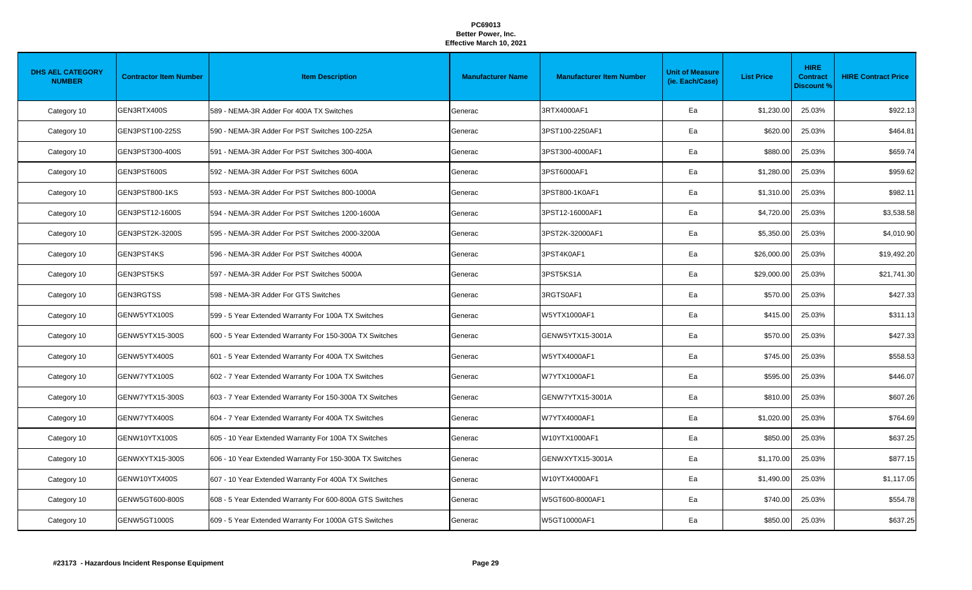| <b>DHS AEL CATEGORY</b><br><b>NUMBER</b> | <b>Contractor Item Number</b> | <b>Item Description</b>                                  | <b>Manufacturer Name</b> | <b>Manufacturer Item Number</b> | <b>Unit of Measure</b><br>(ie. Each/Case) | <b>List Price</b> | <b>HIRE</b><br><b>Contract</b><br><b>Discount %</b> | <b>HIRE Contract Price</b> |
|------------------------------------------|-------------------------------|----------------------------------------------------------|--------------------------|---------------------------------|-------------------------------------------|-------------------|-----------------------------------------------------|----------------------------|
| Category 10                              | GEN3RTX400S                   | 589 - NEMA-3R Adder For 400A TX Switches                 | Generac                  | 3RTX4000AF1                     | Ea                                        | \$1,230.00        | 25.03%                                              | \$922.13                   |
| Category 10                              | GEN3PST100-225S               | 590 - NEMA-3R Adder For PST Switches 100-225A            | Generac                  | 3PST100-2250AF1                 | Ea                                        | \$620.00          | 25.03%                                              | \$464.81                   |
| Category 10                              | GEN3PST300-400S               | 591 - NEMA-3R Adder For PST Switches 300-400A            | Generac                  | 3PST300-4000AF1                 | Ea                                        | \$880.00          | 25.03%                                              | \$659.74                   |
| Category 10                              | GEN3PST600S                   | 592 - NEMA-3R Adder For PST Switches 600A                | Generac                  | 3PST6000AF1                     | Ea                                        | \$1,280.00        | 25.03%                                              | \$959.62                   |
| Category 10                              | GEN3PST800-1KS                | 593 - NEMA-3R Adder For PST Switches 800-1000A           | Generac                  | 3PST800-1K0AF1                  | Ea                                        | \$1,310.00        | 25.03%                                              | \$982.11                   |
| Category 10                              | GEN3PST12-1600S               | 594 - NEMA-3R Adder For PST Switches 1200-1600A          | Generac                  | 3PST12-16000AF1                 | Ea                                        | \$4,720.00        | 25.03%                                              | \$3,538.58                 |
| Category 10                              | GEN3PST2K-3200S               | 595 - NEMA-3R Adder For PST Switches 2000-3200A          | Generac                  | 3PST2K-32000AF1                 | Ea                                        | \$5,350.00        | 25.03%                                              | \$4,010.90                 |
| Category 10                              | GEN3PST4KS                    | 596 - NEMA-3R Adder For PST Switches 4000A               | Generac                  | 3PST4K0AF1                      | Ea                                        | \$26,000.00       | 25.03%                                              | \$19,492.20                |
| Category 10                              | GEN3PST5KS                    | 597 - NEMA-3R Adder For PST Switches 5000A               | Generac                  | 3PST5KS1A                       | Ea                                        | \$29,000.00       | 25.03%                                              | \$21,741.30                |
| Category 10                              | GEN3RGTSS                     | 598 - NEMA-3R Adder For GTS Switches                     | Generac                  | 3RGTS0AF1                       | Ea                                        | \$570.00          | 25.03%                                              | \$427.33                   |
| Category 10                              | GENW5YTX100S                  | 599 - 5 Year Extended Warranty For 100A TX Switches      | Generac                  | W5YTX1000AF1                    | Ea                                        | \$415.00          | 25.03%                                              | \$311.13                   |
| Category 10                              | GENW5YTX15-300S               | 600 - 5 Year Extended Warranty For 150-300A TX Switches  | Generac                  | GENW5YTX15-3001A                | Ea                                        | \$570.00          | 25.03%                                              | \$427.33                   |
| Category 10                              | GENW5YTX400S                  | 601 - 5 Year Extended Warranty For 400A TX Switches      | Generac                  | W5YTX4000AF1                    | Ea                                        | \$745.00          | 25.03%                                              | \$558.53                   |
| Category 10                              | GENW7YTX100S                  | 602 - 7 Year Extended Warranty For 100A TX Switches      | Generac                  | W7YTX1000AF1                    | Ea                                        | \$595.00          | 25.03%                                              | \$446.07                   |
| Category 10                              | GENW7YTX15-300S               | 603 - 7 Year Extended Warranty For 150-300A TX Switches  | Generac                  | GENW7YTX15-3001A                | Ea                                        | \$810.00          | 25.03%                                              | \$607.26                   |
| Category 10                              | GENW7YTX400S                  | 604 - 7 Year Extended Warranty For 400A TX Switches      | Generac                  | W7YTX4000AF1                    | Ea                                        | \$1,020.00        | 25.03%                                              | \$764.69                   |
| Category 10                              | GENW10YTX100S                 | 605 - 10 Year Extended Warranty For 100A TX Switches     | Generac                  | W10YTX1000AF1                   | Ea                                        | \$850.00          | 25.03%                                              | \$637.25                   |
| Category 10                              | GENWXYTX15-300S               | 606 - 10 Year Extended Warranty For 150-300A TX Switches | Generac                  | GENWXYTX15-3001A                | Ea                                        | \$1,170.00        | 25.03%                                              | \$877.15                   |
| Category 10                              | GENW10YTX400S                 | 607 - 10 Year Extended Warranty For 400A TX Switches     | Generac                  | W10YTX4000AF1                   | Ea                                        | \$1,490.00        | 25.03%                                              | \$1,117.05                 |
| Category 10                              | GENW5GT600-800S               | 608 - 5 Year Extended Warranty For 600-800A GTS Switches | Generac                  | W5GT600-8000AF1                 | Ea                                        | \$740.00          | 25.03%                                              | \$554.78                   |
| Category 10                              | GENW5GT1000S                  | 609 - 5 Year Extended Warranty For 1000A GTS Switches    | Generac                  | W5GT10000AF1                    | Ea                                        | \$850.00          | 25.03%                                              | \$637.25                   |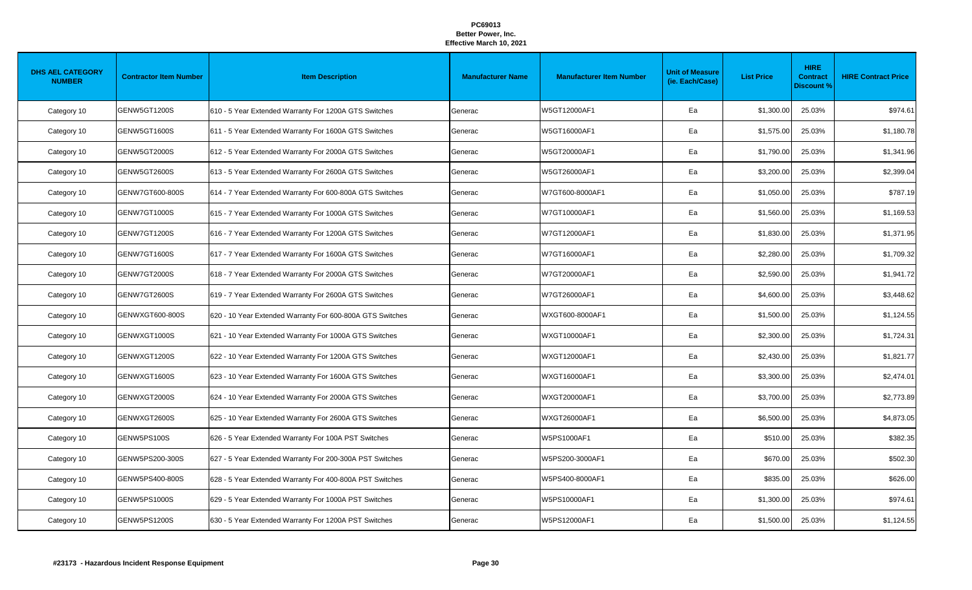| <b>DHS AEL CATEGORY</b><br><b>NUMBER</b> | <b>Contractor Item Number</b> | <b>Item Description</b>                                   | <b>Manufacturer Name</b> | <b>Manufacturer Item Number</b> | <b>Unit of Measure</b><br>(ie. Each/Case) | <b>List Price</b> | <b>HIRE</b><br><b>Contract</b><br><b>Discount %</b> | <b>HIRE Contract Price</b> |
|------------------------------------------|-------------------------------|-----------------------------------------------------------|--------------------------|---------------------------------|-------------------------------------------|-------------------|-----------------------------------------------------|----------------------------|
| Category 10                              | GENW5GT1200S                  | 610 - 5 Year Extended Warranty For 1200A GTS Switches     | Generac                  | W5GT12000AF1                    | Ea                                        | \$1,300.00        | 25.03%                                              | \$974.61                   |
| Category 10                              | GENW5GT1600S                  | 611 - 5 Year Extended Warranty For 1600A GTS Switches     | Generac                  | W5GT16000AF1                    | Ea                                        | \$1,575.00        | 25.03%                                              | \$1,180.78                 |
| Category 10                              | GENW5GT2000S                  | 612 - 5 Year Extended Warranty For 2000A GTS Switches     | Generac                  | W5GT20000AF1                    | Ea                                        | \$1,790.00        | 25.03%                                              | \$1,341.96                 |
| Category 10                              | GENW5GT2600S                  | 613 - 5 Year Extended Warranty For 2600A GTS Switches     | Generac                  | W5GT26000AF1                    | Ea                                        | \$3,200.00        | 25.03%                                              | \$2,399.04                 |
| Category 10                              | GENW7GT600-800S               | 614 - 7 Year Extended Warranty For 600-800A GTS Switches  | Generac                  | W7GT600-8000AF1                 | Ea                                        | \$1,050.00        | 25.03%                                              | \$787.19                   |
| Category 10                              | GENW7GT1000S                  | 615 - 7 Year Extended Warranty For 1000A GTS Switches     | Generac                  | W7GT10000AF1                    | Ea                                        | \$1,560.00        | 25.03%                                              | \$1,169.53                 |
| Category 10                              | GENW7GT1200S                  | 616 - 7 Year Extended Warranty For 1200A GTS Switches     | Generac                  | W7GT12000AF1                    | Ea                                        | \$1,830.00        | 25.03%                                              | \$1,371.95                 |
| Category 10                              | GENW7GT1600S                  | 617 - 7 Year Extended Warranty For 1600A GTS Switches     | Generac                  | W7GT16000AF1                    | Ea                                        | \$2,280.00        | 25.03%                                              | \$1,709.32                 |
| Category 10                              | GENW7GT2000S                  | 618 - 7 Year Extended Warranty For 2000A GTS Switches     | Generac                  | W7GT20000AF1                    | Ea                                        | \$2,590.00        | 25.03%                                              | \$1,941.72                 |
| Category 10                              | GENW7GT2600S                  | 619 - 7 Year Extended Warranty For 2600A GTS Switches     | Generac                  | W7GT26000AF1                    | Ea                                        | \$4,600.00        | 25.03%                                              | \$3,448.62                 |
| Category 10                              | GENWXGT600-800S               | 620 - 10 Year Extended Warranty For 600-800A GTS Switches | Generac                  | WXGT600-8000AF1                 | Ea                                        | \$1,500.00        | 25.03%                                              | \$1,124.55                 |
| Category 10                              | GENWXGT1000S                  | 621 - 10 Year Extended Warranty For 1000A GTS Switches    | Generac                  | WXGT10000AF1                    | Ea                                        | \$2,300.00        | 25.03%                                              | \$1,724.31                 |
| Category 10                              | GENWXGT1200S                  | 622 - 10 Year Extended Warranty For 1200A GTS Switches    | Generac                  | WXGT12000AF1                    | Ea                                        | \$2,430.00        | 25.03%                                              | \$1,821.77                 |
| Category 10                              | GENWXGT1600S                  | 623 - 10 Year Extended Warranty For 1600A GTS Switches    | Generac                  | WXGT16000AF1                    | Ea                                        | \$3,300.00        | 25.03%                                              | \$2,474.01                 |
| Category 10                              | GENWXGT2000S                  | 624 - 10 Year Extended Warranty For 2000A GTS Switches    | Generac                  | WXGT20000AF1                    | Ea                                        | \$3,700.00        | 25.03%                                              | \$2,773.89                 |
| Category 10                              | GENWXGT2600S                  | 625 - 10 Year Extended Warranty For 2600A GTS Switches    | Generac                  | WXGT26000AF1                    | Ea                                        | \$6,500.00        | 25.03%                                              | \$4,873.05                 |
| Category 10                              | GENW5PS100S                   | 626 - 5 Year Extended Warranty For 100A PST Switches      | Generac                  | W5PS1000AF1                     | Ea                                        | \$510.00          | 25.03%                                              | \$382.35                   |
| Category 10                              | GENW5PS200-300S               | 627 - 5 Year Extended Warranty For 200-300A PST Switches  | Generac                  | W5PS200-3000AF1                 | Ea                                        | \$670.00          | 25.03%                                              | \$502.30                   |
| Category 10                              | GENW5PS400-800S               | 628 - 5 Year Extended Warranty For 400-800A PST Switches  | Generac                  | W5PS400-8000AF1                 | Ea                                        | \$835.00          | 25.03%                                              | \$626.00                   |
| Category 10                              | GENW5PS1000S                  | 629 - 5 Year Extended Warranty For 1000A PST Switches     | Generac                  | W5PS10000AF1                    | Ea                                        | \$1,300.00        | 25.03%                                              | \$974.61                   |
| Category 10                              | <b>GENW5PS1200S</b>           | 630 - 5 Year Extended Warranty For 1200A PST Switches     | Generac                  | W5PS12000AF1                    | Ea                                        | \$1,500.00        | 25.03%                                              | \$1,124.55                 |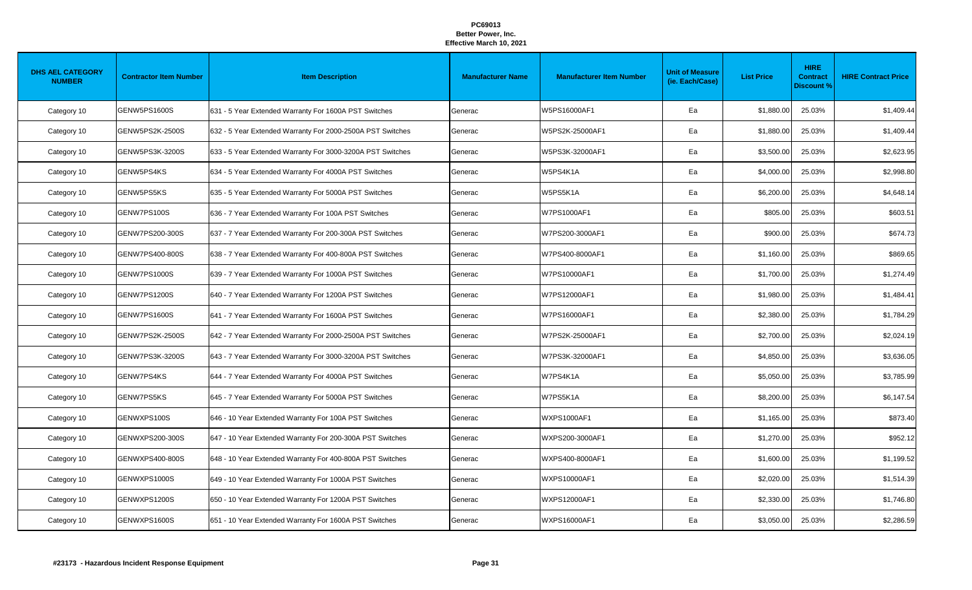| <b>DHS AEL CATEGORY</b><br><b>NUMBER</b> | <b>Contractor Item Number</b> | <b>Item Description</b>                                    | <b>Manufacturer Name</b> | <b>Manufacturer Item Number</b> | <b>Unit of Measure</b><br>(ie. Each/Case) | <b>List Price</b> | <b>HIRE</b><br><b>Contract</b><br><b>Discount %</b> | <b>HIRE Contract Price</b> |
|------------------------------------------|-------------------------------|------------------------------------------------------------|--------------------------|---------------------------------|-------------------------------------------|-------------------|-----------------------------------------------------|----------------------------|
| Category 10                              | <b>GENW5PS1600S</b>           | 631 - 5 Year Extended Warranty For 1600A PST Switches      | Generac                  | W5PS16000AF1                    | Ea                                        | \$1,880.00        | 25.03%                                              | \$1,409.44                 |
| Category 10                              | GENW5PS2K-2500S               | 632 - 5 Year Extended Warranty For 2000-2500A PST Switches | Generac                  | W5PS2K-25000AF1                 | Ea                                        | \$1,880.00        | 25.03%                                              | \$1,409.44                 |
| Category 10                              | GENW5PS3K-3200S               | 633 - 5 Year Extended Warranty For 3000-3200A PST Switches | Generac                  | W5PS3K-32000AF1                 | Ea                                        | \$3,500.00        | 25.03%                                              | \$2,623.95                 |
| Category 10                              | GENW5PS4KS                    | 634 - 5 Year Extended Warranty For 4000A PST Switches      | Generac                  | W5PS4K1A                        | Ea                                        | \$4,000.00        | 25.03%                                              | \$2,998.80                 |
| Category 10                              | GENW5PS5KS                    | 635 - 5 Year Extended Warranty For 5000A PST Switches      | Generac                  | W5PS5K1A                        | Ea                                        | \$6,200.00        | 25.03%                                              | \$4,648.14                 |
| Category 10                              | GENW7PS100S                   | 636 - 7 Year Extended Warranty For 100A PST Switches       | Generac                  | W7PS1000AF1                     | Ea                                        | \$805.00          | 25.03%                                              | \$603.51                   |
| Category 10                              | GENW7PS200-300S               | 637 - 7 Year Extended Warranty For 200-300A PST Switches   | Generac                  | W7PS200-3000AF1                 | Ea                                        | \$900.00          | 25.03%                                              | \$674.73                   |
| Category 10                              | GENW7PS400-800S               | 638 - 7 Year Extended Warranty For 400-800A PST Switches   | Generac                  | W7PS400-8000AF1                 | Ea                                        | \$1,160.00        | 25.03%                                              | \$869.65                   |
| Category 10                              | <b>GENW7PS1000S</b>           | 639 - 7 Year Extended Warranty For 1000A PST Switches      | Generac                  | W7PS10000AF1                    | Ea                                        | \$1,700.00        | 25.03%                                              | \$1,274.49                 |
| Category 10                              | GENW7PS1200S                  | 640 - 7 Year Extended Warranty For 1200A PST Switches      | Generac                  | W7PS12000AF1                    | Ea                                        | \$1,980.00        | 25.03%                                              | \$1,484.41                 |
| Category 10                              | GENW7PS1600S                  | 641 - 7 Year Extended Warranty For 1600A PST Switches      | Generac                  | W7PS16000AF1                    | Ea                                        | \$2,380.00        | 25.03%                                              | \$1,784.29                 |
| Category 10                              | GENW7PS2K-2500S               | 642 - 7 Year Extended Warranty For 2000-2500A PST Switches | Generac                  | W7PS2K-25000AF1                 | Ea                                        | \$2,700.00        | 25.03%                                              | \$2,024.19                 |
| Category 10                              | GENW7PS3K-3200S               | 643 - 7 Year Extended Warranty For 3000-3200A PST Switches | Generac                  | W7PS3K-32000AF1                 | Ea                                        | \$4,850.00        | 25.03%                                              | \$3,636.05                 |
| Category 10                              | GENW7PS4KS                    | 644 - 7 Year Extended Warranty For 4000A PST Switches      | Generac                  | W7PS4K1A                        | Ea                                        | \$5,050.00        | 25.03%                                              | \$3,785.99                 |
| Category 10                              | GENW7PS5KS                    | 645 - 7 Year Extended Warranty For 5000A PST Switches      | Generac                  | W7PS5K1A                        | Ea                                        | \$8,200.00        | 25.03%                                              | \$6,147.54                 |
| Category 10                              | GENWXPS100S                   | 646 - 10 Year Extended Warranty For 100A PST Switches      | Generac                  | WXPS1000AF1                     | Ea                                        | \$1,165.00        | 25.03%                                              | \$873.40                   |
| Category 10                              | GENWXPS200-300S               | 647 - 10 Year Extended Warranty For 200-300A PST Switches  | Generac                  | WXPS200-3000AF1                 | Ea                                        | \$1,270.00        | 25.03%                                              | \$952.12                   |
| Category 10                              | GENWXPS400-800S               | 648 - 10 Year Extended Warranty For 400-800A PST Switches  | Generac                  | WXPS400-8000AF1                 | Ea                                        | \$1,600.00        | 25.03%                                              | \$1,199.52                 |
| Category 10                              | GENWXPS1000S                  | 649 - 10 Year Extended Warranty For 1000A PST Switches     | Generac                  | WXPS10000AF1                    | Ea                                        | \$2,020.00        | 25.03%                                              | \$1,514.39                 |
| Category 10                              | GENWXPS1200S                  | 650 - 10 Year Extended Warranty For 1200A PST Switches     | Generac                  | WXPS12000AF1                    | Ea                                        | \$2,330.00        | 25.03%                                              | \$1,746.80                 |
| Category 10                              | GENWXPS1600S                  | 651 - 10 Year Extended Warranty For 1600A PST Switches     | Generac                  | <b>WXPS16000AF1</b>             | Ea                                        | \$3,050.00        | 25.03%                                              | \$2,286.59                 |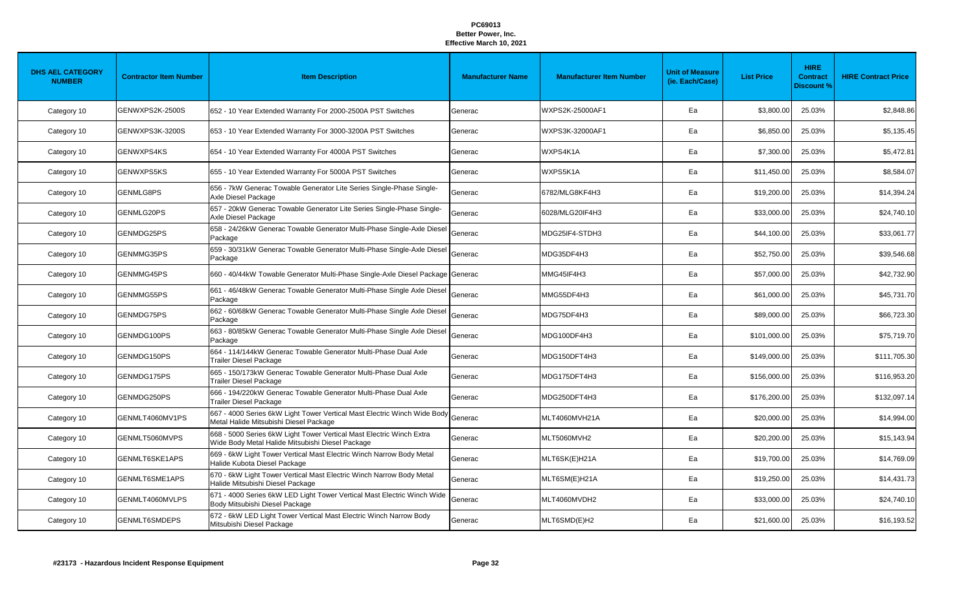| <b>DHS AEL CATEGORY</b><br><b>NUMBER</b> | <b>Contractor Item Number</b> | <b>Item Description</b>                                                                                                  | <b>Manufacturer Name</b> | <b>Manufacturer Item Number</b> | <b>Unit of Measure</b><br>(ie. Each/Case) | <b>List Price</b> | <b>HIRE</b><br><b>Contract</b><br><b>Discount %</b> | <b>HIRE Contract Price</b> |
|------------------------------------------|-------------------------------|--------------------------------------------------------------------------------------------------------------------------|--------------------------|---------------------------------|-------------------------------------------|-------------------|-----------------------------------------------------|----------------------------|
| Category 10                              | GENWXPS2K-2500S               | 652 - 10 Year Extended Warranty For 2000-2500A PST Switches                                                              | Generac                  | WXPS2K-25000AF1                 | Ea                                        | \$3,800.00        | 25.03%                                              | \$2,848.86                 |
| Category 10                              | GENWXPS3K-3200S               | 653 - 10 Year Extended Warranty For 3000-3200A PST Switches                                                              | Generac                  | WXPS3K-32000AF1                 | Ea                                        | \$6,850.00        | 25.03%                                              | \$5,135.45                 |
| Category 10                              | GENWXPS4KS                    | 654 - 10 Year Extended Warranty For 4000A PST Switches                                                                   | Generac                  | WXPS4K1A                        | Ea                                        | \$7,300.00        | 25.03%                                              | \$5,472.81                 |
| Category 10                              | <b>GENWXPS5KS</b>             | 655 - 10 Year Extended Warranty For 5000A PST Switches                                                                   | Generac                  | WXPS5K1A                        | Ea                                        | \$11,450.00       | 25.03%                                              | \$8,584.07                 |
| Category 10                              | <b>GENMLG8PS</b>              | 656 - 7kW Generac Towable Generator Lite Series Single-Phase Single-<br>Axle Diesel Package                              | Generac                  | 6782/MLG8KF4H3                  | Ea                                        | \$19,200.00       | 25.03%                                              | \$14,394.24                |
| Category 10                              | GENMLG20PS                    | 657 - 20kW Generac Towable Generator Lite Series Single-Phase Single-<br>Axle Diesel Package                             | Generac                  | 6028/MLG20IF4H3                 | Ea                                        | \$33,000.00       | 25.03%                                              | \$24,740.10                |
| Category 10                              | GENMDG25PS                    | 658 - 24/26kW Generac Towable Generator Multi-Phase Single-Axle Diesel<br>Package                                        | Generac                  | MDG25IF4-STDH3                  | Ea                                        | \$44,100.00       | 25.03%                                              | \$33,061.77                |
| Category 10                              | GENMMG35PS                    | 659 - 30/31kW Generac Towable Generator Multi-Phase Single-Axle Diesel<br>Package                                        | Generac                  | MDG35DF4H3                      | Ea                                        | \$52,750.00       | 25.03%                                              | \$39,546.68                |
| Category 10                              | GENMMG45PS                    | 660 - 40/44kW Towable Generator Multi-Phase Single-Axle Diesel Package Generac                                           |                          | MMG45IF4H3                      | Ea                                        | \$57,000.00       | 25.03%                                              | \$42,732.90                |
| Category 10                              | GENMMG55PS                    | 661 - 46/48kW Generac Towable Generator Multi-Phase Single Axle Diesel<br>Package                                        | Generac                  | MMG55DF4H3                      | Ea                                        | \$61,000.00       | 25.03%                                              | \$45,731.70                |
| Category 10                              | GENMDG75PS                    | 662 - 60/68kW Generac Towable Generator Multi-Phase Single Axle Diesel<br>Package                                        | Generac                  | MDG75DF4H3                      | Ea                                        | \$89,000.00       | 25.03%                                              | \$66,723.30                |
| Category 10                              | GENMDG100PS                   | 663 - 80/85kW Generac Towable Generator Multi-Phase Single Axle Diesel<br>Package                                        | Generac                  | MDG100DF4H3                     | Ea                                        | \$101,000.00      | 25.03%                                              | \$75,719.70                |
| Category 10                              | GENMDG150PS                   | 664 - 114/144kW Generac Towable Generator Multi-Phase Dual Axle<br><b>Trailer Diesel Package</b>                         | Generac                  | MDG150DFT4H3                    | Ea                                        | \$149,000.00      | 25.03%                                              | \$111,705.30               |
| Category 10                              | GENMDG175PS                   | 665 - 150/173kW Generac Towable Generator Multi-Phase Dual Axle<br>Trailer Diesel Package                                | Generac                  | MDG175DFT4H3                    | Ea                                        | \$156,000.00      | 25.03%                                              | \$116,953.20               |
| Category 10                              | GENMDG250PS                   | 666 - 194/220kW Generac Towable Generator Multi-Phase Dual Axle<br>Trailer Diesel Package                                | Generac                  | MDG250DFT4H3                    | Ea                                        | \$176,200.00      | 25.03%                                              | \$132,097.14               |
| Category 10                              | GENMLT4060MV1PS               | 667 - 4000 Series 6kW Light Tower Vertical Mast Electric Winch Wide Body<br>Metal Halide Mitsubishi Diesel Package       | Generac                  | MLT4060MVH21A                   | Ea                                        | \$20,000.00       | 25.03%                                              | \$14,994.00                |
| Category 10                              | GENMLT5060MVPS                | 668 - 5000 Series 6kW Light Tower Vertical Mast Electric Winch Extra<br>Wide Body Metal Halide Mitsubishi Diesel Package | Generac                  | MLT5060MVH2                     | Ea                                        | \$20,200.00       | 25.03%                                              | \$15,143.94                |
| Category 10                              | GENMLT6SKE1APS                | 669 - 6kW Light Tower Vertical Mast Electric Winch Narrow Body Metal<br>Halide Kubota Diesel Package                     | Generac                  | MLT6SK(E)H21A                   | Ea                                        | \$19,700.00       | 25.03%                                              | \$14,769.09                |
| Category 10                              | GENMLT6SME1APS                | 670 - 6kW Light Tower Vertical Mast Electric Winch Narrow Body Metal<br>Halide Mitsubishi Diesel Package                 | Generac                  | MLT6SM(E)H21A                   | Ea                                        | \$19,250.00       | 25.03%                                              | \$14,431.73                |
| Category 10                              | GENMLT4060MVLPS               | 671 - 4000 Series 6kW LED Light Tower Vertical Mast Electric Winch Wide<br>Body Mitsubishi Diesel Package                | Generac                  | MLT4060MVDH2                    | Ea                                        | \$33,000.00       | 25.03%                                              | \$24,740.10                |
| Category 10                              | GENMLT6SMDEPS                 | 672 - 6kW LED Light Tower Vertical Mast Electric Winch Narrow Body<br>Mitsubishi Diesel Package                          | Generac                  | MLT6SMD(E)H2                    | Ea                                        | \$21,600.00       | 25.03%                                              | \$16,193.52                |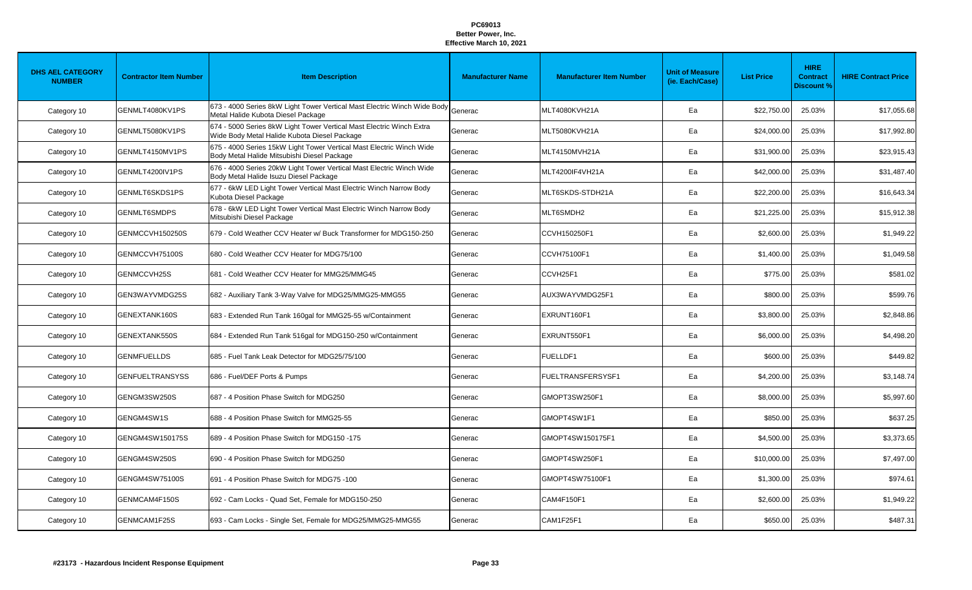| <b>DHS AEL CATEGORY</b><br><b>NUMBER</b> | <b>Contractor Item Number</b> | <b>Item Description</b>                                                                                                | <b>Manufacturer Name</b> | <b>Manufacturer Item Number</b> | <b>Unit of Measure</b><br>(ie. Each/Case) | <b>List Price</b> | <b>HIRE</b><br><b>Contract</b><br><b>Discount %</b> | <b>HIRE Contract Price</b> |
|------------------------------------------|-------------------------------|------------------------------------------------------------------------------------------------------------------------|--------------------------|---------------------------------|-------------------------------------------|-------------------|-----------------------------------------------------|----------------------------|
| Category 10                              | GENMLT4080KV1PS               | 673 - 4000 Series 8kW Light Tower Vertical Mast Electric Winch Wide Body Generac<br>Metal Halide Kubota Diesel Package |                          | MLT4080KVH21A                   | Ea                                        | \$22,750.00       | 25.03%                                              | \$17,055.68                |
| Category 10                              | GENMLT5080KV1PS               | 674 - 5000 Series 8kW Light Tower Vertical Mast Electric Winch Extra<br>Wide Body Metal Halide Kubota Diesel Package   | Generac                  | MLT5080KVH21A                   | Ea                                        | \$24,000.00       | 25.03%                                              | \$17,992.80                |
| Category 10                              | GENMLT4150MV1PS               | 675 - 4000 Series 15kW Light Tower Vertical Mast Electric Winch Wide<br>Body Metal Halide Mitsubishi Diesel Package    | Generac                  | MLT4150MVH21A                   | Ea                                        | \$31,900.00       | 25.03%                                              | \$23,915.43                |
| Category 10                              | GENMLT4200IV1PS               | 676 - 4000 Series 20kW Light Tower Vertical Mast Electric Winch Wide<br>Body Metal Halide Isuzu Diesel Package         | Generac                  | MLT4200IF4VH21A                 | Ea                                        | \$42,000.00       | 25.03%                                              | \$31,487.40                |
| Category 10                              | GENMLT6SKDS1PS                | 677 - 6kW LED Light Tower Vertical Mast Electric Winch Narrow Body<br>Kubota Diesel Package                            | Generac                  | MLT6SKDS-STDH21A                | Ea                                        | \$22,200.00       | 25.03%                                              | \$16,643.34                |
| Category 10                              | GENMLT6SMDPS                  | 678 - 6kW LED Light Tower Vertical Mast Electric Winch Narrow Body<br>Mitsubishi Diesel Package                        | Generac                  | MLT6SMDH2                       | Ea                                        | \$21,225.00       | 25.03%                                              | \$15,912.38                |
| Category 10                              | GENMCCVH150250S               | 679 - Cold Weather CCV Heater w/ Buck Transformer for MDG150-250                                                       | Generac                  | CCVH150250F1                    | Ea                                        | \$2,600.00        | 25.03%                                              | \$1,949.22                 |
| Category 10                              | GENMCCVH75100S                | 680 - Cold Weather CCV Heater for MDG75/100                                                                            | Generac                  | <b>CCVH75100F1</b>              | Ea                                        | \$1,400.00        | 25.03%                                              | \$1,049.58                 |
| Category 10                              | GENMCCVH25S                   | 681 - Cold Weather CCV Heater for MMG25/MMG45                                                                          | Generac                  | CCVH25F1                        | Ea                                        | \$775.00          | 25.03%                                              | \$581.02                   |
| Category 10                              | GEN3WAYVMDG25S                | 682 - Auxiliary Tank 3-Way Valve for MDG25/MMG25-MMG55                                                                 | Generac                  | AUX3WAYVMDG25F1                 | Ea                                        | \$800.00          | 25.03%                                              | \$599.76                   |
| Category 10                              | GENEXTANK160S                 | 683 - Extended Run Tank 160gal for MMG25-55 w/Containment                                                              | Generac                  | EXRUNT160F1                     | Ea                                        | \$3,800.00        | 25.03%                                              | \$2,848.86                 |
| Category 10                              | GENEXTANK550S                 | 684 - Extended Run Tank 516gal for MDG150-250 w/Containment                                                            | Generac                  | EXRUNT550F1                     | Ea                                        | \$6,000.00        | 25.03%                                              | \$4,498.20                 |
| Category 10                              | <b>GENMFUELLDS</b>            | 685 - Fuel Tank Leak Detector for MDG25/75/100                                                                         | Generac                  | <b>FUELLDF1</b>                 | Ea                                        | \$600.00          | 25.03%                                              | \$449.82                   |
| Category 10                              | GENFUELTRANSYSS               | 686 - Fuel/DEF Ports & Pumps                                                                                           | Generac                  | <b>FUELTRANSFERSYSF1</b>        | Ea                                        | \$4,200.00        | 25.03%                                              | \$3,148.74                 |
| Category 10                              | GENGM3SW250S                  | 687 - 4 Position Phase Switch for MDG250                                                                               | Generac                  | GMOPT3SW250F1                   | Ea                                        | \$8,000.00        | 25.03%                                              | \$5,997.60                 |
| Category 10                              | GENGM4SW1S                    | 688 - 4 Position Phase Switch for MMG25-55                                                                             | Generac                  | GMOPT4SW1F1                     | Ea                                        | \$850.00          | 25.03%                                              | \$637.25                   |
| Category 10                              | GENGM4SW150175S               | 689 - 4 Position Phase Switch for MDG150 -175                                                                          | Generac                  | GMOPT4SW150175F1                | Ea                                        | \$4,500.00        | 25.03%                                              | \$3,373.65                 |
| Category 10                              | GENGM4SW250S                  | 690 - 4 Position Phase Switch for MDG250                                                                               | Generac                  | GMOPT4SW250F1                   | Ea                                        | \$10,000.00       | 25.03%                                              | \$7,497.00                 |
| Category 10                              | GENGM4SW75100S                | 691 - 4 Position Phase Switch for MDG75 -100                                                                           | Generac                  | GMOPT4SW75100F1                 | Ea                                        | \$1,300.00        | 25.03%                                              | \$974.61                   |
| Category 10                              | GENMCAM4F150S                 | 692 - Cam Locks - Quad Set, Female for MDG150-250                                                                      | Generac                  | CAM4F150F1                      | Ea                                        | \$2,600.00        | 25.03%                                              | \$1,949.22                 |
| Category 10                              | GENMCAM1F25S                  | 693 - Cam Locks - Single Set, Female for MDG25/MMG25-MMG55                                                             | Generac                  | CAM1F25F1                       | Ea                                        | \$650.00          | 25.03%                                              | \$487.31                   |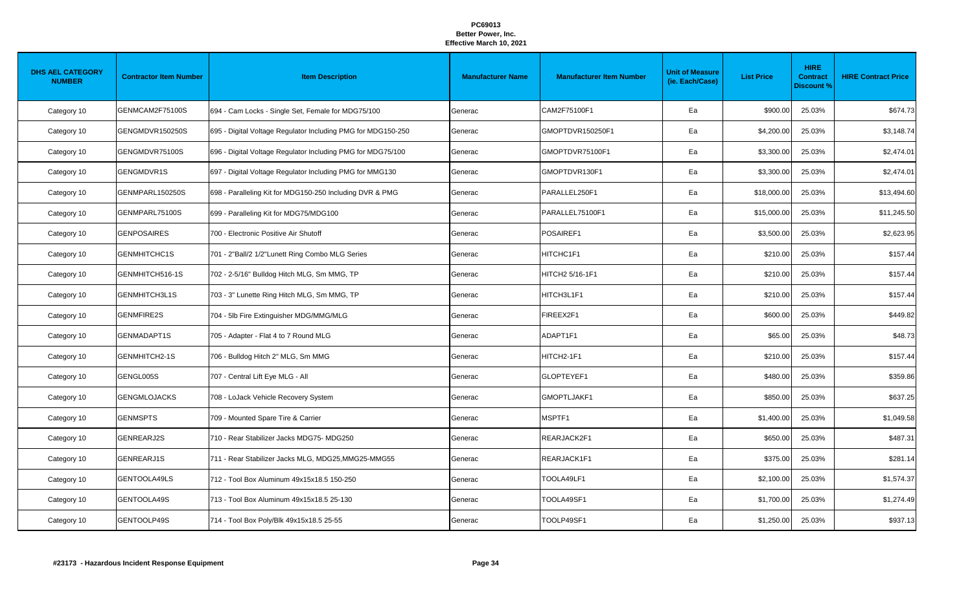| <b>DHS AEL CATEGORY</b><br><b>NUMBER</b> | <b>Contractor Item Number</b> | <b>Item Description</b>                                      | <b>Manufacturer Name</b> | <b>Manufacturer Item Number</b> | <b>Unit of Measure</b><br>(ie. Each/Case) | <b>List Price</b> | <b>HIRE</b><br><b>Contract</b><br><b>Discount %</b> | <b>HIRE Contract Price</b> |
|------------------------------------------|-------------------------------|--------------------------------------------------------------|--------------------------|---------------------------------|-------------------------------------------|-------------------|-----------------------------------------------------|----------------------------|
| Category 10                              | GENMCAM2F75100S               | 694 - Cam Locks - Single Set, Female for MDG75/100           | Generac                  | CAM2F75100F1                    | Ea                                        | \$900.00          | 25.03%                                              | \$674.73                   |
| Category 10                              | GENGMDVR150250S               | 695 - Digital Voltage Regulator Including PMG for MDG150-250 | Generac                  | GMOPTDVR150250F1                | Ea                                        | \$4,200.00        | 25.03%                                              | \$3,148.74                 |
| Category 10                              | GENGMDVR75100S                | 696 - Digital Voltage Regulator Including PMG for MDG75/100  | Generac                  | GMOPTDVR75100F1                 | Ea                                        | \$3,300.00        | 25.03%                                              | \$2,474.01                 |
| Category 10                              | GENGMDVR1S                    | 697 - Digital Voltage Regulator Including PMG for MMG130     | Generac                  | GMOPTDVR130F1                   | Ea                                        | \$3,300.00        | 25.03%                                              | \$2,474.01                 |
| Category 10                              | GENMPARL150250S               | 698 - Paralleling Kit for MDG150-250 Including DVR & PMG     | Generac                  | PARALLEL250F1                   | Ea                                        | \$18,000.00       | 25.03%                                              | \$13,494.60                |
| Category 10                              | GENMPARL75100S                | 699 - Paralleling Kit for MDG75/MDG100                       | Generac                  | PARALLEL75100F1                 | Ea                                        | \$15,000.00       | 25.03%                                              | \$11,245.50                |
| Category 10                              | <b>GENPOSAIRES</b>            | 700 - Electronic Positive Air Shutoff                        | Generac                  | POSAIREF1                       | Ea                                        | \$3,500.00        | 25.03%                                              | \$2,623.95                 |
| Category 10                              | <b>GENMHITCHC1S</b>           | 701 - 2"Ball/2 1/2"Lunett Ring Combo MLG Series              | Generac                  | HITCHC1F1                       | Ea                                        | \$210.00          | 25.03%                                              | \$157.44                   |
| Category 10                              | GENMHITCH516-1S               | 702 - 2-5/16" Bulldog Hitch MLG, Sm MMG, TP                  | Generac                  | HITCH2 5/16-1F1                 | Ea                                        | \$210.00          | 25.03%                                              | \$157.44                   |
| Category 10                              | GENMHITCH3L1S                 | 703 - 3" Lunette Ring Hitch MLG, Sm MMG, TP                  | Generac                  | HITCH3L1F1                      | Ea                                        | \$210.00          | 25.03%                                              | \$157.44                   |
| Category 10                              | <b>GENMFIRE2S</b>             | 704 - 5lb Fire Extinguisher MDG/MMG/MLG                      | Generac                  | FIREEX2F1                       | Ea                                        | \$600.00          | 25.03%                                              | \$449.82                   |
| Category 10                              | <b>GENMADAPT1S</b>            | 705 - Adapter - Flat 4 to 7 Round MLG                        | Generac                  | ADAPT1F1                        | Ea                                        | \$65.00           | 25.03%                                              | \$48.73                    |
| Category 10                              | GENMHITCH2-1S                 | 706 - Bulldog Hitch 2" MLG, Sm MMG                           | Generac                  | HITCH2-1F1                      | Ea                                        | \$210.00          | 25.03%                                              | \$157.44                   |
| Category 10                              | GENGL005S                     | 707 - Central Lift Eye MLG - All                             | Generac                  | GLOPTEYEF1                      | Ea                                        | \$480.00          | 25.03%                                              | \$359.86                   |
| Category 10                              | <b>GENGMLOJACKS</b>           | 708 - LoJack Vehicle Recovery System                         | Generac                  | GMOPTLJAKF1                     | Ea                                        | \$850.00          | 25.03%                                              | \$637.25                   |
| Category 10                              | <b>GENMSPTS</b>               | 709 - Mounted Spare Tire & Carrier                           | Generac                  | MSPTF1                          | Ea                                        | \$1,400.00        | 25.03%                                              | \$1,049.58                 |
| Category 10                              | GENREARJ2S                    | 710 - Rear Stabilizer Jacks MDG75- MDG250                    | Generac                  | REARJACK2F1                     | Ea                                        | \$650.00          | 25.03%                                              | \$487.31                   |
| Category 10                              | GENREARJ1S                    | 711 - Rear Stabilizer Jacks MLG, MDG25, MMG25-MMG55          | Generac                  | REARJACK1F1                     | Ea                                        | \$375.00          | 25.03%                                              | \$281.14                   |
| Category 10                              | GENTOOLA49LS                  | 712 - Tool Box Aluminum 49x15x18.5 150-250                   | Generac                  | TOOLA49LF1                      | Ea                                        | \$2,100.00        | 25.03%                                              | \$1,574.37                 |
| Category 10                              | GENTOOLA49S                   | 713 - Tool Box Aluminum 49x15x18.5 25-130                    | Generac                  | TOOLA49SF1                      | Ea                                        | \$1,700.00        | 25.03%                                              | \$1,274.49                 |
| Category 10                              | GENTOOLP49S                   | 714 - Tool Box Poly/Blk 49x15x18.5 25-55                     | Generac                  | TOOLP49SF1                      | Ea                                        | \$1,250.00        | 25.03%                                              | \$937.13                   |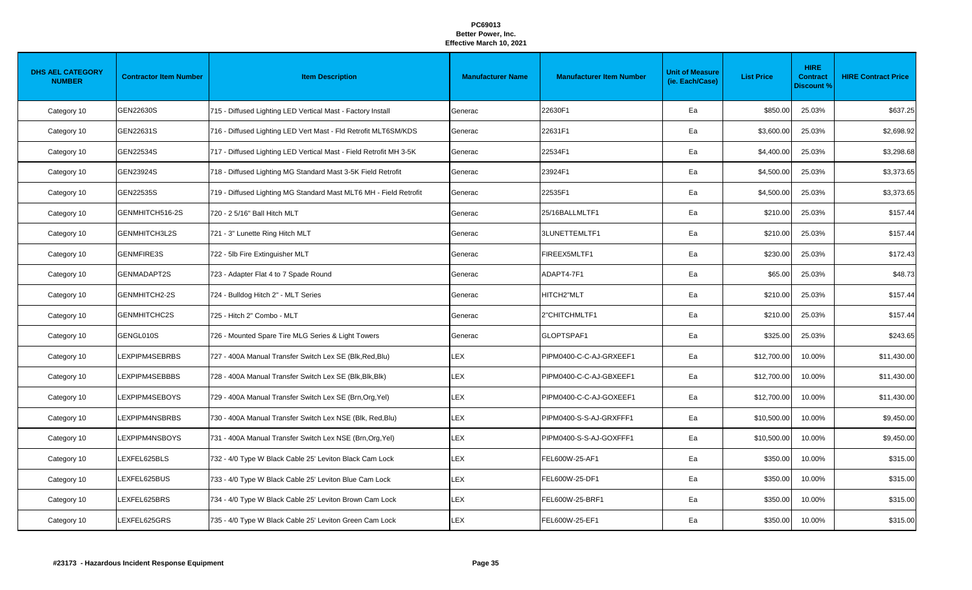| <b>DHS AEL CATEGORY</b><br><b>NUMBER</b> | <b>Contractor Item Number</b> | <b>Item Description</b>                                            | <b>Manufacturer Name</b> | <b>Manufacturer Item Number</b> | <b>Unit of Measure</b><br>(ie. Each/Case) | <b>List Price</b> | <b>HIRE</b><br><b>Contract</b><br><b>Discount %</b> | <b>HIRE Contract Price</b> |
|------------------------------------------|-------------------------------|--------------------------------------------------------------------|--------------------------|---------------------------------|-------------------------------------------|-------------------|-----------------------------------------------------|----------------------------|
| Category 10                              | <b>GEN22630S</b>              | 715 - Diffused Lighting LED Vertical Mast - Factory Install        | Generac                  | 22630F1                         | Ea                                        | \$850.00          | 25.03%                                              | \$637.25                   |
| Category 10                              | GEN22631S                     | 716 - Diffused Lighting LED Vert Mast - Fld Retrofit MLT6SM/KDS    | Generac                  | 22631F1                         | Ea                                        | \$3,600.00        | 25.03%                                              | \$2,698.92                 |
| Category 10                              | GEN22534S                     | 717 - Diffused Lighting LED Vertical Mast - Field Retrofit MH 3-5K | Generac                  | 22534F1                         | Ea                                        | \$4,400.00        | 25.03%                                              | \$3,298.68                 |
| Category 10                              | GEN23924S                     | 718 - Diffused Lighting MG Standard Mast 3-5K Field Retrofit       | Generac                  | 23924F1                         | Ea                                        | \$4,500.00        | 25.03%                                              | \$3,373.65                 |
| Category 10                              | GEN22535S                     | 719 - Diffused Lighting MG Standard Mast MLT6 MH - Field Retrofit  | Generac                  | 22535F1                         | Ea                                        | \$4,500.00        | 25.03%                                              | \$3,373.65                 |
| Category 10                              | GENMHITCH516-2S               | 720 - 2 5/16" Ball Hitch MLT                                       | Generac                  | 25/16BALLMLTF1                  | Ea                                        | \$210.00          | 25.03%                                              | \$157.44                   |
| Category 10                              | GENMHITCH3L2S                 | 721 - 3" Lunette Ring Hitch MLT                                    | Generac                  | 3LUNETTEMLTF1                   | Ea                                        | \$210.00          | 25.03%                                              | \$157.44                   |
| Category 10                              | <b>GENMFIRE3S</b>             | 722 - 5lb Fire Extinguisher MLT                                    | Generac                  | FIREEX5MLTF1                    | Ea                                        | \$230.00          | 25.03%                                              | \$172.43                   |
| Category 10                              | <b>GENMADAPT2S</b>            | 723 - Adapter Flat 4 to 7 Spade Round                              | Generac                  | ADAPT4-7F1                      | Ea                                        | \$65.00           | 25.03%                                              | \$48.73                    |
| Category 10                              | GENMHITCH2-2S                 | 724 - Bulldog Hitch 2" - MLT Series                                | Generac                  | HITCH2"MLT                      | Ea                                        | \$210.00          | 25.03%                                              | \$157.44                   |
| Category 10                              | <b>GENMHITCHC2S</b>           | 725 - Hitch 2" Combo - MLT                                         | Generac                  | 2"CHITCHMLTF1                   | Ea                                        | \$210.00          | 25.03%                                              | \$157.44                   |
| Category 10                              | GENGL010S                     | 726 - Mounted Spare Tire MLG Series & Light Towers                 | Generac                  | GLOPTSPAF1                      | Ea                                        | \$325.00          | 25.03%                                              | \$243.65                   |
| Category 10                              | LEXPIPM4SEBRBS                | 727 - 400A Manual Transfer Switch Lex SE (Blk, Red, Blu)           | <b>LEX</b>               | PIPM0400-C-C-AJ-GRXEEF1         | Ea                                        | \$12,700.00       | 10.00%                                              | \$11,430.00                |
| Category 10                              | LEXPIPM4SEBBBS                | 728 - 400A Manual Transfer Switch Lex SE (Blk, Blk, Blk)           | <b>LEX</b>               | PIPM0400-C-C-AJ-GBXEEF1         | Ea                                        | \$12,700.00       | 10.00%                                              | \$11,430.00                |
| Category 10                              | LEXPIPM4SEBOYS                | 729 - 400A Manual Transfer Switch Lex SE (Brn, Org, Yel)           | <b>LEX</b>               | PIPM0400-C-C-AJ-GOXEEF1         | Ea                                        | \$12,700.00       | 10.00%                                              | \$11,430.00                |
| Category 10                              | LEXPIPM4NSBRBS                | 730 - 400A Manual Transfer Switch Lex NSE (Blk, Red, Blu)          | <b>LEX</b>               | PIPM0400-S-S-AJ-GRXFFF1         | Ea                                        | \$10,500.00       | 10.00%                                              | \$9,450.00                 |
| Category 10                              | LEXPIPM4NSBOYS                | 731 - 400A Manual Transfer Switch Lex NSE (Brn, Org, Yel)          | <b>LEX</b>               | PIPM0400-S-S-AJ-GOXFFF1         | Ea                                        | \$10,500.00       | 10.00%                                              | \$9,450.00                 |
| Category 10                              | LEXFEL625BLS                  | 732 - 4/0 Type W Black Cable 25' Leviton Black Cam Lock            | <b>LEX</b>               | FEL600W-25-AF1                  | Ea                                        | \$350.00          | 10.00%                                              | \$315.00                   |
| Category 10                              | LEXFEL625BUS                  | 733 - 4/0 Type W Black Cable 25' Leviton Blue Cam Lock             | <b>LEX</b>               | FEL600W-25-DF1                  | Ea                                        | \$350.00          | 10.00%                                              | \$315.00                   |
| Category 10                              | LEXFEL625BRS                  | 734 - 4/0 Type W Black Cable 25' Leviton Brown Cam Lock            | <b>LEX</b>               | FEL600W-25-BRF1                 | Ea                                        | \$350.00          | 10.00%                                              | \$315.00                   |
| Category 10                              | LEXFEL625GRS                  | 735 - 4/0 Type W Black Cable 25' Leviton Green Cam Lock            | LEX                      | FEL600W-25-EF1                  | Ea                                        | \$350.00          | 10.00%                                              | \$315.00                   |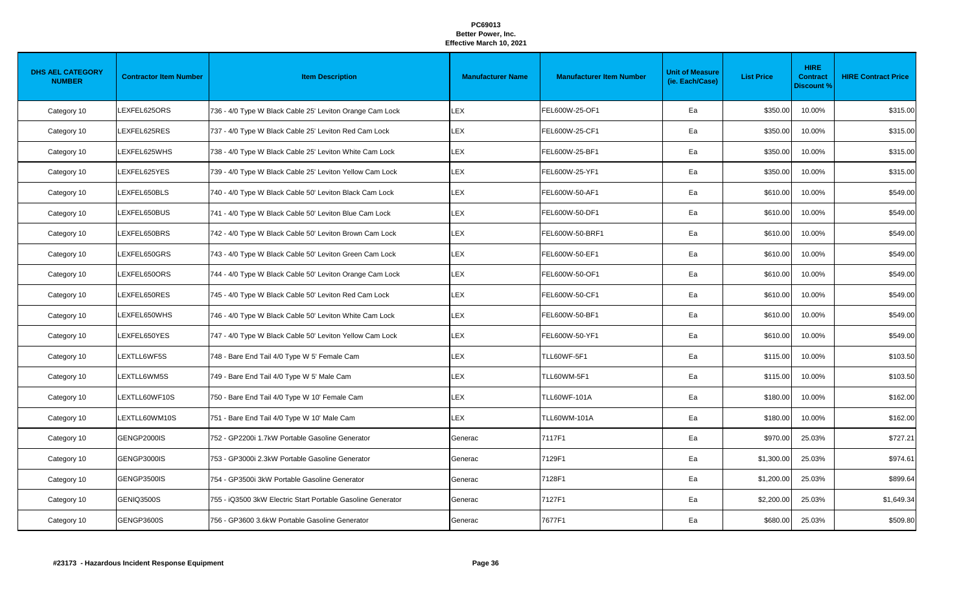| <b>DHS AEL CATEGORY</b><br><b>NUMBER</b> | <b>Contractor Item Number</b> | <b>Item Description</b>                                     | <b>Manufacturer Name</b> | <b>Manufacturer Item Number</b> | <b>Unit of Measure</b><br>(ie. Each/Case) | <b>List Price</b> | <b>HIRE</b><br><b>Contract</b><br><b>Discount %</b> | <b>HIRE Contract Price</b> |
|------------------------------------------|-------------------------------|-------------------------------------------------------------|--------------------------|---------------------------------|-------------------------------------------|-------------------|-----------------------------------------------------|----------------------------|
| Category 10                              | LEXFEL625ORS                  | 736 - 4/0 Type W Black Cable 25' Leviton Orange Cam Lock    | <b>LEX</b>               | FEL600W-25-OF1                  | Ea                                        | \$350.00          | 10.00%                                              | \$315.00                   |
| Category 10                              | LEXFEL625RES                  | 737 - 4/0 Type W Black Cable 25' Leviton Red Cam Lock       | <b>LEX</b>               | FEL600W-25-CF1                  | Ea                                        | \$350.00          | 10.00%                                              | \$315.00                   |
| Category 10                              | LEXFEL625WHS                  | 738 - 4/0 Type W Black Cable 25' Leviton White Cam Lock     | <b>LEX</b>               | FEL600W-25-BF1                  | Ea                                        | \$350.00          | 10.00%                                              | \$315.00                   |
| Category 10                              | LEXFEL625YES                  | 739 - 4/0 Type W Black Cable 25' Leviton Yellow Cam Lock    | <b>LEX</b>               | FEL600W-25-YF1                  | Ea                                        | \$350.00          | 10.00%                                              | \$315.00                   |
| Category 10                              | LEXFEL650BLS                  | 740 - 4/0 Type W Black Cable 50' Leviton Black Cam Lock     | <b>LEX</b>               | FEL600W-50-AF1                  | Ea                                        | \$610.00          | 10.00%                                              | \$549.00                   |
| Category 10                              | LEXFEL650BUS                  | 741 - 4/0 Type W Black Cable 50' Leviton Blue Cam Lock      | <b>LEX</b>               | FEL600W-50-DF1                  | Ea                                        | \$610.00          | 10.00%                                              | \$549.00                   |
| Category 10                              | LEXFEL650BRS                  | 742 - 4/0 Type W Black Cable 50' Leviton Brown Cam Lock     | <b>LEX</b>               | FEL600W-50-BRF1                 | Ea                                        | \$610.00          | 10.00%                                              | \$549.00                   |
| Category 10                              | LEXFEL650GRS                  | 743 - 4/0 Type W Black Cable 50' Leviton Green Cam Lock     | <b>LEX</b>               | FEL600W-50-EF1                  | Ea                                        | \$610.00          | 10.00%                                              | \$549.00                   |
| Category 10                              | LEXFEL650ORS                  | 744 - 4/0 Type W Black Cable 50' Leviton Orange Cam Lock    | <b>LEX</b>               | FEL600W-50-OF1                  | Ea                                        | \$610.00          | 10.00%                                              | \$549.00                   |
| Category 10                              | LEXFEL650RES                  | 745 - 4/0 Type W Black Cable 50' Leviton Red Cam Lock       | <b>LEX</b>               | FEL600W-50-CF1                  | Ea                                        | \$610.00          | 10.00%                                              | \$549.00                   |
| Category 10                              | <b>EXFEL650WHS</b>            | 746 - 4/0 Type W Black Cable 50' Leviton White Cam Lock     | LEX                      | FEL600W-50-BF1                  | Ea                                        | \$610.00          | 10.00%                                              | \$549.00                   |
| Category 10                              | LEXFEL650YES                  | 747 - 4/0 Type W Black Cable 50' Leviton Yellow Cam Lock    | <b>LEX</b>               | FEL600W-50-YF1                  | Ea                                        | \$610.00          | 10.00%                                              | \$549.00                   |
| Category 10                              | LEXTLL6WF5S                   | 748 - Bare End Tail 4/0 Type W 5' Female Cam                | <b>LEX</b>               | TLL60WF-5F1                     | Ea                                        | \$115.00          | 10.00%                                              | \$103.50                   |
| Category 10                              | LEXTLL6WM5S                   | 749 - Bare End Tail 4/0 Type W 5' Male Cam                  | <b>LEX</b>               | TLL60WM-5F1                     | Ea                                        | \$115.00          | 10.00%                                              | \$103.50                   |
| Category 10                              | LEXTLL60WF10S                 | 750 - Bare End Tail 4/0 Type W 10' Female Cam               | LEX                      | <b>TLL60WF-101A</b>             | Ea                                        | \$180.00          | 10.00%                                              | \$162.00                   |
| Category 10                              | LEXTLL60WM10S                 | 751 - Bare End Tail 4/0 Type W 10' Male Cam                 | <b>LEX</b>               | <b>TLL60WM-101A</b>             | Ea                                        | \$180.00          | 10.00%                                              | \$162.00                   |
| Category 10                              | GENGP2000IS                   | 752 - GP2200i 1.7kW Portable Gasoline Generator             | Generac                  | 7117F1                          | Ea                                        | \$970.00          | 25.03%                                              | \$727.21                   |
| Category 10                              | GENGP3000IS                   | 753 - GP3000i 2.3kW Portable Gasoline Generator             | Generac                  | 7129F1                          | Ea                                        | \$1,300.00        | 25.03%                                              | \$974.61                   |
| Category 10                              | GENGP3500IS                   | 754 - GP3500i 3kW Portable Gasoline Generator               | Generac                  | 7128F1                          | Ea                                        | \$1,200.00        | 25.03%                                              | \$899.64                   |
| Category 10                              | <b>GENIQ3500S</b>             | 755 - iQ3500 3kW Electric Start Portable Gasoline Generator | Generac                  | 7127F1                          | Ea                                        | \$2,200.00        | 25.03%                                              | \$1,649.34                 |
| Category 10                              | <b>GENGP3600S</b>             | 756 - GP3600 3.6kW Portable Gasoline Generator              | Generac                  | 7677F1                          | Ea                                        | \$680.00          | 25.03%                                              | \$509.80                   |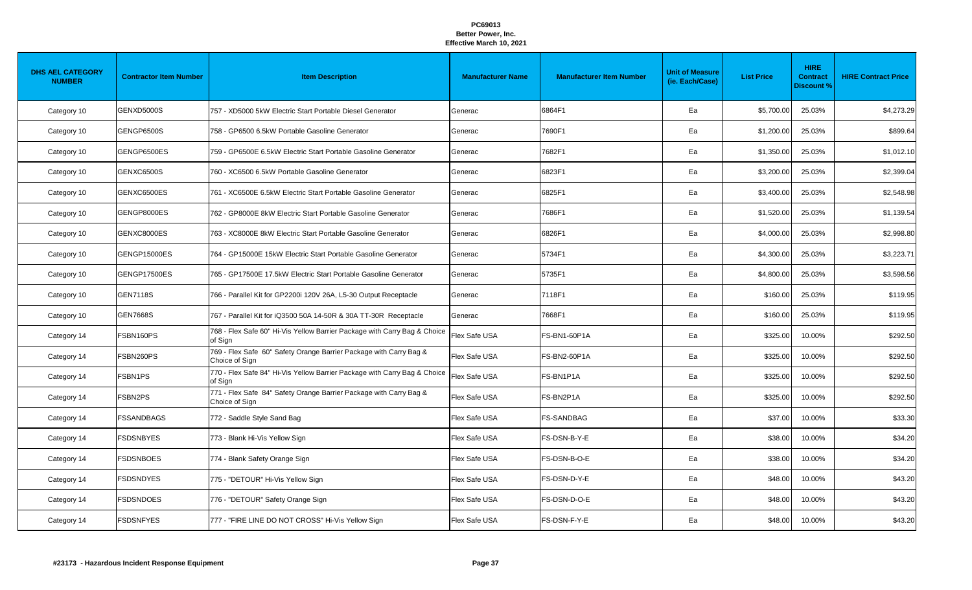| <b>DHS AEL CATEGORY</b><br><b>NUMBER</b> | <b>Contractor Item Number</b> | <b>Item Description</b>                                                              | <b>Manufacturer Name</b> | <b>Manufacturer Item Number</b> | <b>Unit of Measure</b><br>(ie. Each/Case) | <b>List Price</b> | <b>HIRE</b><br><b>Contract</b><br><b>Discount %</b> | <b>HIRE Contract Price</b> |
|------------------------------------------|-------------------------------|--------------------------------------------------------------------------------------|--------------------------|---------------------------------|-------------------------------------------|-------------------|-----------------------------------------------------|----------------------------|
| Category 10                              | <b>GENXD5000S</b>             | 757 - XD5000 5kW Electric Start Portable Diesel Generator                            | Generac                  | 6864F1                          | Ea                                        | \$5,700.00        | 25.03%                                              | \$4,273.29                 |
| Category 10                              | <b>GENGP6500S</b>             | 758 - GP6500 6.5kW Portable Gasoline Generator                                       | Generac                  | 7690F1                          | Ea                                        | \$1,200.00        | 25.03%                                              | \$899.64                   |
| Category 10                              | GENGP6500ES                   | 759 - GP6500E 6.5kW Electric Start Portable Gasoline Generator                       | Generac                  | 7682F1                          | Ea                                        | \$1,350.00        | 25.03%                                              | \$1,012.10                 |
| Category 10                              | <b>GENXC6500S</b>             | 760 - XC6500 6.5kW Portable Gasoline Generator                                       | Generac                  | 6823F1                          | Ea                                        | \$3,200.00        | 25.03%                                              | \$2,399.04                 |
| Category 10                              | GENXC6500ES                   | 761 - XC6500E 6.5kW Electric Start Portable Gasoline Generator                       | Generac                  | 6825F1                          | Ea                                        | \$3,400.00        | 25.03%                                              | \$2,548.98                 |
| Category 10                              | GENGP8000ES                   | 762 - GP8000E 8kW Electric Start Portable Gasoline Generator                         | Generac                  | 7686F1                          | Ea                                        | \$1,520.00        | 25.03%                                              | \$1,139.54                 |
| Category 10                              | GENXC8000ES                   | 763 - XC8000E 8kW Electric Start Portable Gasoline Generator                         | Generac                  | 6826F1                          | Ea                                        | \$4,000.00        | 25.03%                                              | \$2,998.80                 |
| Category 10                              | <b>GENGP15000ES</b>           | 764 - GP15000E 15kW Electric Start Portable Gasoline Generator                       | Generac                  | 5734F1                          | Ea                                        | \$4,300.00        | 25.03%                                              | \$3,223.71                 |
| Category 10                              | <b>GENGP17500ES</b>           | 765 - GP17500E 17.5kW Electric Start Portable Gasoline Generator                     | Generac                  | 5735F1                          | Ea                                        | \$4,800.00        | 25.03%                                              | \$3,598.56                 |
| Category 10                              | <b>GEN7118S</b>               | 766 - Parallel Kit for GP2200i 120V 26A, L5-30 Output Receptacle                     | Generac                  | 7118F1                          | Ea                                        | \$160.00          | 25.03%                                              | \$119.95                   |
| Category 10                              | <b>GEN7668S</b>               | 767 - Parallel Kit for iQ3500 50A 14-50R & 30A TT-30R Receptacle                     | Generac                  | 7668F1                          | Ea                                        | \$160.00          | 25.03%                                              | \$119.95                   |
| Category 14                              | FSBN160PS                     | 768 - Flex Safe 60" Hi-Vis Yellow Barrier Package with Carry Bag & Choice<br>of Sign | Flex Safe USA            | <b>FS-BN1-60P1A</b>             | Ea                                        | \$325.00          | 10.00%                                              | \$292.50                   |
| Category 14                              | FSBN260PS                     | 769 - Flex Safe 60" Safety Orange Barrier Package with Carry Bag &<br>Choice of Sign | Flex Safe USA            | FS-BN2-60P1A                    | Ea                                        | \$325.00          | 10.00%                                              | \$292.50                   |
| Category 14                              | FSBN1PS                       | 770 - Flex Safe 84" Hi-Vis Yellow Barrier Package with Carry Bag & Choice<br>of Sign | Flex Safe USA            | FS-BN1P1A                       | Ea                                        | \$325.00          | 10.00%                                              | \$292.50                   |
| Category 14                              | FSBN2PS                       | 771 - Flex Safe 84" Safety Orange Barrier Package with Carry Bag &<br>Choice of Sign | Flex Safe USA            | FS-BN2P1A                       | Ea                                        | \$325.00          | 10.00%                                              | \$292.50                   |
| Category 14                              | <b>FSSANDBAGS</b>             | 772 - Saddle Style Sand Bag                                                          | Flex Safe USA            | <b>FS-SANDBAG</b>               | Ea                                        | \$37.00           | 10.00%                                              | \$33.30                    |
| Category 14                              | <b>FSDSNBYES</b>              | 773 - Blank Hi-Vis Yellow Sign                                                       | Flex Safe USA            | FS-DSN-B-Y-E                    | Ea                                        | \$38.00           | 10.00%                                              | \$34.20                    |
| Category 14                              | <b>FSDSNBOES</b>              | 774 - Blank Safety Orange Sign                                                       | Flex Safe USA            | FS-DSN-B-O-E                    | Ea                                        | \$38.00           | 10.00%                                              | \$34.20                    |
| Category 14                              | <b>FSDSNDYES</b>              | 775 - "DETOUR" Hi-Vis Yellow Sign                                                    | Flex Safe USA            | FS-DSN-D-Y-E                    | Ea                                        | \$48.00           | 10.00%                                              | \$43.20                    |
| Category 14                              | <b>FSDSNDOES</b>              | 776 - "DETOUR" Safety Orange Sign                                                    | Flex Safe USA            | FS-DSN-D-O-E                    | Ea                                        | \$48.00           | 10.00%                                              | \$43.20                    |
| Category 14                              | <b>FSDSNFYES</b>              | 777 - "FIRE LINE DO NOT CROSS" Hi-Vis Yellow Sign                                    | Flex Safe USA            | FS-DSN-F-Y-E                    | Ea                                        | \$48.00           | 10.00%                                              | \$43.20                    |